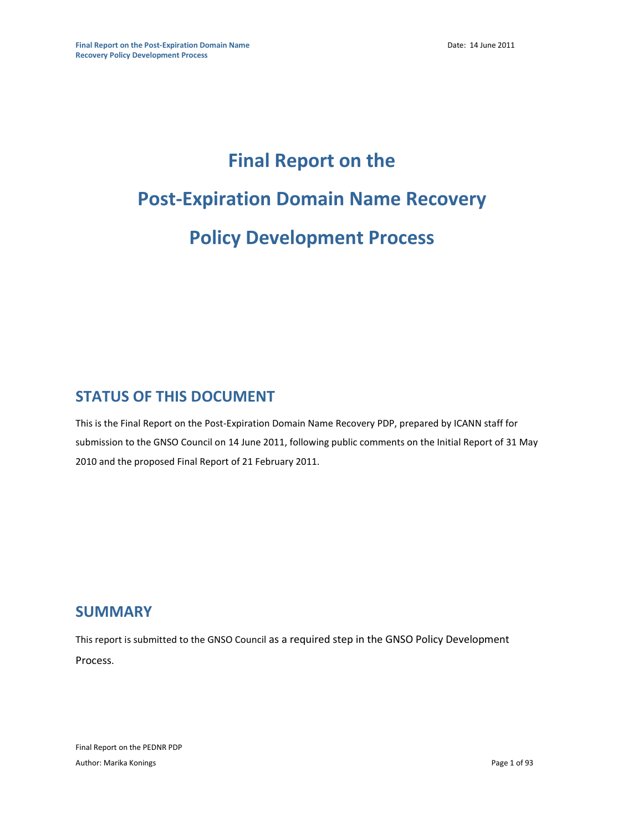# **Final Report on the Post-Expiration Domain Name Recovery Policy Development Process**

## **STATUS OF THIS DOCUMENT**

This is the Final Report on the Post-Expiration Domain Name Recovery PDP, prepared by ICANN staff for submission to the GNSO Council on 14 June 2011, following public comments on the Initial Report of 31 May 2010 and the proposed Final Report of 21 February 2011.

### **SUMMARY**

This report is submitted to the GNSO Council as a required step in the GNSO Policy Development Process.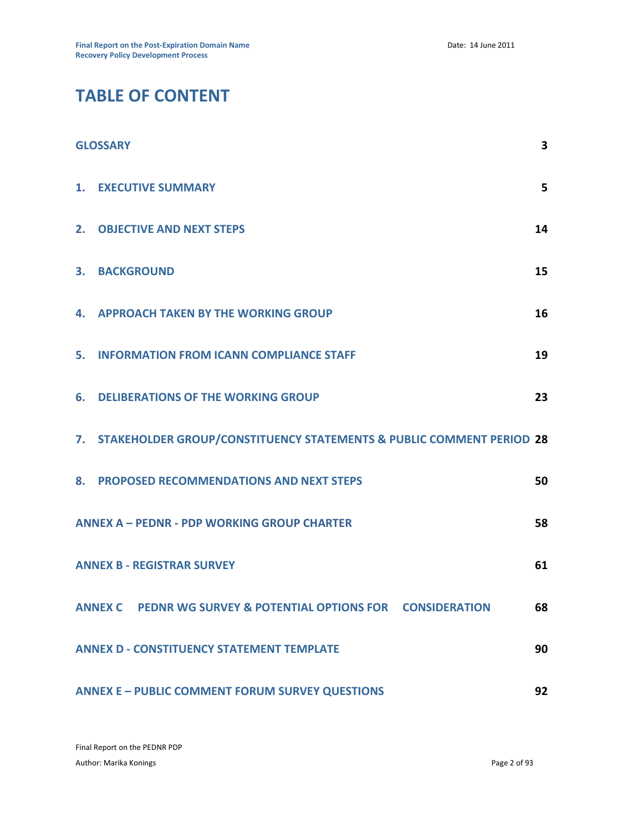# **TABLE OF CONTENT**

|    | <b>GLOSSARY</b>                                                         | 3  |
|----|-------------------------------------------------------------------------|----|
| 1. | <b>EXECUTIVE SUMMARY</b>                                                | 5  |
|    | 2. OBJECTIVE AND NEXT STEPS                                             | 14 |
| 3. | <b>BACKGROUND</b>                                                       | 15 |
| 4. | <b>APPROACH TAKEN BY THE WORKING GROUP</b>                              | 16 |
| 5. | <b>INFORMATION FROM ICANN COMPLIANCE STAFF</b>                          | 19 |
| 6. | <b>DELIBERATIONS OF THE WORKING GROUP</b>                               | 23 |
|    | 7. STAKEHOLDER GROUP/CONSTITUENCY STATEMENTS & PUBLIC COMMENT PERIOD 28 |    |
|    | 8. PROPOSED RECOMMENDATIONS AND NEXT STEPS                              | 50 |
|    | <b>ANNEX A - PEDNR - PDP WORKING GROUP CHARTER</b>                      | 58 |
|    | <b>ANNEX B - REGISTRAR SURVEY</b>                                       | 61 |
|    | ANNEX C PEDNR WG SURVEY & POTENTIAL OPTIONS FOR CONSIDERATION           | 68 |
|    | <b>ANNEX D - CONSTITUENCY STATEMENT TEMPLATE</b>                        | 90 |
|    | <b>ANNEX E - PUBLIC COMMENT FORUM SURVEY QUESTIONS</b>                  | 92 |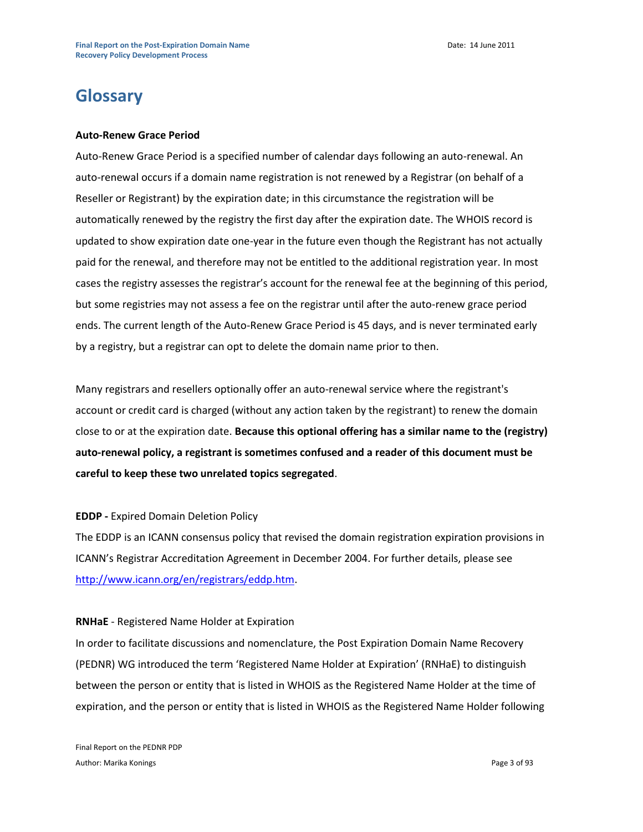# **Glossary**

#### **Auto-Renew Grace Period**

Auto-Renew Grace Period is a specified number of calendar days following an auto-renewal. An auto-renewal occurs if a domain name registration is not renewed by a Registrar (on behalf of a Reseller or Registrant) by the expiration date; in this circumstance the registration will be automatically renewed by the registry the first day after the expiration date. The WHOIS record is updated to show expiration date one-year in the future even though the Registrant has not actually paid for the renewal, and therefore may not be entitled to the additional registration year. In most cases the registry assesses the registrar's account for the renewal fee at the beginning of this period, but some registries may not assess a fee on the registrar until after the auto-renew grace period ends. The current length of the Auto-Renew Grace Period is 45 days, and is never terminated early by a registry, but a registrar can opt to delete the domain name prior to then.

Many registrars and resellers optionally offer an auto-renewal service where the registrant's account or credit card is charged (without any action taken by the registrant) to renew the domain close to or at the expiration date. **Because this optional offering has a similar name to the (registry) auto-renewal policy, a registrant is sometimes confused and a reader of this document must be careful to keep these two unrelated topics segregated**.

#### **EDDP -** Expired Domain Deletion Policy

The EDDP is an ICANN consensus policy that revised the domain registration expiration provisions in ICANN's Registrar Accreditation Agreement in December 2004. For further details, please see [http://www.icann.org/en/registrars/eddp.htm.](http://www.icann.org/en/registrars/eddp.htm)

#### **RNHaE** - Registered Name Holder at Expiration

In order to facilitate discussions and nomenclature, the Post Expiration Domain Name Recovery (PEDNR) WG introduced the term 'Registered Name Holder at Expiration' (RNHaE) to distinguish between the person or entity that is listed in WHOIS as the Registered Name Holder at the time of expiration, and the person or entity that is listed in WHOIS as the Registered Name Holder following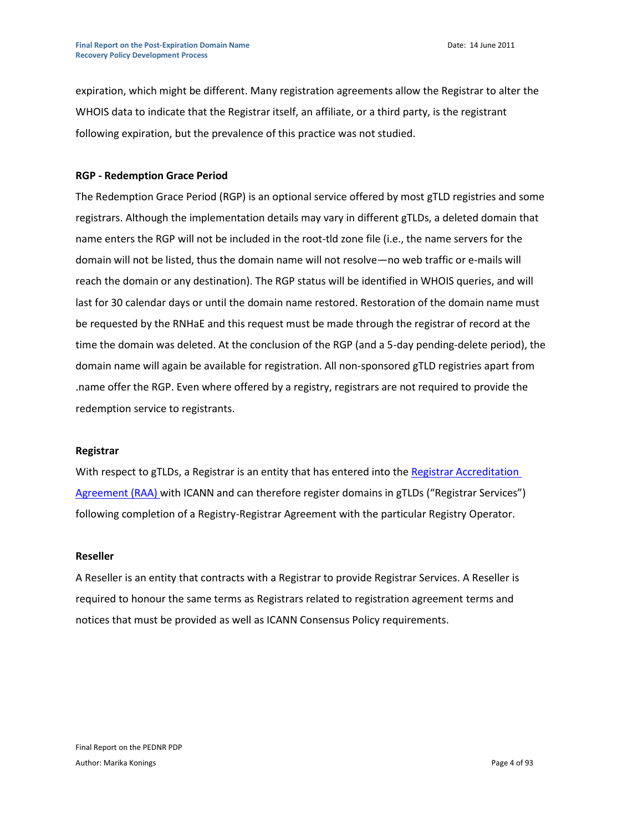expiration, which might be different. Many registration agreements allow the Registrar to alter the WHOIS data to indicate that the Registrar itself, an affiliate, or a third party, is the registrant following expiration, but the prevalence of this practice was not studied.

#### **RGP - Redemption Grace Period**

The Redemption Grace Period (RGP) is an optional service offered by most gTLD registries and some registrars. Although the implementation details may vary in different gTLDs, a deleted domain that name enters the RGP will not be included in the root-tld zone file (i.e., the name servers for the domain will not be listed, thus the domain name will not resolve—no web traffic or e‐mails will reach the domain or any destination). The RGP status will be identified in WHOIS queries, and will last for 30 calendar days or until the domain name restored. Restoration of the domain name must be requested by the RNHaE and this request must be made through the registrar of record at the time the domain was deleted. At the conclusion of the RGP (and a 5-day pending-delete period), the domain name will again be available for registration. All non-sponsored gTLD registries apart from .name offer the RGP. Even where offered by a registry, registrars are not required to provide the redemption service to registrants.

#### **Registrar**

With respect to gTLDs, a Registrar is an entity that has entered into the Registrar Accreditation [Agreement \(RAA\)](http://www.icann.org/en/registrars/agreements.html) with ICANN and can therefore register domains in gTLDs ("Registrar Services") following completion of a Registry-Registrar Agreement with the particular Registry Operator.

#### **Reseller**

A Reseller is an entity that contracts with a Registrar to provide Registrar Services. A Reseller is required to honour the same terms as Registrars related to registration agreement terms and notices that must be provided as well as ICANN Consensus Policy requirements.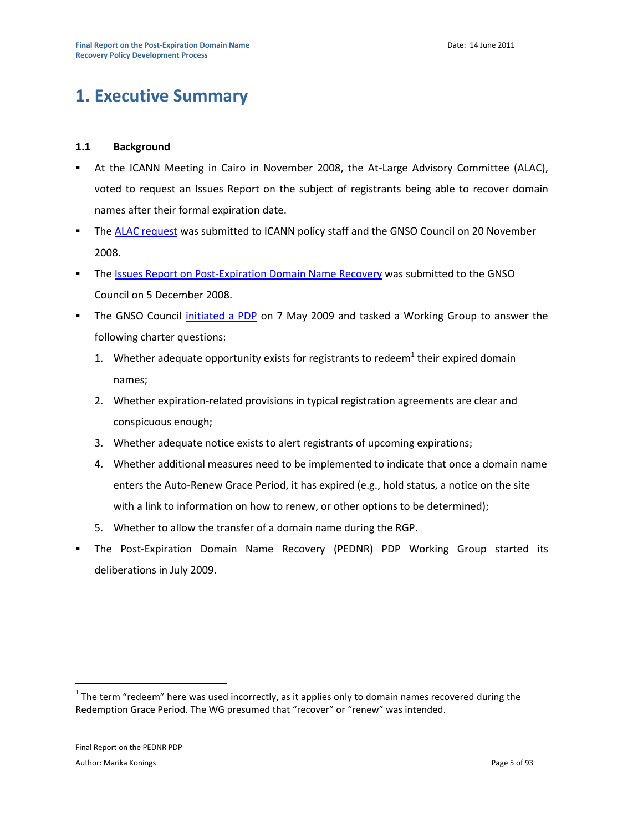# **1. Executive Summary**

#### **1.1 Background**

- At the ICANN Meeting in Cairo in November 2008, the At-Large Advisory Committee (ALAC), voted to request an Issues Report on the subject of registrants being able to recover domain names after their formal expiration date.
- The [ALAC request](http://gnso.icann.org/mailing-lists/archives/council/msg05734.html) was submitted to ICANN policy staff and the GNSO Council on 20 November 2008.
- **The [Issues Report on Post-Expiration Domain Name Recovery](http://gnso.icann.org/issues/post-expiration-recovery/report-05dec08.pdf) was submitted to the GNSO** Council on 5 December 2008.
- The GNSO Council [initiated a PDP](http://gnso.icann.org/resolutions/#200905) on 7 May 2009 and tasked a Working Group to answer the following charter questions:
	- 1. Whether adequate opportunity exists for registrants to redeem<sup>1</sup> their expired domain names;
	- 2. Whether expiration-related provisions in typical registration agreements are clear and conspicuous enough;
	- 3. Whether adequate notice exists to alert registrants of upcoming expirations;
	- 4. Whether additional measures need to be implemented to indicate that once a domain name enters the Auto-Renew Grace Period, it has expired (e.g., hold status, a notice on the site with a link to information on how to renew, or other options to be determined);
	- 5. Whether to allow the transfer of a domain name during the RGP.
	- The Post-Expiration Domain Name Recovery (PEDNR) PDP Working Group started its deliberations in July 2009.

 $1$  The term "redeem" here was used incorrectly, as it applies only to domain names recovered during the Redemption Grace Period. The WG presumed that "recover" or "renew" was intended.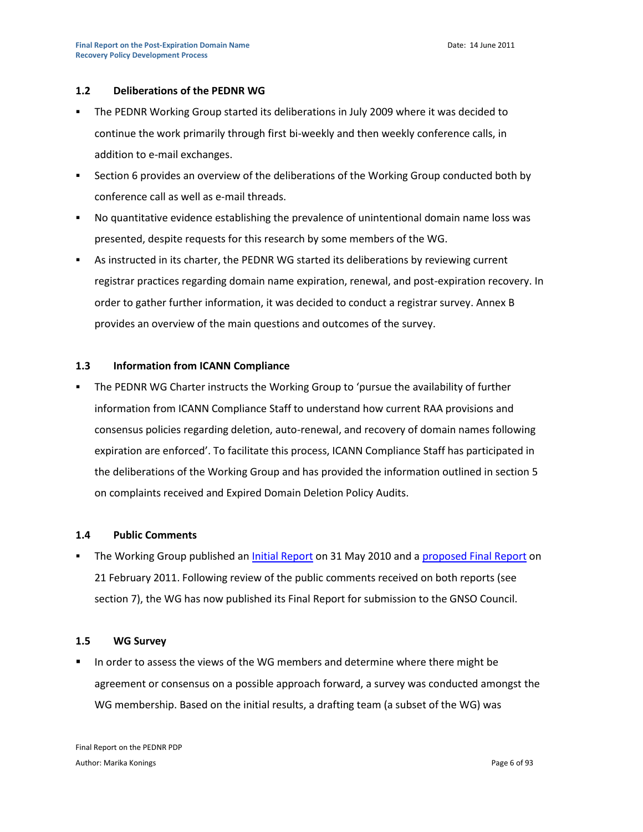#### **1.2 Deliberations of the PEDNR WG**

- The PEDNR Working Group started its deliberations in July 2009 where it was decided to continue the work primarily through first bi-weekly and then weekly conference calls, in addition to e-mail exchanges.
- Section 6 provides an overview of the deliberations of the Working Group conducted both by conference call as well as e-mail threads.
- No quantitative evidence establishing the prevalence of unintentional domain name loss was presented, despite requests for this research by some members of the WG.
- As instructed in its charter, the PEDNR WG started its deliberations by reviewing current registrar practices regarding domain name expiration, renewal, and post-expiration recovery. In order to gather further information, it was decided to conduct a registrar survey. Annex B provides an overview of the main questions and outcomes of the survey.

#### **1.3 Information from ICANN Compliance**

 The PEDNR WG Charter instructs the Working Group to 'pursue the availability of further information from ICANN Compliance Staff to understand how current RAA provisions and consensus policies regarding deletion, auto-renewal, and recovery of domain names following expiration are enforced'. To facilitate this process, ICANN Compliance Staff has participated in the deliberations of the Working Group and has provided the information outlined in section 5 on complaints received and Expired Domain Deletion Policy Audits.

#### **1.4 Public Comments**

The Working Group published an *Initial Report* on 31 May 2010 and a [proposed Final Report](http://gnso.icann.org/issues/pednr/pednr-proposed-final-report-21feb11-en.pdf) on 21 February 2011. Following review of the public comments received on both reports (see section 7), the WG has now published its Final Report for submission to the GNSO Council.

#### **1.5 WG Survey**

 In order to assess the views of the WG members and determine where there might be agreement or consensus on a possible approach forward, a survey was conducted amongst the WG membership. Based on the initial results, a drafting team (a subset of the WG) was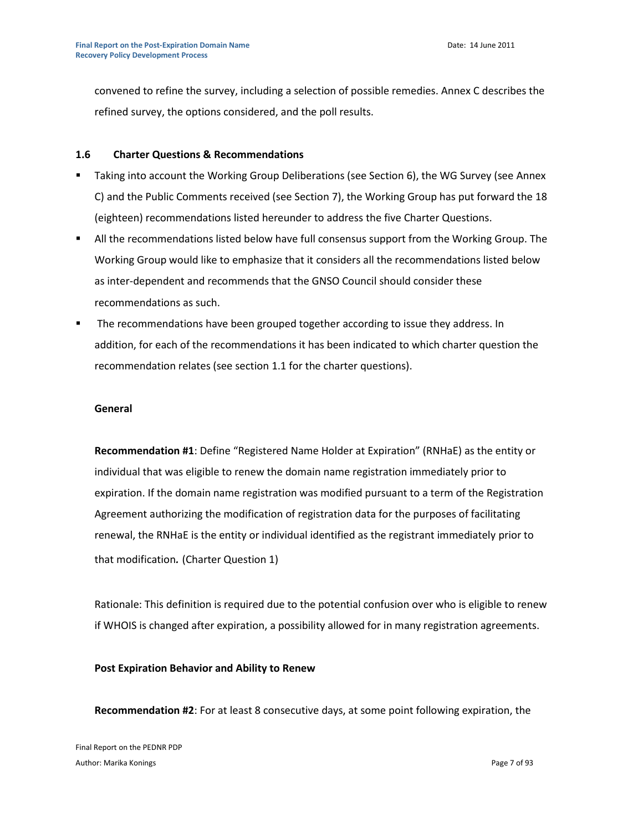convened to refine the survey, including a selection of possible remedies. Annex C describes the refined survey, the options considered, and the poll results.

#### **1.6 Charter Questions & Recommendations**

- **Taking into account the Working Group Deliberations (see Section 6), the WG Survey (see Annex** C) and the Public Comments received (see Section 7), the Working Group has put forward the 18 (eighteen) recommendations listed hereunder to address the five Charter Questions.
- All the recommendations listed below have full consensus support from the Working Group. The Working Group would like to emphasize that it considers all the recommendations listed below as inter-dependent and recommends that the GNSO Council should consider these recommendations as such.
- The recommendations have been grouped together according to issue they address. In addition, for each of the recommendations it has been indicated to which charter question the recommendation relates (see section 1.1 for the charter questions).

#### **General**

**Recommendation #1**: Define "Registered Name Holder at Expiration" (RNHaE) as the entity or individual that was eligible to renew the domain name registration immediately prior to expiration. If the domain name registration was modified pursuant to a term of the Registration Agreement authorizing the modification of registration data for the purposes of facilitating renewal, the RNHaE is the entity or individual identified as the registrant immediately prior to that modification*.* (Charter Question 1)

Rationale: This definition is required due to the potential confusion over who is eligible to renew if WHOIS is changed after expiration, a possibility allowed for in many registration agreements.

#### **Post Expiration Behavior and Ability to Renew**

**Recommendation #2**: For at least 8 consecutive days, at some point following expiration, the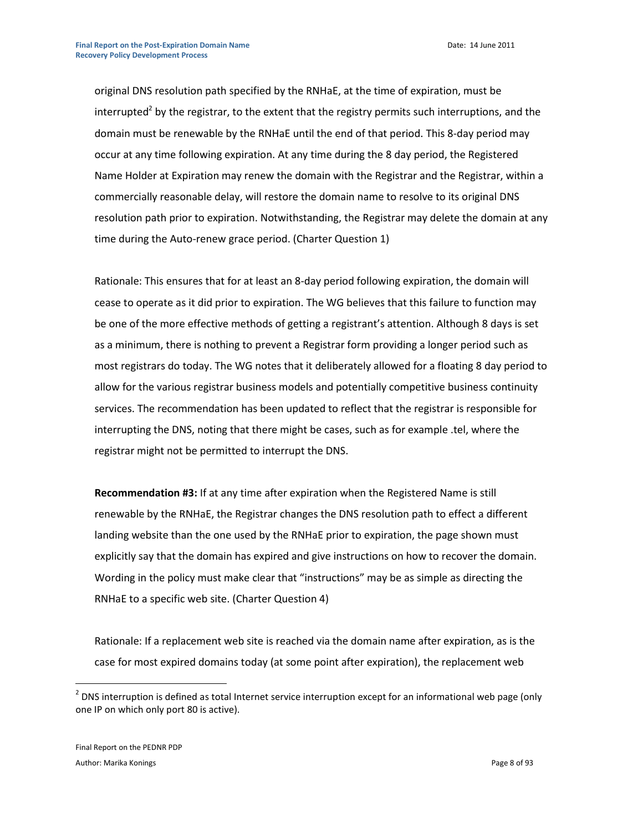Date: 14 June 2011

original DNS resolution path specified by the RNHaE, at the time of expiration, must be interrupted<sup>2</sup> by the registrar, to the extent that the registry permits such interruptions, and the domain must be renewable by the RNHaE until the end of that period. This 8-day period may occur at any time following expiration. At any time during the 8 day period, the Registered Name Holder at Expiration may renew the domain with the Registrar and the Registrar, within a commercially reasonable delay, will restore the domain name to resolve to its original DNS resolution path prior to expiration. Notwithstanding, the Registrar may delete the domain at any time during the Auto-renew grace period. (Charter Question 1)

Rationale: This ensures that for at least an 8-day period following expiration, the domain will cease to operate as it did prior to expiration. The WG believes that this failure to function may be one of the more effective methods of getting a registrant's attention. Although 8 days is set as a minimum, there is nothing to prevent a Registrar form providing a longer period such as most registrars do today. The WG notes that it deliberately allowed for a floating 8 day period to allow for the various registrar business models and potentially competitive business continuity services. The recommendation has been updated to reflect that the registrar is responsible for interrupting the DNS, noting that there might be cases, such as for example .tel, where the registrar might not be permitted to interrupt the DNS.

**Recommendation #3:** If at any time after expiration when the Registered Name is still renewable by the RNHaE, the Registrar changes the DNS resolution path to effect a different landing website than the one used by the RNHaE prior to expiration, the page shown must explicitly say that the domain has expired and give instructions on how to recover the domain. Wording in the policy must make clear that "instructions" may be as simple as directing the RNHaE to a specific web site. (Charter Question 4)

Rationale: If a replacement web site is reached via the domain name after expiration, as is the case for most expired domains today (at some point after expiration), the replacement web

 $2$  DNS interruption is defined as total Internet service interruption except for an informational web page (only one IP on which only port 80 is active).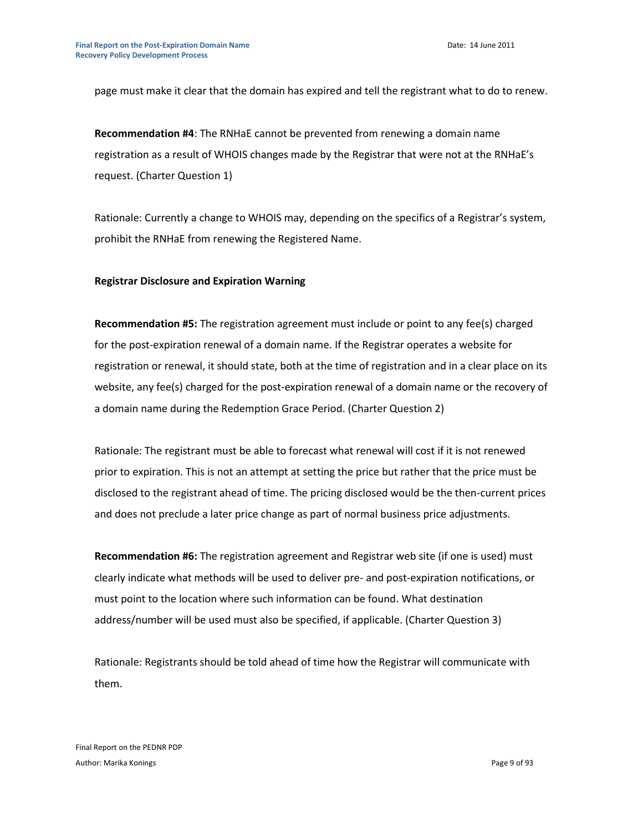page must make it clear that the domain has expired and tell the registrant what to do to renew.

**Recommendation #4**: The RNHaE cannot be prevented from renewing a domain name registration as a result of WHOIS changes made by the Registrar that were not at the RNHaE's request. (Charter Question 1)

Rationale: Currently a change to WHOIS may, depending on the specifics of a Registrar's system, prohibit the RNHaE from renewing the Registered Name.

#### **Registrar Disclosure and Expiration Warning**

**Recommendation #5:** The registration agreement must include or point to any fee(s) charged for the post-expiration renewal of a domain name. If the Registrar operates a website for registration or renewal, it should state, both at the time of registration and in a clear place on its website, any fee(s) charged for the post-expiration renewal of a domain name or the recovery of a domain name during the Redemption Grace Period. (Charter Question 2)

Rationale: The registrant must be able to forecast what renewal will cost if it is not renewed prior to expiration. This is not an attempt at setting the price but rather that the price must be disclosed to the registrant ahead of time. The pricing disclosed would be the then-current prices and does not preclude a later price change as part of normal business price adjustments.

**Recommendation #6:** The registration agreement and Registrar web site (if one is used) must clearly indicate what methods will be used to deliver pre- and post-expiration notifications, or must point to the location where such information can be found. What destination address/number will be used must also be specified, if applicable. (Charter Question 3)

Rationale: Registrants should be told ahead of time how the Registrar will communicate with them.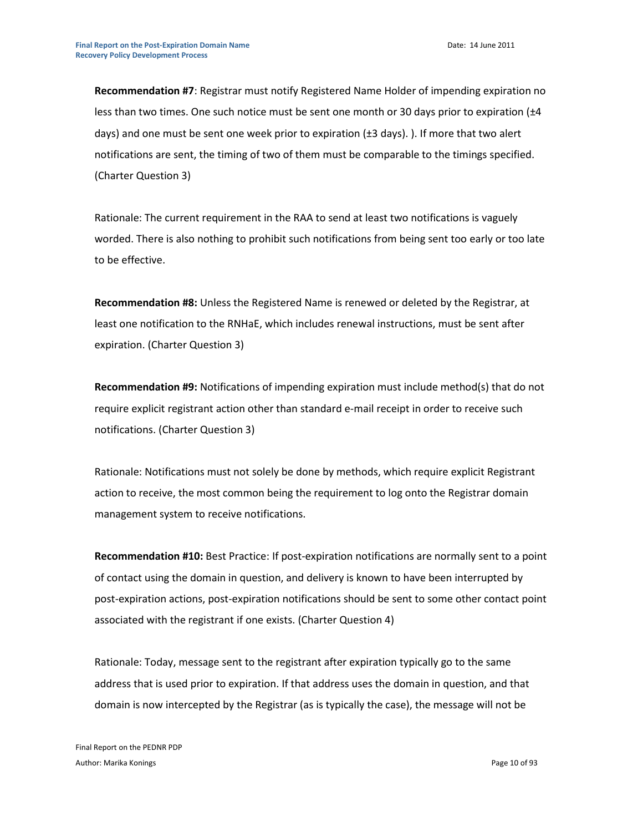**Recommendation #7**: Registrar must notify Registered Name Holder of impending expiration no less than two times. One such notice must be sent one month or 30 days prior to expiration ( $\pm 4$ days) and one must be sent one week prior to expiration (±3 days). ). If more that two alert notifications are sent, the timing of two of them must be comparable to the timings specified. (Charter Question 3)

Rationale: The current requirement in the RAA to send at least two notifications is vaguely worded. There is also nothing to prohibit such notifications from being sent too early or too late to be effective.

**Recommendation #8:** Unless the Registered Name is renewed or deleted by the Registrar, at least one notification to the RNHaE, which includes renewal instructions, must be sent after expiration. (Charter Question 3)

**Recommendation #9:** Notifications of impending expiration must include method(s) that do not require explicit registrant action other than standard e-mail receipt in order to receive such notifications. (Charter Question 3)

Rationale: Notifications must not solely be done by methods, which require explicit Registrant action to receive, the most common being the requirement to log onto the Registrar domain management system to receive notifications.

**Recommendation #10:** Best Practice: If post-expiration notifications are normally sent to a point of contact using the domain in question, and delivery is known to have been interrupted by post-expiration actions, post-expiration notifications should be sent to some other contact point associated with the registrant if one exists. (Charter Question 4)

Rationale: Today, message sent to the registrant after expiration typically go to the same address that is used prior to expiration. If that address uses the domain in question, and that domain is now intercepted by the Registrar (as is typically the case), the message will not be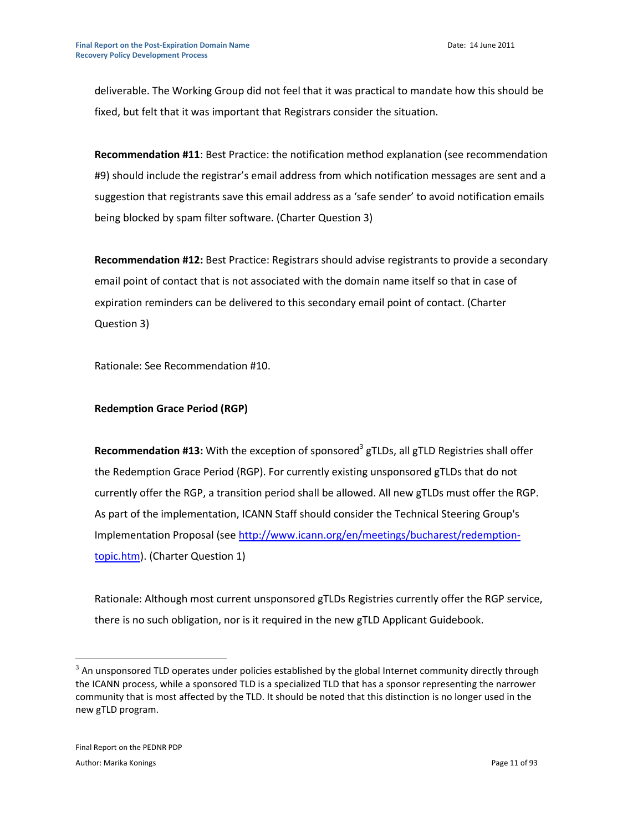deliverable. The Working Group did not feel that it was practical to mandate how this should be fixed, but felt that it was important that Registrars consider the situation.

**Recommendation #11**: Best Practice: the notification method explanation (see recommendation #9) should include the registrar's email address from which notification messages are sent and a suggestion that registrants save this email address as a 'safe sender' to avoid notification emails being blocked by spam filter software. (Charter Question 3)

**Recommendation #12:** Best Practice: Registrars should advise registrants to provide a secondary email point of contact that is not associated with the domain name itself so that in case of expiration reminders can be delivered to this secondary email point of contact. (Charter Question 3)

Rationale: See Recommendation #10.

#### **Redemption Grace Period (RGP)**

**Recommendation #13:** With the exception of sponsored<sup>3</sup> gTLDs, all gTLD Registries shall offer the Redemption Grace Period (RGP). For currently existing unsponsored gTLDs that do not currently offer the RGP, a transition period shall be allowed. All new gTLDs must offer the RGP. As part of the implementation, ICANN Staff should consider the Technical Steering Group's Implementation Proposal (see [http://www.icann.org/en/meetings/bucharest/redemption](http://www.icann.org/en/meetings/bucharest/redemption-topic.htm)[topic.htm\)](http://www.icann.org/en/meetings/bucharest/redemption-topic.htm). (Charter Question 1)

Rationale: Although most current unsponsored gTLDs Registries currently offer the RGP service, there is no such obligation, nor is it required in the new gTLD Applicant Guidebook.

 $^3$  An unsponsored TLD operates under policies established by the global Internet community directly through the ICANN process, while a sponsored TLD is a specialized TLD that has a sponsor representing the narrower community that is most affected by the TLD. It should be noted that this distinction is no longer used in the new gTLD program.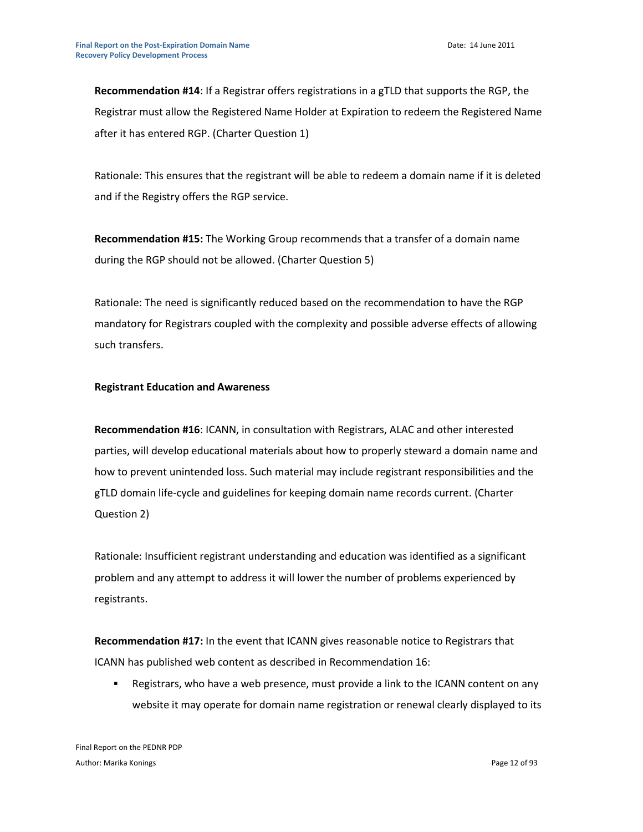**Recommendation #14**: If a Registrar offers registrations in a gTLD that supports the RGP, the Registrar must allow the Registered Name Holder at Expiration to redeem the Registered Name after it has entered RGP. (Charter Question 1)

Rationale: This ensures that the registrant will be able to redeem a domain name if it is deleted and if the Registry offers the RGP service.

**Recommendation #15:** The Working Group recommends that a transfer of a domain name during the RGP should not be allowed. (Charter Question 5)

Rationale: The need is significantly reduced based on the recommendation to have the RGP mandatory for Registrars coupled with the complexity and possible adverse effects of allowing such transfers.

#### **Registrant Education and Awareness**

**Recommendation #16**: ICANN, in consultation with Registrars, ALAC and other interested parties, will develop educational materials about how to properly steward a domain name and how to prevent unintended loss. Such material may include registrant responsibilities and the gTLD domain life-cycle and guidelines for keeping domain name records current. (Charter Question 2)

Rationale: Insufficient registrant understanding and education was identified as a significant problem and any attempt to address it will lower the number of problems experienced by registrants.

**Recommendation #17:** In the event that ICANN gives reasonable notice to Registrars that ICANN has published web content as described in Recommendation 16:

 Registrars, who have a web presence, must provide a link to the ICANN content on any website it may operate for domain name registration or renewal clearly displayed to its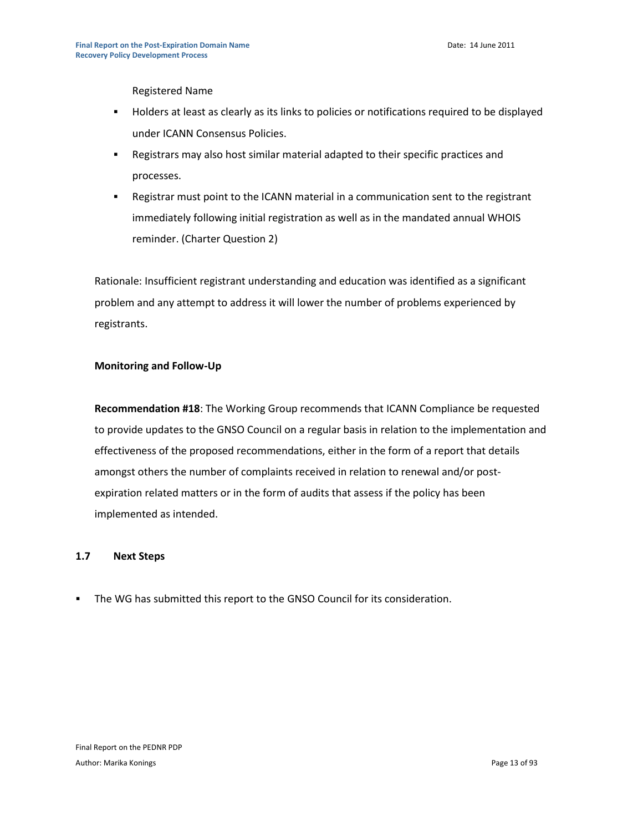Registered Name

- Holders at least as clearly as its links to policies or notifications required to be displayed under ICANN Consensus Policies.
- Registrars may also host similar material adapted to their specific practices and processes.
- Registrar must point to the ICANN material in a communication sent to the registrant immediately following initial registration as well as in the mandated annual WHOIS reminder. (Charter Question 2)

Rationale: Insufficient registrant understanding and education was identified as a significant problem and any attempt to address it will lower the number of problems experienced by registrants.

#### **Monitoring and Follow-Up**

**Recommendation #18**: The Working Group recommends that ICANN Compliance be requested to provide updates to the GNSO Council on a regular basis in relation to the implementation and effectiveness of the proposed recommendations, either in the form of a report that details amongst others the number of complaints received in relation to renewal and/or postexpiration related matters or in the form of audits that assess if the policy has been implemented as intended.

#### **1.7 Next Steps**

The WG has submitted this report to the GNSO Council for its consideration.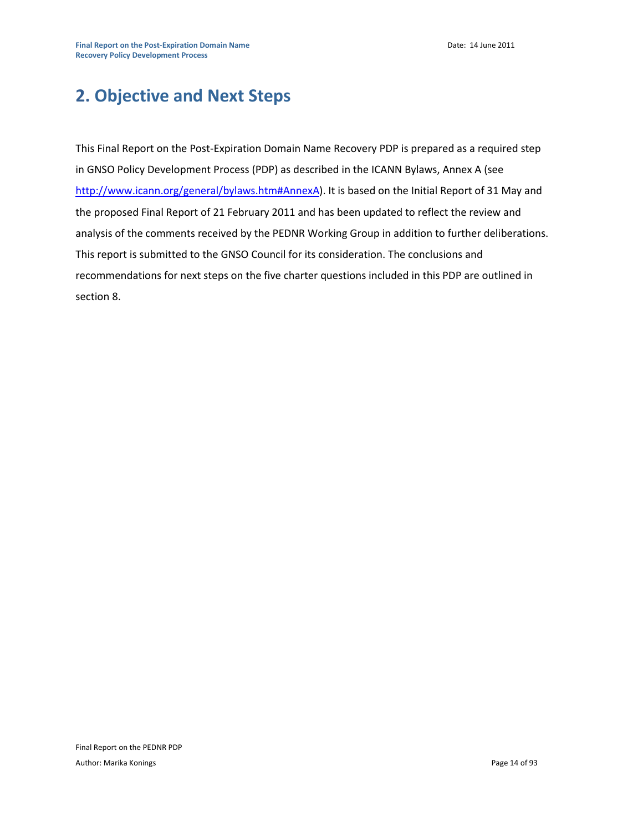# **2. Objective and Next Steps**

This Final Report on the Post-Expiration Domain Name Recovery PDP is prepared as a required step in GNSO Policy Development Process (PDP) as described in the ICANN Bylaws, Annex A (see [http://www.icann.org/general/bylaws.htm#AnnexA\)](http://www.icann.org/general/bylaws.htm#AnnexA). It is based on the Initial Report of 31 May and the proposed Final Report of 21 February 2011 and has been updated to reflect the review and analysis of the comments received by the PEDNR Working Group in addition to further deliberations. This report is submitted to the GNSO Council for its consideration. The conclusions and recommendations for next steps on the five charter questions included in this PDP are outlined in section 8.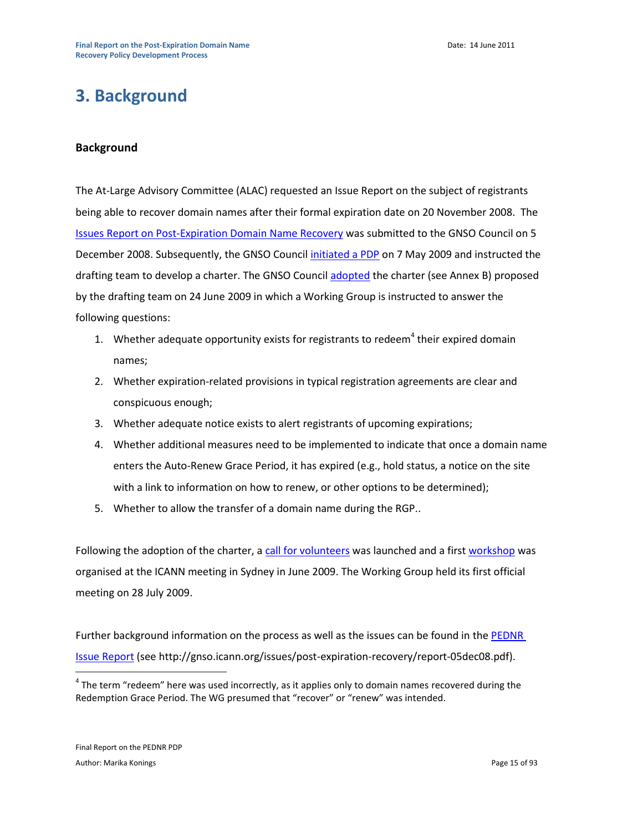# **3. Background**

#### **Background**

The At-Large Advisory Committee (ALAC) requested an Issue Report on the subject of registrants being able to recover domain names after their formal expiration date on 20 November 2008. The [Issues Report on Post-Expiration Domain Name Recovery](http://gnso.icann.org/issues/post-expiration-recovery/report-05dec08.pdf) was submitted to the GNSO Council on 5 December 2008. Subsequently, the GNSO Counci[l initiated a PDP](http://gnso.icann.org/resolutions/#200905) on 7 May 2009 and instructed the drafting team to develop a charter. The GNSO Council [adopted](http://gnso.icann.org/resolutions/#200906) the charter (see Annex B) proposed by the drafting team on 24 June 2009 in which a Working Group is instructed to answer the following questions:

- 1. Whether adequate opportunity exists for registrants to redeem<sup>4</sup> their expired domain names;
- 2. Whether expiration-related provisions in typical registration agreements are clear and conspicuous enough;
- 3. Whether adequate notice exists to alert registrants of upcoming expirations;
- 4. Whether additional measures need to be implemented to indicate that once a domain name enters the Auto-Renew Grace Period, it has expired (e.g., hold status, a notice on the site with a link to information on how to renew, or other options to be determined);
- 5. Whether to allow the transfer of a domain name during the RGP..

Following the adoption of the charter, [a call for volunteers](http://gnso.icann.org/issues/post-expiration-recovery/call-pdp-pednr-06jul09.pdf) was launched and a first [workshop](http://syd.icann.org/files/meetings/sydney2009/transcript-pednr-24jun09-en.txt) was organised at the ICANN meeting in Sydney in June 2009. The Working Group held its first official meeting on 28 July 2009.

Further background information on the process as well as the issues can be found in the PEDNR [Issue Report](http://gnso.icann.org/issues/post-expiration-recovery/report-05dec08.pdf) (see http://gnso.icann.org/issues/post-expiration-recovery/report-05dec08.pdf).

 $^4$  The term "redeem" here was used incorrectly, as it applies only to domain names recovered during the Redemption Grace Period. The WG presumed that "recover" or "renew" was intended.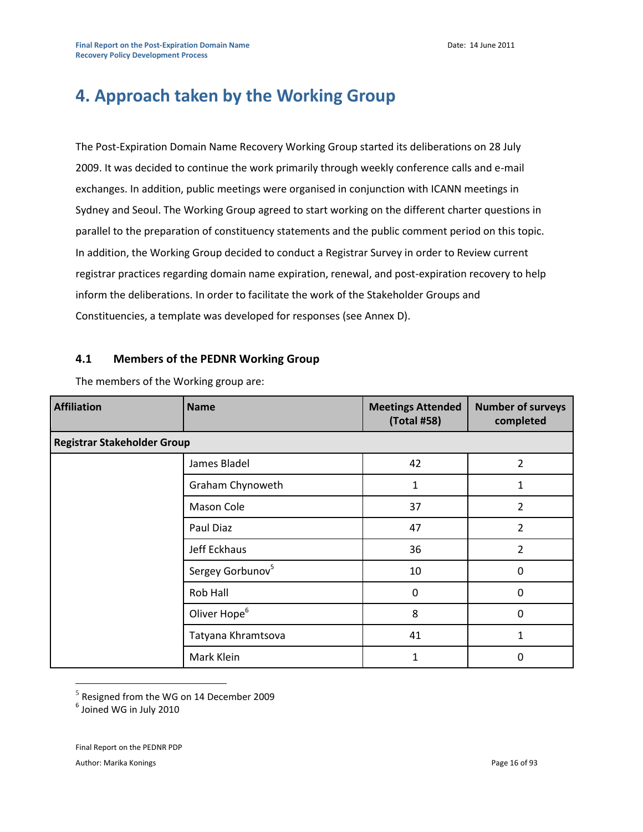# **4. Approach taken by the Working Group**

The Post-Expiration Domain Name Recovery Working Group started its deliberations on 28 July 2009. It was decided to continue the work primarily through weekly conference calls and e-mail exchanges. In addition, public meetings were organised in conjunction with ICANN meetings in Sydney and Seoul. The Working Group agreed to start working on the different charter questions in parallel to the preparation of constituency statements and the public comment period on this topic. In addition, the Working Group decided to conduct a Registrar Survey in order to Review current registrar practices regarding domain name expiration, renewal, and post-expiration recovery to help inform the deliberations. In order to facilitate the work of the Stakeholder Groups and Constituencies, a template was developed for responses (see Annex D).

#### **4.1 Members of the PEDNR Working Group**

| <b>Affiliation</b>                 | <b>Name</b>                  | <b>Meetings Attended</b><br>(Total #58) | <b>Number of surveys</b><br>completed |  |
|------------------------------------|------------------------------|-----------------------------------------|---------------------------------------|--|
| <b>Registrar Stakeholder Group</b> |                              |                                         |                                       |  |
|                                    | James Bladel                 | 42                                      | $\overline{2}$                        |  |
|                                    | Graham Chynoweth             | 1                                       | 1                                     |  |
|                                    | Mason Cole                   | 37                                      | 2                                     |  |
|                                    | Paul Diaz                    | 47                                      | $\overline{2}$                        |  |
|                                    | Jeff Eckhaus                 | 36                                      | 2                                     |  |
|                                    | Sergey Gorbunov <sup>5</sup> | 10                                      | $\Omega$                              |  |
|                                    | Rob Hall                     | 0                                       | $\Omega$                              |  |
|                                    | Oliver Hope <sup>6</sup>     | 8                                       | $\Omega$                              |  |
|                                    | Tatyana Khramtsova           | 41                                      | 1                                     |  |
|                                    | Mark Klein                   | 1                                       | 0                                     |  |

The members of the Working group are:

 $<sup>5</sup>$  Resigned from the WG on 14 December 2009</sup>

6 Joined WG in July 2010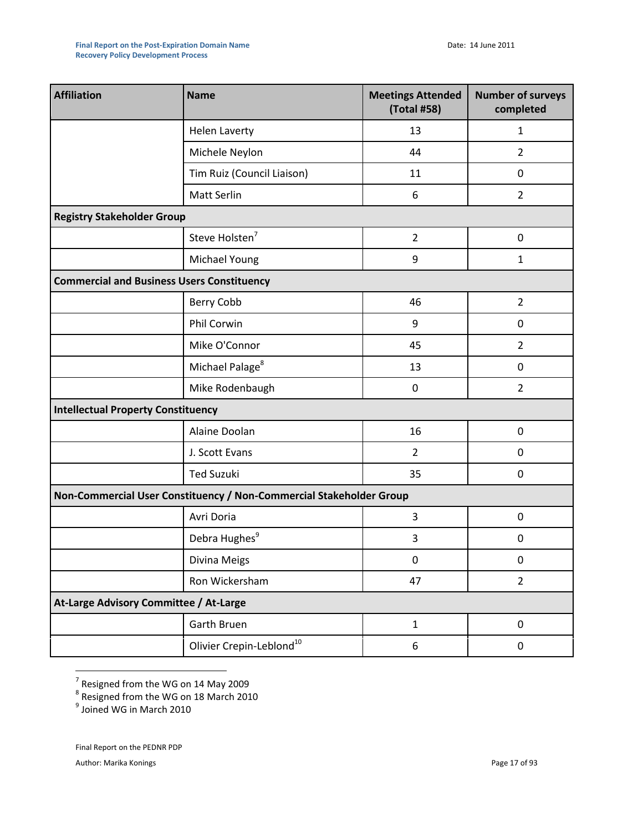| <b>Affiliation</b>                                | <b>Name</b>                                                         | <b>Meetings Attended</b><br>(Total #58) | <b>Number of surveys</b><br>completed |  |  |
|---------------------------------------------------|---------------------------------------------------------------------|-----------------------------------------|---------------------------------------|--|--|
|                                                   | <b>Helen Laverty</b>                                                | 13                                      | $\mathbf{1}$                          |  |  |
|                                                   | Michele Neylon                                                      | 44                                      | $\overline{2}$                        |  |  |
|                                                   | Tim Ruiz (Council Liaison)                                          | 11                                      | 0                                     |  |  |
|                                                   | Matt Serlin                                                         | 6                                       | $\overline{2}$                        |  |  |
| <b>Registry Stakeholder Group</b>                 |                                                                     |                                         |                                       |  |  |
|                                                   | Steve Holsten <sup>7</sup>                                          | $\overline{2}$                          | $\pmb{0}$                             |  |  |
|                                                   | Michael Young                                                       | 9                                       | $\mathbf{1}$                          |  |  |
| <b>Commercial and Business Users Constituency</b> |                                                                     |                                         |                                       |  |  |
|                                                   | Berry Cobb                                                          | 46                                      | $\overline{2}$                        |  |  |
|                                                   | Phil Corwin                                                         | 9                                       | $\mathbf 0$                           |  |  |
|                                                   | Mike O'Connor                                                       | 45                                      | $\overline{2}$                        |  |  |
|                                                   | Michael Palage <sup>8</sup>                                         | 13                                      | $\mathbf 0$                           |  |  |
|                                                   | Mike Rodenbaugh                                                     | $\mathbf 0$                             | $\overline{2}$                        |  |  |
|                                                   | <b>Intellectual Property Constituency</b>                           |                                         |                                       |  |  |
|                                                   | Alaine Doolan                                                       | 16                                      | $\boldsymbol{0}$                      |  |  |
|                                                   | J. Scott Evans                                                      | $\overline{2}$                          | 0                                     |  |  |
|                                                   | <b>Ted Suzuki</b>                                                   | 35                                      | $\mathbf 0$                           |  |  |
|                                                   | Non-Commercial User Constituency / Non-Commercial Stakeholder Group |                                         |                                       |  |  |
|                                                   | Avri Doria                                                          | 3                                       | $\mathbf 0$                           |  |  |
|                                                   | Debra Hughes <sup>9</sup>                                           | 3                                       | $\mathbf 0$                           |  |  |
|                                                   | Divina Meigs                                                        | $\pmb{0}$                               | $\boldsymbol{0}$                      |  |  |
|                                                   | Ron Wickersham                                                      | 47                                      | $\overline{2}$                        |  |  |
| At-Large Advisory Committee / At-Large            |                                                                     |                                         |                                       |  |  |
|                                                   | Garth Bruen                                                         | $\mathbf{1}$                            | $\pmb{0}$                             |  |  |
|                                                   | Olivier Crepin-Leblond <sup>10</sup>                                | 6                                       | $\mathbf 0$                           |  |  |

<sup>7</sup> Resigned from the WG on 14 May 2009<br><sup>8</sup> Resigned from the WG on 18 March 2010<br><sup>9</sup> Joined WG in March 2010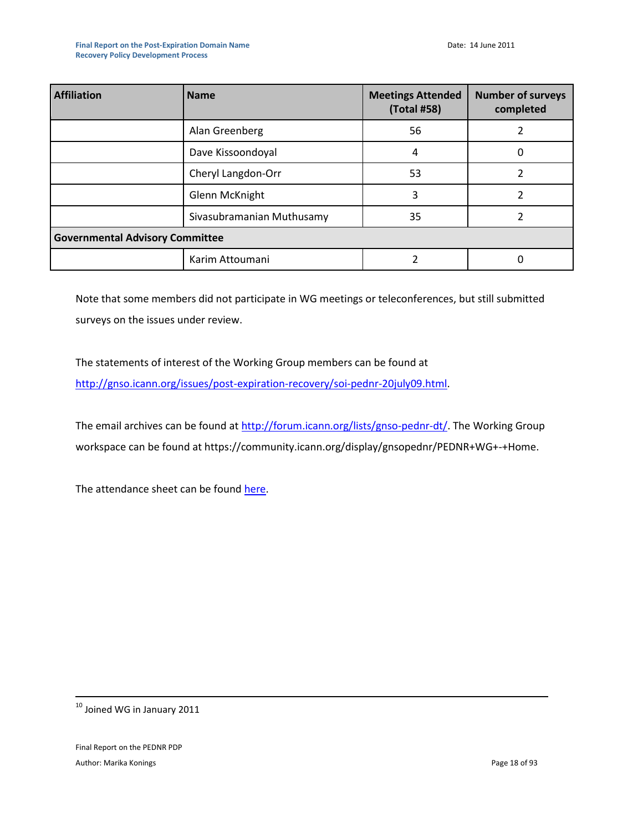| <b>Affiliation</b>                     | <b>Name</b>               | <b>Meetings Attended</b><br>(Total #58) | <b>Number of surveys</b><br>completed |  |
|----------------------------------------|---------------------------|-----------------------------------------|---------------------------------------|--|
|                                        | Alan Greenberg            | 56                                      |                                       |  |
|                                        | Dave Kissoondoyal         | 4                                       |                                       |  |
|                                        | Cheryl Langdon-Orr        | 53                                      |                                       |  |
|                                        | Glenn McKnight            | 3                                       |                                       |  |
|                                        | Sivasubramanian Muthusamy | 35                                      |                                       |  |
| <b>Governmental Advisory Committee</b> |                           |                                         |                                       |  |
|                                        | Karim Attoumani           |                                         |                                       |  |

Note that some members did not participate in WG meetings or teleconferences, but still submitted surveys on the issues under review.

The statements of interest of the Working Group members can be found at [http://gnso.icann.org/issues/post-expiration-recovery/soi-pednr-20july09.html.](http://gnso.icann.org/issues/post-expiration-recovery/soi-pednr-20july09.html)

The email archives can be found at [http://forum.icann.org/lists/gnso-pednr-dt/.](http://forum.icann.org/lists/gnso-pednr-dt/) The Working Group workspace can be found at https://community.icann.org/display/gnsopednr/PEDNR+WG+-+Home.

The attendance sheet can be found [here.](https://community.icann.org/download/attachments/9405459/Attendance+PEDNR+June+2011.xls?version=1&modificationDate=1307962163475)

 $^{10}$  Joined WG in January 2011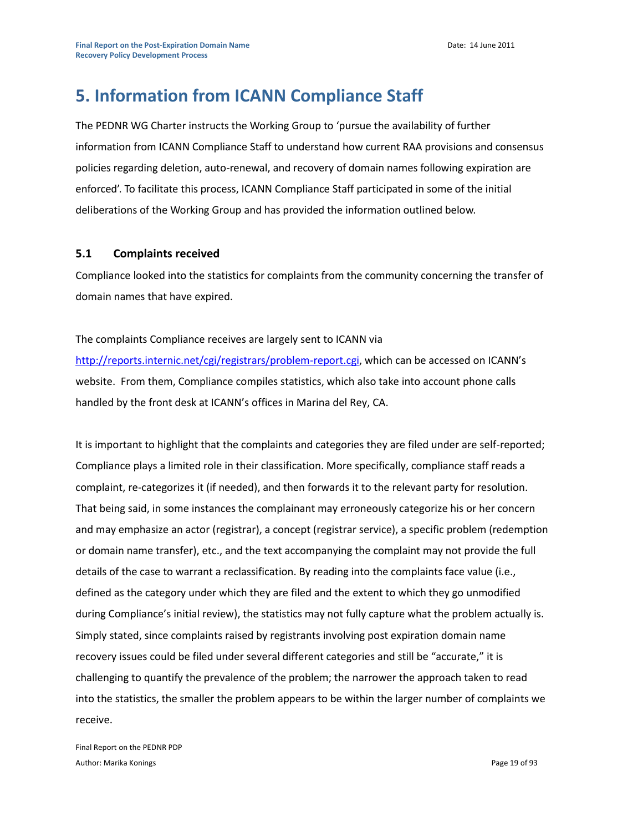# **5. Information from ICANN Compliance Staff**

The PEDNR WG Charter instructs the Working Group to 'pursue the availability of further information from ICANN Compliance Staff to understand how current RAA provisions and consensus policies regarding deletion, auto-renewal, and recovery of domain names following expiration are enforced'. To facilitate this process, ICANN Compliance Staff participated in some of the initial deliberations of the Working Group and has provided the information outlined below.

#### **5.1 Complaints received**

Compliance looked into the statistics for complaints from the community concerning the transfer of domain names that have expired.

#### The complaints Compliance receives are largely sent to ICANN via

<http://reports.internic.net/cgi/registrars/problem-report.cgi>, which can be accessed on ICANN's website. From them, Compliance compiles statistics, which also take into account phone calls handled by the front desk at ICANN's offices in Marina del Rey, CA.

It is important to highlight that the complaints and categories they are filed under are self-reported; Compliance plays a limited role in their classification. More specifically, compliance staff reads a complaint, re-categorizes it (if needed), and then forwards it to the relevant party for resolution. That being said, in some instances the complainant may erroneously categorize his or her concern and may emphasize an actor (registrar), a concept (registrar service), a specific problem (redemption or domain name transfer), etc., and the text accompanying the complaint may not provide the full details of the case to warrant a reclassification. By reading into the complaints face value (i.e., defined as the category under which they are filed and the extent to which they go unmodified during Compliance's initial review), the statistics may not fully capture what the problem actually is. Simply stated, since complaints raised by registrants involving post expiration domain name recovery issues could be filed under several different categories and still be "accurate," it is challenging to quantify the prevalence of the problem; the narrower the approach taken to read into the statistics, the smaller the problem appears to be within the larger number of complaints we receive.

Final Report on the PEDNR PDP Author: Marika Konings **Page 19 of 93** Author: Marika Konings **Page 19 of 93** Author: Marika Konings **Page 19 of 93**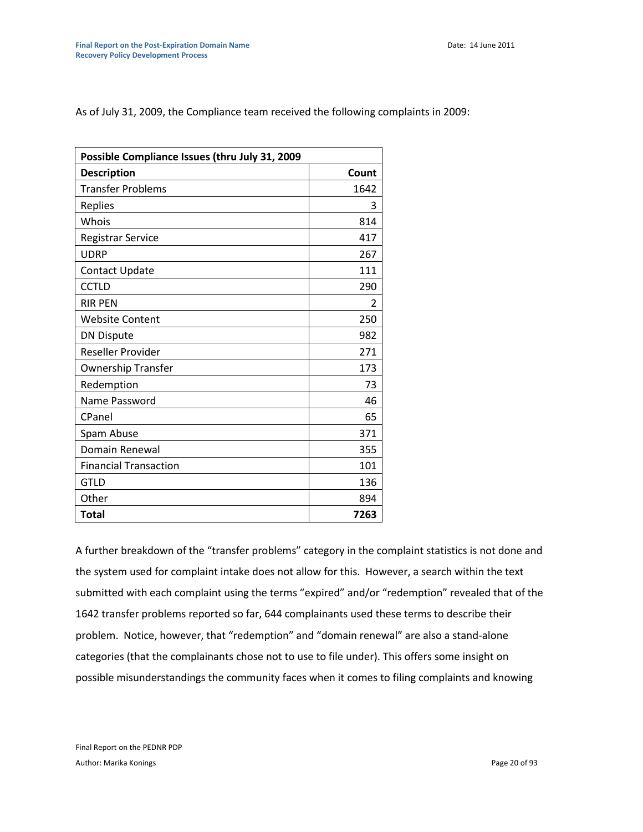As of July 31, 2009, the Compliance team received the following complaints in 2009:

| Possible Compliance Issues (thru July 31, 2009 |       |  |
|------------------------------------------------|-------|--|
| <b>Description</b>                             | Count |  |
| <b>Transfer Problems</b>                       | 1642  |  |
| Replies                                        | 3     |  |
| Whois                                          | 814   |  |
| <b>Registrar Service</b>                       | 417   |  |
| <b>UDRP</b>                                    | 267   |  |
| Contact Update                                 | 111   |  |
| <b>CCTLD</b>                                   | 290   |  |
| <b>RIR PEN</b>                                 | 2     |  |
| <b>Website Content</b>                         | 250   |  |
| <b>DN Dispute</b>                              | 982   |  |
| Reseller Provider                              | 271   |  |
| <b>Ownership Transfer</b>                      | 173   |  |
| Redemption                                     | 73    |  |
| Name Password                                  | 46    |  |
| CPanel                                         | 65    |  |
| Spam Abuse                                     | 371   |  |
| Domain Renewal                                 | 355   |  |
| <b>Financial Transaction</b>                   | 101   |  |
| <b>GTLD</b>                                    | 136   |  |
| Other                                          | 894   |  |
| <b>Total</b>                                   | 7263  |  |

A further breakdown of the "transfer problems" category in the complaint statistics is not done and the system used for complaint intake does not allow for this. However, a search within the text submitted with each complaint using the terms "expired" and/or "redemption" revealed that of the 1642 transfer problems reported so far, 644 complainants used these terms to describe their problem. Notice, however, that "redemption" and "domain renewal" are also a stand-alone categories (that the complainants chose not to use to file under). This offers some insight on possible misunderstandings the community faces when it comes to filing complaints and knowing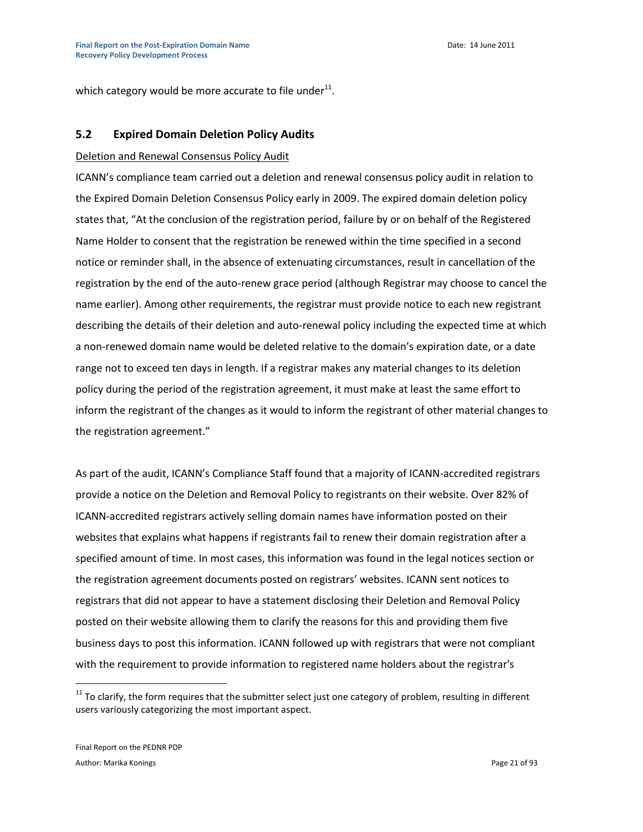which category would be more accurate to file under<sup>11</sup>.

#### **5.2 Expired Domain Deletion Policy Audits**

#### Deletion and Renewal Consensus Policy Audit

ICANN's compliance team carried out a deletion and renewal consensus policy audit in relation to the Expired Domain Deletion Consensus Policy early in 2009. The expired domain deletion policy states that, "At the conclusion of the registration period, failure by or on behalf of the Registered Name Holder to consent that the registration be renewed within the time specified in a second notice or reminder shall, in the absence of extenuating circumstances, result in cancellation of the registration by the end of the auto-renew grace period (although Registrar may choose to cancel the name earlier). Among other requirements, the registrar must provide notice to each new registrant describing the details of their deletion and auto-renewal policy including the expected time at which a non-renewed domain name would be deleted relative to the domain's expiration date, or a date range not to exceed ten days in length. If a registrar makes any material changes to its deletion policy during the period of the registration agreement, it must make at least the same effort to inform the registrant of the changes as it would to inform the registrant of other material changes to the registration agreement."

As part of the audit, ICANN's Compliance Staff found that a majority of ICANN-accredited registrars provide a notice on the Deletion and Removal Policy to registrants on their website. Over 82% of ICANN-accredited registrars actively selling domain names have information posted on their websites that explains what happens if registrants fail to renew their domain registration after a specified amount of time. In most cases, this information was found in the legal notices section or the registration agreement documents posted on registrars' websites. ICANN sent notices to registrars that did not appear to have a statement disclosing their Deletion and Removal Policy posted on their website allowing them to clarify the reasons for this and providing them five business days to post this information. ICANN followed up with registrars that were not compliant with the requirement to provide information to registered name holders about the registrar's

 $11$  To clarify, the form requires that the submitter select just one category of problem, resulting in different users variously categorizing the most important aspect.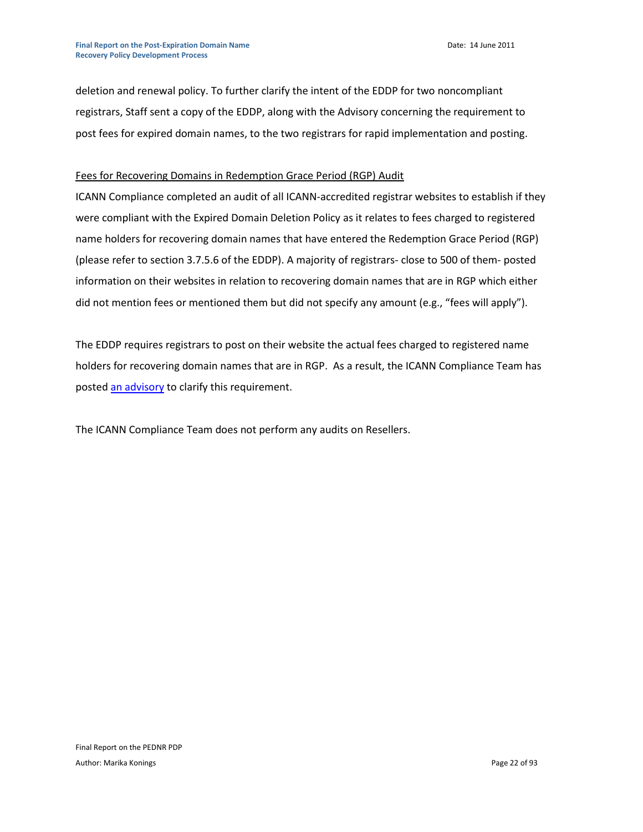deletion and renewal policy. To further clarify the intent of the EDDP for two noncompliant registrars, Staff sent a copy of the EDDP, along with the Advisory concerning the requirement to post fees for expired domain names, to the two registrars for rapid implementation and posting.

#### Fees for Recovering Domains in Redemption Grace Period (RGP) Audit

ICANN Compliance completed an audit of all ICANN-accredited registrar websites to establish if they were compliant with the Expired Domain Deletion Policy as it relates to fees charged to registered name holders for recovering domain names that have entered the Redemption Grace Period (RGP) (please refer to section 3.7.5.6 of the EDDP). A majority of registrars- close to 500 of them- posted information on their websites in relation to recovering domain names that are in RGP which either did not mention fees or mentioned them but did not specify any amount (e.g., "fees will apply").

The EDDP requires registrars to post on their website the actual fees charged to registered name holders for recovering domain names that are in RGP. As a result, the ICANN Compliance Team has poste[d an advisory](http://www.icann.org/en/compliance/advisory-deleted-domain-restoration-fees-17dec09-en.htm) to clarify this requirement.

The ICANN Compliance Team does not perform any audits on Resellers.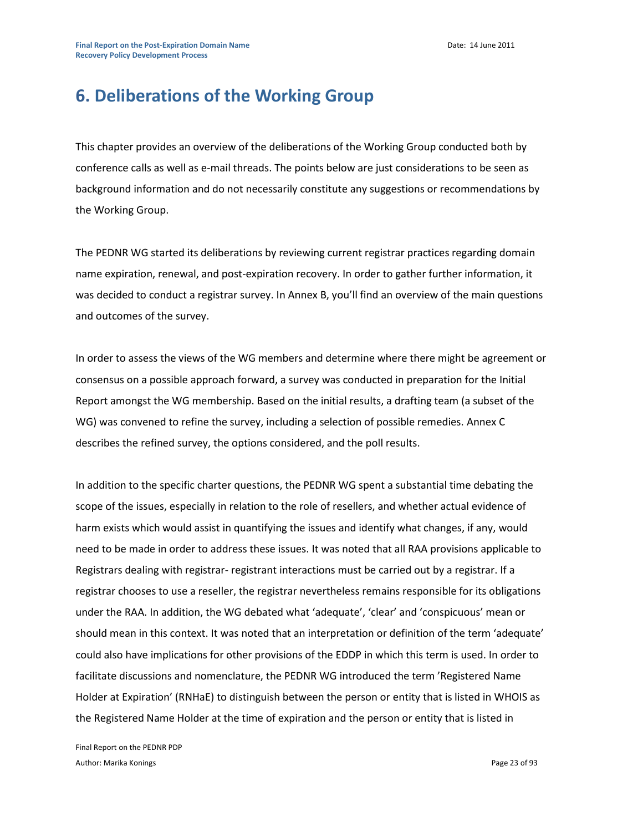# **6. Deliberations of the Working Group**

This chapter provides an overview of the deliberations of the Working Group conducted both by conference calls as well as e-mail threads. The points below are just considerations to be seen as background information and do not necessarily constitute any suggestions or recommendations by the Working Group.

The PEDNR WG started its deliberations by reviewing current registrar practices regarding domain name expiration, renewal, and post-expiration recovery. In order to gather further information, it was decided to conduct a registrar survey. In Annex B, you'll find an overview of the main questions and outcomes of the survey.

In order to assess the views of the WG members and determine where there might be agreement or consensus on a possible approach forward, a survey was conducted in preparation for the Initial Report amongst the WG membership. Based on the initial results, a drafting team (a subset of the WG) was convened to refine the survey, including a selection of possible remedies. Annex C describes the refined survey, the options considered, and the poll results.

In addition to the specific charter questions, the PEDNR WG spent a substantial time debating the scope of the issues, especially in relation to the role of resellers, and whether actual evidence of harm exists which would assist in quantifying the issues and identify what changes, if any, would need to be made in order to address these issues. It was noted that all RAA provisions applicable to Registrars dealing with registrar- registrant interactions must be carried out by a registrar. If a registrar chooses to use a reseller, the registrar nevertheless remains responsible for its obligations under the RAA. In addition, the WG debated what 'adequate', 'clear' and 'conspicuous' mean or should mean in this context. It was noted that an interpretation or definition of the term 'adequate' could also have implications for other provisions of the EDDP in which this term is used. In order to facilitate discussions and nomenclature, the PEDNR WG introduced the term 'Registered Name Holder at Expiration' (RNHaE) to distinguish between the person or entity that is listed in WHOIS as the Registered Name Holder at the time of expiration and the person or entity that is listed in

Final Report on the PEDNR PDP Author: Marika Konings **Page 23 of 93** Author: Marika Konings **Page 23 of 93**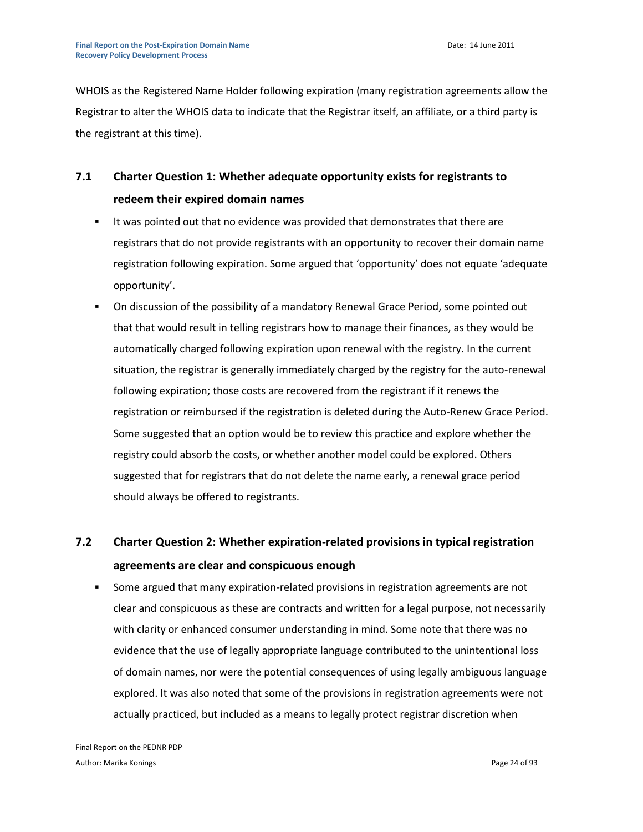WHOIS as the Registered Name Holder following expiration (many registration agreements allow the Registrar to alter the WHOIS data to indicate that the Registrar itself, an affiliate, or a third party is the registrant at this time).

# **7.1 Charter Question 1: Whether adequate opportunity exists for registrants to redeem their expired domain names**

- It was pointed out that no evidence was provided that demonstrates that there are registrars that do not provide registrants with an opportunity to recover their domain name registration following expiration. Some argued that 'opportunity' does not equate 'adequate opportunity'.
- On discussion of the possibility of a mandatory Renewal Grace Period, some pointed out that that would result in telling registrars how to manage their finances, as they would be automatically charged following expiration upon renewal with the registry. In the current situation, the registrar is generally immediately charged by the registry for the auto-renewal following expiration; those costs are recovered from the registrant if it renews the registration or reimbursed if the registration is deleted during the Auto-Renew Grace Period. Some suggested that an option would be to review this practice and explore whether the registry could absorb the costs, or whether another model could be explored. Others suggested that for registrars that do not delete the name early, a renewal grace period should always be offered to registrants.

# **7.2 Charter Question 2: Whether expiration-related provisions in typical registration agreements are clear and conspicuous enough**

 Some argued that many expiration-related provisions in registration agreements are not clear and conspicuous as these are contracts and written for a legal purpose, not necessarily with clarity or enhanced consumer understanding in mind. Some note that there was no evidence that the use of legally appropriate language contributed to the unintentional loss of domain names, nor were the potential consequences of using legally ambiguous language explored. It was also noted that some of the provisions in registration agreements were not actually practiced, but included as a means to legally protect registrar discretion when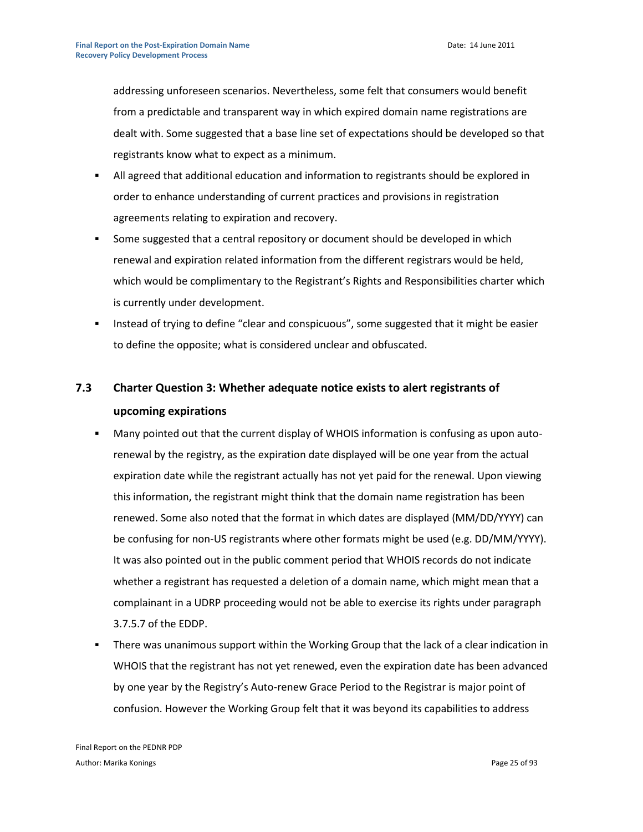addressing unforeseen scenarios. Nevertheless, some felt that consumers would benefit from a predictable and transparent way in which expired domain name registrations are dealt with. Some suggested that a base line set of expectations should be developed so that registrants know what to expect as a minimum.

- All agreed that additional education and information to registrants should be explored in order to enhance understanding of current practices and provisions in registration agreements relating to expiration and recovery.
- Some suggested that a central repository or document should be developed in which renewal and expiration related information from the different registrars would be held, which would be complimentary to the Registrant's Rights and Responsibilities charter which is currently under development.
- **Instead of trying to define "clear and conspicuous", some suggested that it might be easier** to define the opposite; what is considered unclear and obfuscated.

# **7.3 Charter Question 3: Whether adequate notice exists to alert registrants of upcoming expirations**

- Many pointed out that the current display of WHOIS information is confusing as upon autorenewal by the registry, as the expiration date displayed will be one year from the actual expiration date while the registrant actually has not yet paid for the renewal. Upon viewing this information, the registrant might think that the domain name registration has been renewed. Some also noted that the format in which dates are displayed (MM/DD/YYYY) can be confusing for non-US registrants where other formats might be used (e.g. DD/MM/YYYY). It was also pointed out in the public comment period that WHOIS records do not indicate whether a registrant has requested a deletion of a domain name, which might mean that a complainant in a UDRP proceeding would not be able to exercise its rights under paragraph 3.7.5.7 of the EDDP.
- There was unanimous support within the Working Group that the lack of a clear indication in WHOIS that the registrant has not yet renewed, even the expiration date has been advanced by one year by the Registry's Auto-renew Grace Period to the Registrar is major point of confusion. However the Working Group felt that it was beyond its capabilities to address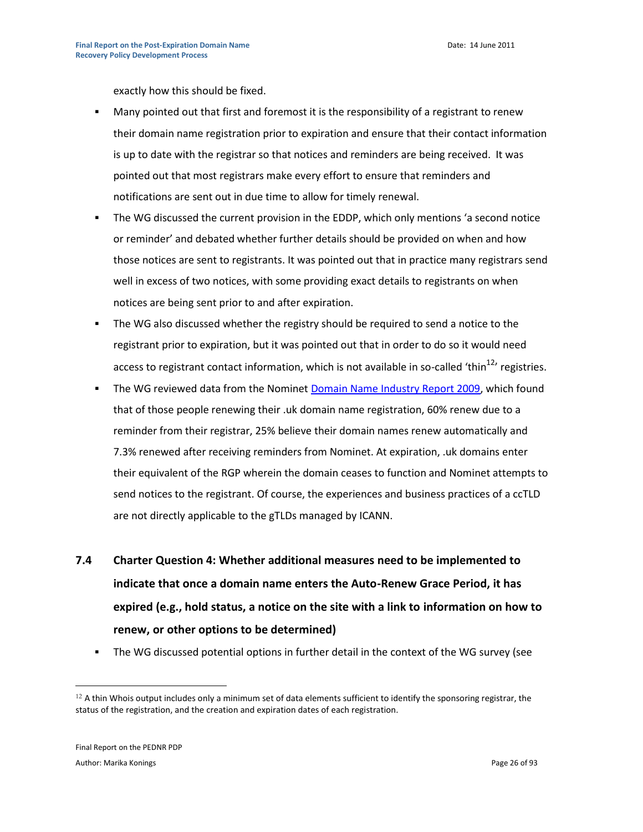exactly how this should be fixed.

- Many pointed out that first and foremost it is the responsibility of a registrant to renew their domain name registration prior to expiration and ensure that their contact information is up to date with the registrar so that notices and reminders are being received. It was pointed out that most registrars make every effort to ensure that reminders and notifications are sent out in due time to allow for timely renewal.
- The WG discussed the current provision in the EDDP, which only mentions 'a second notice or reminder' and debated whether further details should be provided on when and how those notices are sent to registrants. It was pointed out that in practice many registrars send well in excess of two notices, with some providing exact details to registrants on when notices are being sent prior to and after expiration.
- **The WG also discussed whether the registry should be required to send a notice to the** registrant prior to expiration, but it was pointed out that in order to do so it would need access to registrant contact information, which is not available in so-called 'thin<sup>12</sup>' registries.
- The WG reviewed data from the Nominet [Domain Name Industry Report 2009,](http://www.nominet.org.uk/digitalAssets/38597_domain_name_industry_report2009.pdf) which found that of those people renewing their .uk domain name registration, 60% renew due to a reminder from their registrar, 25% believe their domain names renew automatically and 7.3% renewed after receiving reminders from Nominet. At expiration, .uk domains enter their equivalent of the RGP wherein the domain ceases to function and Nominet attempts to send notices to the registrant. Of course, the experiences and business practices of a ccTLD are not directly applicable to the gTLDs managed by ICANN.
- **7.4 Charter Question 4: Whether additional measures need to be implemented to indicate that once a domain name enters the Auto-Renew Grace Period, it has expired (e.g., hold status, a notice on the site with a link to information on how to renew, or other options to be determined)**
	- The WG discussed potential options in further detail in the context of the WG survey (see

 $12$  A thin Whois output includes only a minimum set of data elements sufficient to identify the sponsoring registrar, the status of the registration, and the creation and expiration dates of each registration.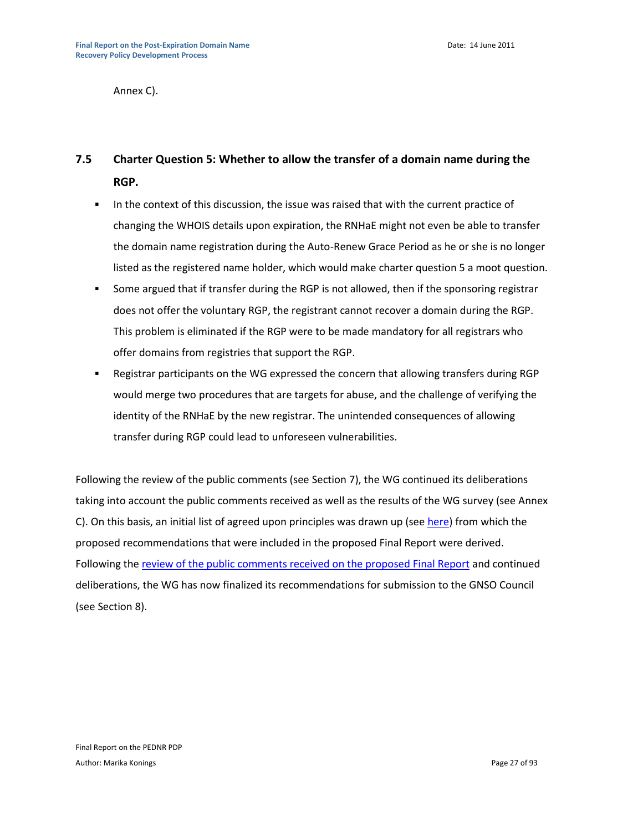Annex C).

### **7.5 Charter Question 5: Whether to allow the transfer of a domain name during the RGP.**

- In the context of this discussion, the issue was raised that with the current practice of changing the WHOIS details upon expiration, the RNHaE might not even be able to transfer the domain name registration during the Auto-Renew Grace Period as he or she is no longer listed as the registered name holder, which would make charter question 5 a moot question.
- Some argued that if transfer during the RGP is not allowed, then if the sponsoring registrar does not offer the voluntary RGP, the registrant cannot recover a domain during the RGP. This problem is eliminated if the RGP were to be made mandatory for all registrars who offer domains from registries that support the RGP.
- Registrar participants on the WG expressed the concern that allowing transfers during RGP would merge two procedures that are targets for abuse, and the challenge of verifying the identity of the RNHaE by the new registrar. The unintended consequences of allowing transfer during RGP could lead to unforeseen vulnerabilities.

Following the review of the public comments (see Section 7), the WG continued its deliberations taking into account the public comments received as well as the results of the WG survey (see Annex C). On this basis, an initial list of agreed upon principles was drawn up (see [here\)](https://community.icann.org/download/attachments/9405459/PEDNR+Draft+Recommendations+-+updated+8+December+2010.doc?version=1&modificationDate=1306139965105) from which the proposed recommendations that were included in the proposed Final Report were derived. Following the [review of the public comments received on the proposed Final Report](https://community.icann.org/download/attachments/9405459/PEDNR+Public+comment+review+tool+-+Final+-+8+June+2011.pdf?version=1&modificationDate=1307530348742) and continued deliberations, the WG has now finalized its recommendations for submission to the GNSO Council (see Section 8).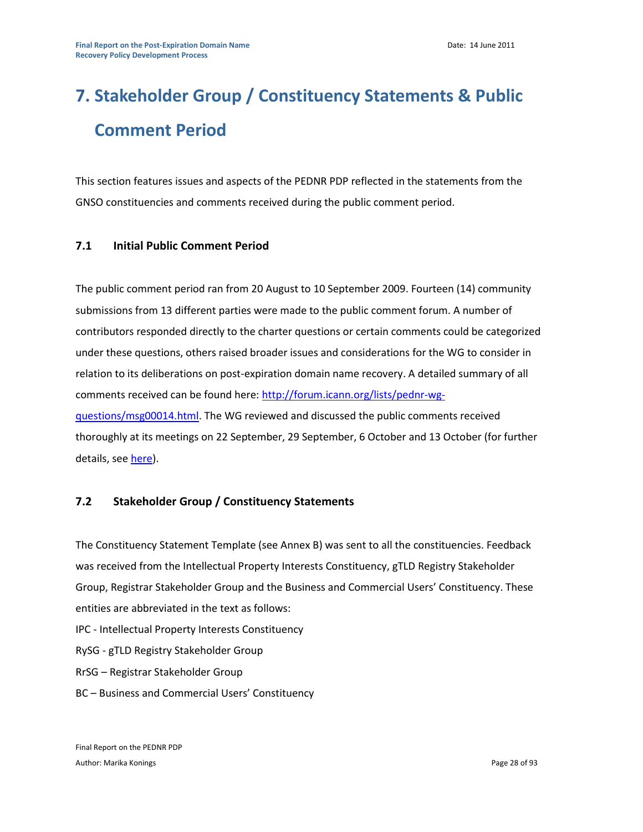# **7. Stakeholder Group / Constituency Statements & Public Comment Period**

This section features issues and aspects of the PEDNR PDP reflected in the statements from the GNSO constituencies and comments received during the public comment period.

#### **7.1 Initial Public Comment Period**

The public comment period ran from 20 August to 10 September 2009. Fourteen (14) community submissions from 13 different parties were made to the public comment forum. A number of contributors responded directly to the charter questions or certain comments could be categorized under these questions, others raised broader issues and considerations for the WG to consider in relation to its deliberations on post-expiration domain name recovery. A detailed summary of all comments received can be found here: [http://forum.icann.org/lists/pednr-wg](http://forum.icann.org/lists/pednr-wg-questions/msg00014.html)[questions/msg00014.html.](http://forum.icann.org/lists/pednr-wg-questions/msg00014.html) The WG reviewed and discussed the public comments received thoroughly at its meetings on 22 September, 29 September, 6 October and 13 October (for further details, se[e here\)](https://community.icann.org/download/attachments/9405459/PEDNR+public+comment+-+analysis+and+review+-+13+October+2009.pdf?version=1&modificationDate=1306140159349).

#### **7.2 Stakeholder Group / Constituency Statements**

The Constituency Statement Template (see Annex B) was sent to all the constituencies. Feedback was received from the Intellectual Property Interests Constituency, gTLD Registry Stakeholder Group, Registrar Stakeholder Group and the Business and Commercial Users' Constituency. These entities are abbreviated in the text as follows:

IPC - Intellectual Property Interests Constituency

RySG - gTLD Registry Stakeholder Group

RrSG – Registrar Stakeholder Group

BC – Business and Commercial Users' Constituency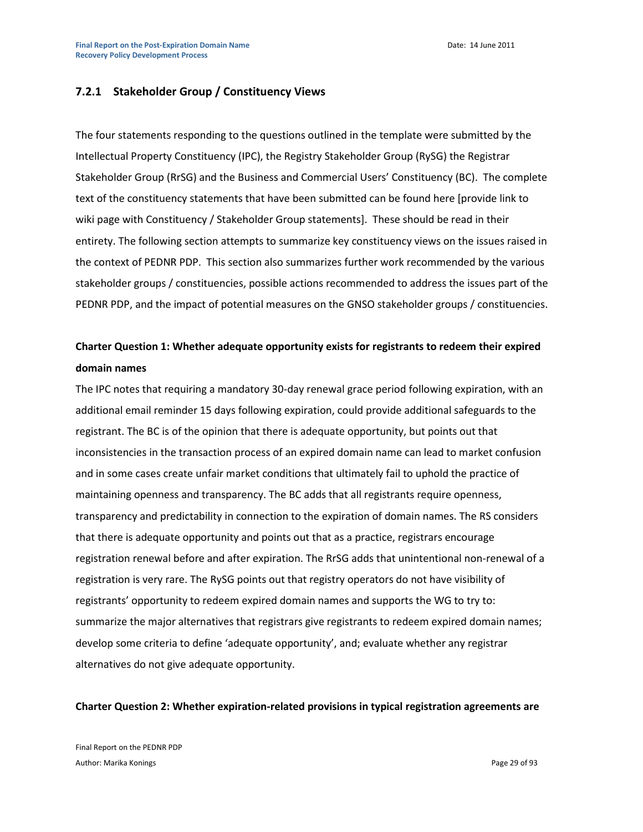#### **7.2.1 Stakeholder Group / Constituency Views**

The four statements responding to the questions outlined in the template were submitted by the Intellectual Property Constituency (IPC), the Registry Stakeholder Group (RySG) the Registrar Stakeholder Group (RrSG) and the Business and Commercial Users' Constituency (BC). The complete text of the constituency statements that have been submitted can be found here [provide link to wiki page with Constituency / Stakeholder Group statements]. These should be read in their entirety. The following section attempts to summarize key constituency views on the issues raised in the context of PEDNR PDP. This section also summarizes further work recommended by the various stakeholder groups / constituencies, possible actions recommended to address the issues part of the PEDNR PDP, and the impact of potential measures on the GNSO stakeholder groups / constituencies.

### **Charter Question 1: Whether adequate opportunity exists for registrants to redeem their expired domain names**

The IPC notes that requiring a mandatory 30-day renewal grace period following expiration, with an additional email reminder 15 days following expiration, could provide additional safeguards to the registrant. The BC is of the opinion that there is adequate opportunity, but points out that inconsistencies in the transaction process of an expired domain name can lead to market confusion and in some cases create unfair market conditions that ultimately fail to uphold the practice of maintaining openness and transparency. The BC adds that all registrants require openness, transparency and predictability in connection to the expiration of domain names. The RS considers that there is adequate opportunity and points out that as a practice, registrars encourage registration renewal before and after expiration. The RrSG adds that unintentional non-renewal of a registration is very rare. The RySG points out that registry operators do not have visibility of registrants' opportunity to redeem expired domain names and supports the WG to try to: summarize the major alternatives that registrars give registrants to redeem expired domain names; develop some criteria to define 'adequate opportunity', and; evaluate whether any registrar alternatives do not give adequate opportunity.

#### **Charter Question 2: Whether expiration-related provisions in typical registration agreements are**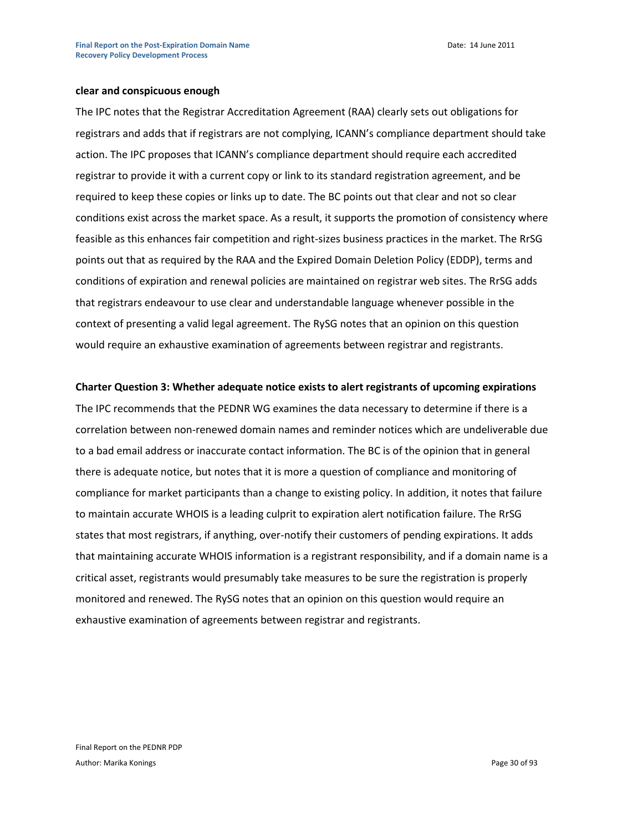Date: 14 June 2011

#### **clear and conspicuous enough**

The IPC notes that the Registrar Accreditation Agreement (RAA) clearly sets out obligations for registrars and adds that if registrars are not complying, ICANN's compliance department should take action. The IPC proposes that ICANN's compliance department should require each accredited registrar to provide it with a current copy or link to its standard registration agreement, and be required to keep these copies or links up to date. The BC points out that clear and not so clear conditions exist across the market space. As a result, it supports the promotion of consistency where feasible as this enhances fair competition and right-sizes business practices in the market. The RrSG points out that as required by the RAA and the Expired Domain Deletion Policy (EDDP), terms and conditions of expiration and renewal policies are maintained on registrar web sites. The RrSG adds that registrars endeavour to use clear and understandable language whenever possible in the context of presenting a valid legal agreement. The RySG notes that an opinion on this question would require an exhaustive examination of agreements between registrar and registrants.

#### **Charter Question 3: Whether adequate notice exists to alert registrants of upcoming expirations**

The IPC recommends that the PEDNR WG examines the data necessary to determine if there is a correlation between non-renewed domain names and reminder notices which are undeliverable due to a bad email address or inaccurate contact information. The BC is of the opinion that in general there is adequate notice, but notes that it is more a question of compliance and monitoring of compliance for market participants than a change to existing policy. In addition, it notes that failure to maintain accurate WHOIS is a leading culprit to expiration alert notification failure. The RrSG states that most registrars, if anything, over-notify their customers of pending expirations. It adds that maintaining accurate WHOIS information is a registrant responsibility, and if a domain name is a critical asset, registrants would presumably take measures to be sure the registration is properly monitored and renewed. The RySG notes that an opinion on this question would require an exhaustive examination of agreements between registrar and registrants.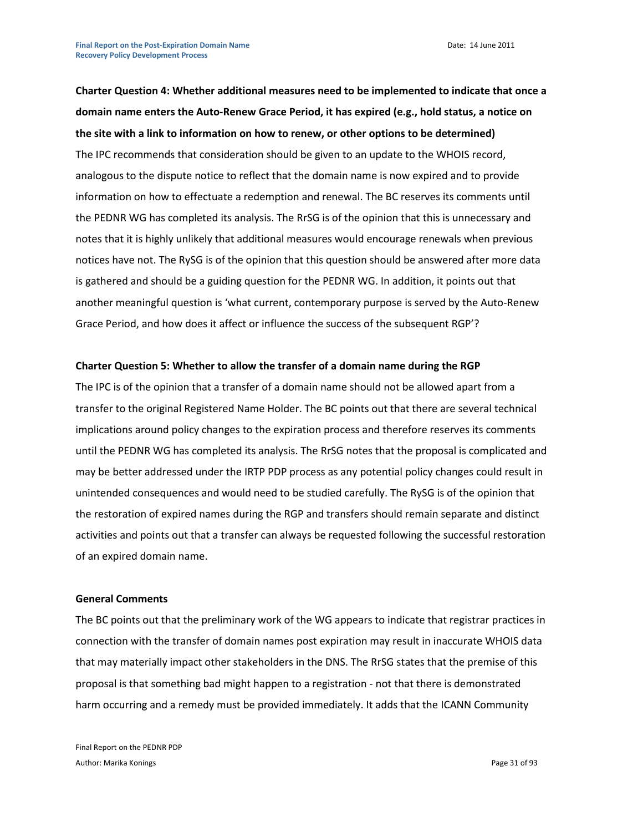**Charter Question 4: Whether additional measures need to be implemented to indicate that once a domain name enters the Auto-Renew Grace Period, it has expired (e.g., hold status, a notice on the site with a link to information on how to renew, or other options to be determined)** The IPC recommends that consideration should be given to an update to the WHOIS record, analogous to the dispute notice to reflect that the domain name is now expired and to provide information on how to effectuate a redemption and renewal. The BC reserves its comments until the PEDNR WG has completed its analysis. The RrSG is of the opinion that this is unnecessary and notes that it is highly unlikely that additional measures would encourage renewals when previous notices have not. The RySG is of the opinion that this question should be answered after more data is gathered and should be a guiding question for the PEDNR WG. In addition, it points out that another meaningful question is 'what current, contemporary purpose is served by the Auto-Renew Grace Period, and how does it affect or influence the success of the subsequent RGP'?

#### **Charter Question 5: Whether to allow the transfer of a domain name during the RGP**

The IPC is of the opinion that a transfer of a domain name should not be allowed apart from a transfer to the original Registered Name Holder. The BC points out that there are several technical implications around policy changes to the expiration process and therefore reserves its comments until the PEDNR WG has completed its analysis. The RrSG notes that the proposal is complicated and may be better addressed under the IRTP PDP process as any potential policy changes could result in unintended consequences and would need to be studied carefully. The RySG is of the opinion that the restoration of expired names during the RGP and transfers should remain separate and distinct activities and points out that a transfer can always be requested following the successful restoration of an expired domain name.

#### **General Comments**

The BC points out that the preliminary work of the WG appears to indicate that registrar practices in connection with the transfer of domain names post expiration may result in inaccurate WHOIS data that may materially impact other stakeholders in the DNS. The RrSG states that the premise of this proposal is that something bad might happen to a registration - not that there is demonstrated harm occurring and a remedy must be provided immediately. It adds that the ICANN Community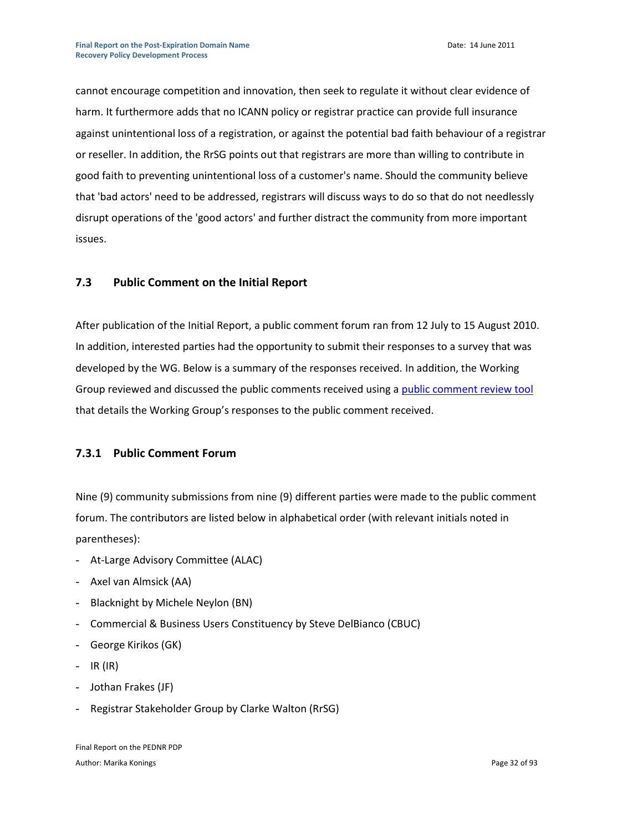cannot encourage competition and innovation, then seek to regulate it without clear evidence of harm. It furthermore adds that no ICANN policy or registrar practice can provide full insurance against unintentional loss of a registration, or against the potential bad faith behaviour of a registrar or reseller. In addition, the RrSG points out that registrars are more than willing to contribute in good faith to preventing unintentional loss of a customer's name. Should the community believe that 'bad actors' need to be addressed, registrars will discuss ways to do so that do not needlessly disrupt operations of the 'good actors' and further distract the community from more important issues.

#### **7.3 Public Comment on the Initial Report**

After publication of the Initial Report, a public comment forum ran from 12 July to 15 August 2010. In addition, interested parties had the opportunity to submit their responses to a survey that was developed by the WG. Below is a summary of the responses received. In addition, the Working Group reviewed and discussed the public comments received using a [public comment review tool](https://community.icann.org/download/attachments/13598786/PEDNR%20Public%20comment%20review%20tool%20-%20updated%2021%20October%202010.doc?version=1&modificationDate=1302030075000) that details the Working Group's responses to the public comment received.

#### **7.3.1 Public Comment Forum**

Nine (9) community submissions from nine (9) different parties were made to the public comment forum. The contributors are listed below in alphabetical order (with relevant initials noted in parentheses):

- At-Large Advisory Committee (ALAC)
- Axel van Almsick (AA)
- Blacknight by Michele Neylon (BN)
- Commercial & Business Users Constituency by Steve DelBianco (CBUC)
- George Kirikos (GK)
- $-$  IR (IR)
- Jothan Frakes (JF)
- Registrar Stakeholder Group by Clarke Walton (RrSG)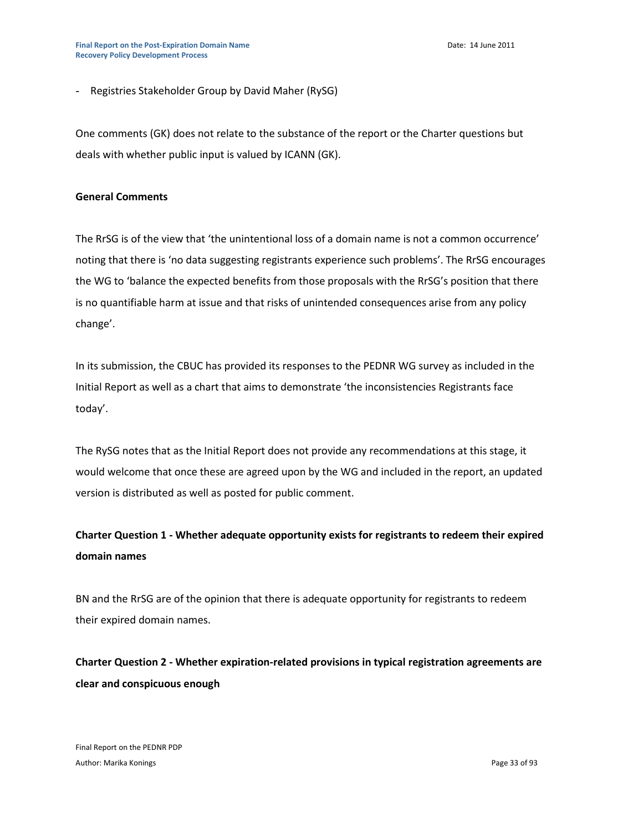- Registries Stakeholder Group by David Maher (RySG)

One comments (GK) does not relate to the substance of the report or the Charter questions but deals with whether public input is valued by ICANN (GK).

#### **General Comments**

The RrSG is of the view that 'the unintentional loss of a domain name is not a common occurrence' noting that there is 'no data suggesting registrants experience such problems'. The RrSG encourages the WG to 'balance the expected benefits from those proposals with the RrSG's position that there is no quantifiable harm at issue and that risks of unintended consequences arise from any policy change'.

In its submission, the CBUC has provided its responses to the PEDNR WG survey as included in the Initial Report as well as a chart that aims to demonstrate 'the inconsistencies Registrants face today'.

The RySG notes that as the Initial Report does not provide any recommendations at this stage, it would welcome that once these are agreed upon by the WG and included in the report, an updated version is distributed as well as posted for public comment.

### **Charter Question 1 - Whether adequate opportunity exists for registrants to redeem their expired domain names**

BN and the RrSG are of the opinion that there is adequate opportunity for registrants to redeem their expired domain names.

**Charter Question 2 - Whether expiration-related provisions in typical registration agreements are clear and conspicuous enough**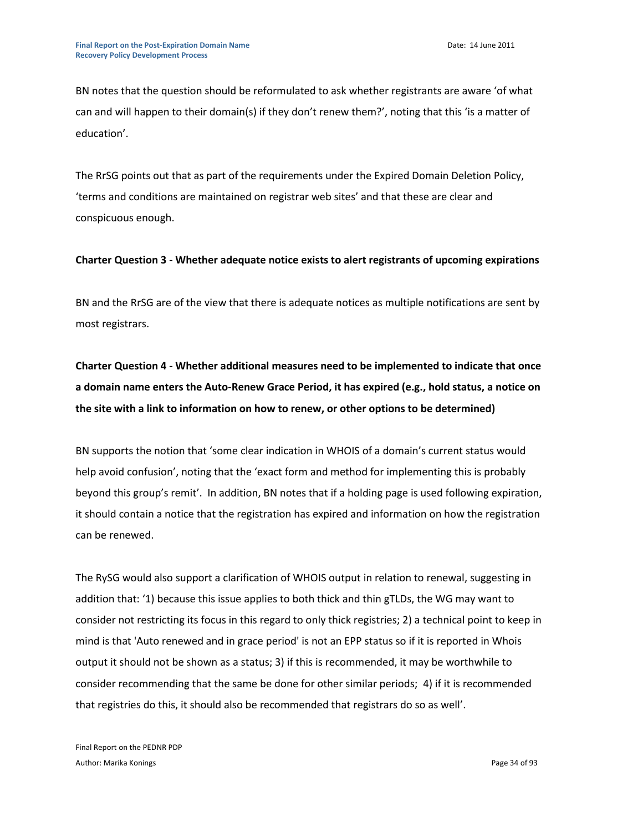BN notes that the question should be reformulated to ask whether registrants are aware 'of what can and will happen to their domain(s) if they don't renew them?', noting that this 'is a matter of education'.

The RrSG points out that as part of the requirements under the Expired Domain Deletion Policy, 'terms and conditions are maintained on registrar web sites' and that these are clear and conspicuous enough.

#### **Charter Question 3 - Whether adequate notice exists to alert registrants of upcoming expirations**

BN and the RrSG are of the view that there is adequate notices as multiple notifications are sent by most registrars.

**Charter Question 4 - Whether additional measures need to be implemented to indicate that once a domain name enters the Auto-Renew Grace Period, it has expired (e.g., hold status, a notice on the site with a link to information on how to renew, or other options to be determined)**

BN supports the notion that 'some clear indication in WHOIS of a domain's current status would help avoid confusion', noting that the 'exact form and method for implementing this is probably beyond this group's remit'. In addition, BN notes that if a holding page is used following expiration, it should contain a notice that the registration has expired and information on how the registration can be renewed.

The RySG would also support a clarification of WHOIS output in relation to renewal, suggesting in addition that: '1) because this issue applies to both thick and thin gTLDs, the WG may want to consider not restricting its focus in this regard to only thick registries; 2) a technical point to keep in mind is that 'Auto renewed and in grace period' is not an EPP status so if it is reported in Whois output it should not be shown as a status; 3) if this is recommended, it may be worthwhile to consider recommending that the same be done for other similar periods; 4) if it is recommended that registries do this, it should also be recommended that registrars do so as well'.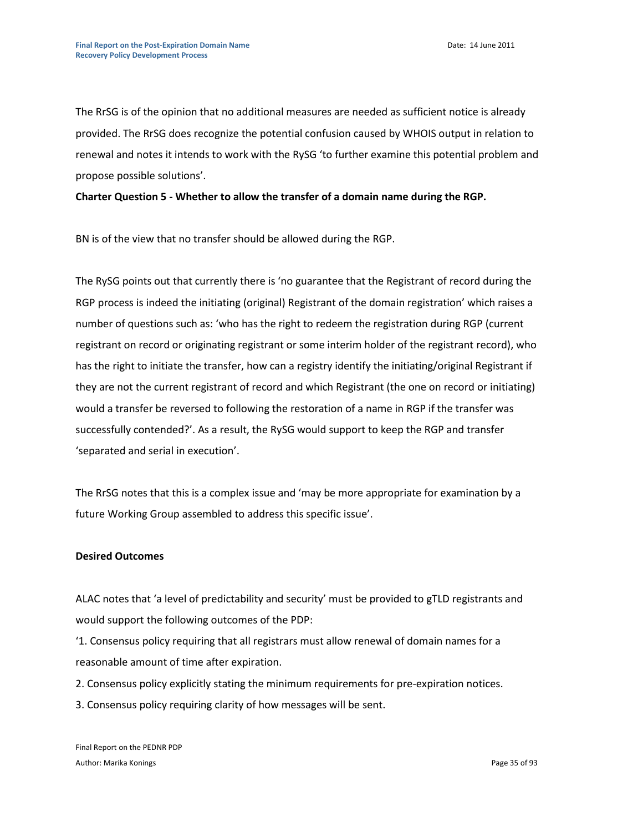The RrSG is of the opinion that no additional measures are needed as sufficient notice is already provided. The RrSG does recognize the potential confusion caused by WHOIS output in relation to renewal and notes it intends to work with the RySG 'to further examine this potential problem and propose possible solutions'.

**Charter Question 5 - Whether to allow the transfer of a domain name during the RGP.**

BN is of the view that no transfer should be allowed during the RGP.

The RySG points out that currently there is 'no guarantee that the Registrant of record during the RGP process is indeed the initiating (original) Registrant of the domain registration' which raises a number of questions such as: 'who has the right to redeem the registration during RGP (current registrant on record or originating registrant or some interim holder of the registrant record), who has the right to initiate the transfer, how can a registry identify the initiating/original Registrant if they are not the current registrant of record and which Registrant (the one on record or initiating) would a transfer be reversed to following the restoration of a name in RGP if the transfer was successfully contended?'. As a result, the RySG would support to keep the RGP and transfer 'separated and serial in execution'.

The RrSG notes that this is a complex issue and 'may be more appropriate for examination by a future Working Group assembled to address this specific issue'.

#### **Desired Outcomes**

ALAC notes that 'a level of predictability and security' must be provided to gTLD registrants and would support the following outcomes of the PDP:

'1. Consensus policy requiring that all registrars must allow renewal of domain names for a reasonable amount of time after expiration.

2. Consensus policy explicitly stating the minimum requirements for pre‐expiration notices.

3. Consensus policy requiring clarity of how messages will be sent.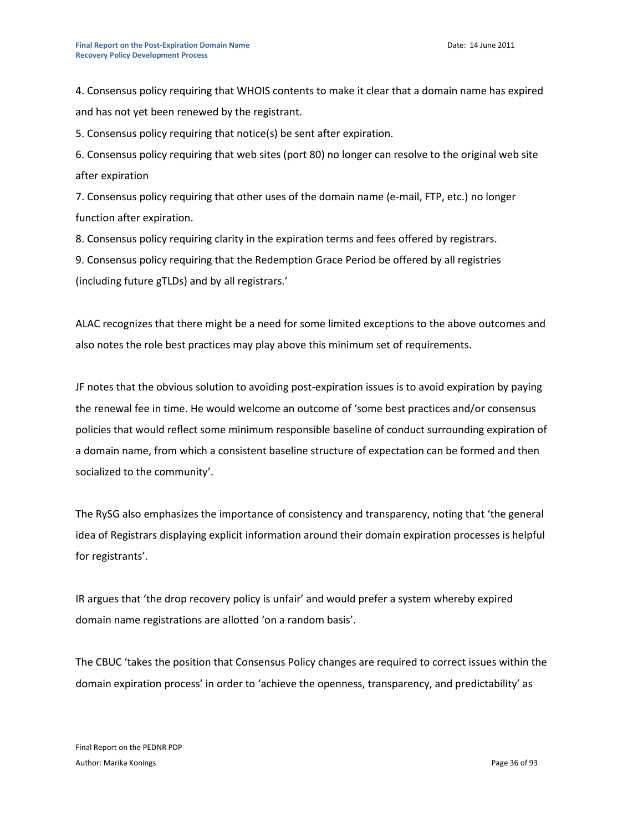4. Consensus policy requiring that WHOIS contents to make it clear that a domain name has expired and has not yet been renewed by the registrant.

5. Consensus policy requiring that notice(s) be sent after expiration.

6. Consensus policy requiring that web sites (port 80) no longer can resolve to the original web site after expiration

7. Consensus policy requiring that other uses of the domain name (e‐mail, FTP, etc.) no longer function after expiration.

8. Consensus policy requiring clarity in the expiration terms and fees offered by registrars.

9. Consensus policy requiring that the Redemption Grace Period be offered by all registries (including future gTLDs) and by all registrars.'

ALAC recognizes that there might be a need for some limited exceptions to the above outcomes and also notes the role best practices may play above this minimum set of requirements.

JF notes that the obvious solution to avoiding post-expiration issues is to avoid expiration by paying the renewal fee in time. He would welcome an outcome of 'some best practices and/or consensus policies that would reflect some minimum responsible baseline of conduct surrounding expiration of a domain name, from which a consistent baseline structure of expectation can be formed and then socialized to the community'.

The RySG also emphasizes the importance of consistency and transparency, noting that 'the general idea of Registrars displaying explicit information around their domain expiration processes is helpful for registrants'.

IR argues that 'the drop recovery policy is unfair' and would prefer a system whereby expired domain name registrations are allotted 'on a random basis'.

The CBUC 'takes the position that Consensus Policy changes are required to correct issues within the domain expiration process' in order to 'achieve the openness, transparency, and predictability' as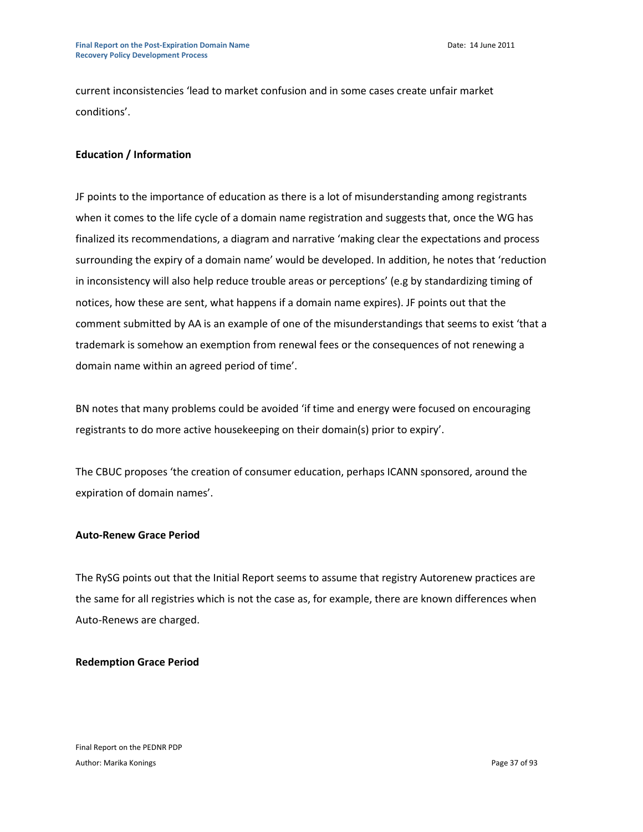current inconsistencies 'lead to market confusion and in some cases create unfair market conditions'.

# **Education / Information**

JF points to the importance of education as there is a lot of misunderstanding among registrants when it comes to the life cycle of a domain name registration and suggests that, once the WG has finalized its recommendations, a diagram and narrative 'making clear the expectations and process surrounding the expiry of a domain name' would be developed. In addition, he notes that 'reduction in inconsistency will also help reduce trouble areas or perceptions' (e.g by standardizing timing of notices, how these are sent, what happens if a domain name expires). JF points out that the comment submitted by AA is an example of one of the misunderstandings that seems to exist 'that a trademark is somehow an exemption from renewal fees or the consequences of not renewing a domain name within an agreed period of time'.

BN notes that many problems could be avoided 'if time and energy were focused on encouraging registrants to do more active housekeeping on their domain(s) prior to expiry'.

The CBUC proposes 'the creation of consumer education, perhaps ICANN sponsored, around the expiration of domain names'.

## **Auto-Renew Grace Period**

The RySG points out that the Initial Report seems to assume that registry Autorenew practices are the same for all registries which is not the case as, for example, there are known differences when Auto-Renews are charged.

## **Redemption Grace Period**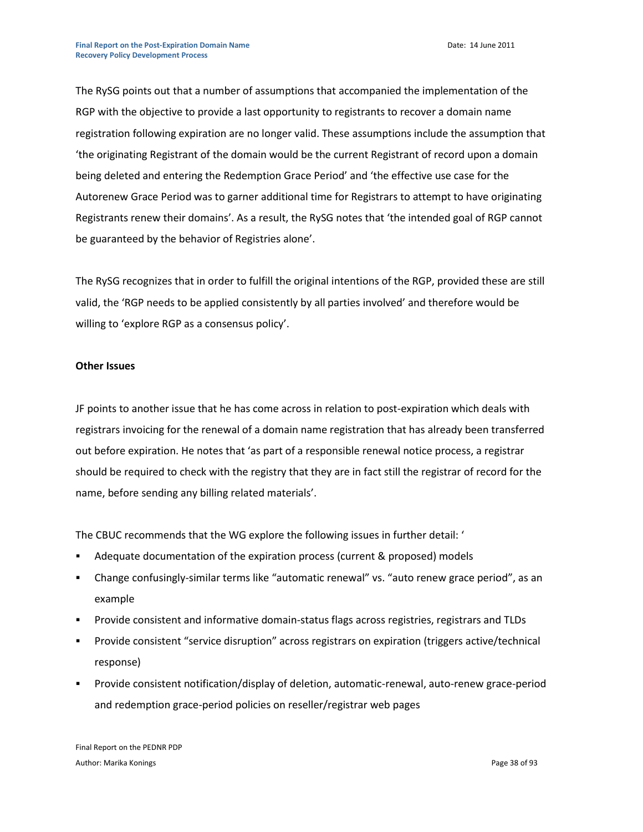The RySG points out that a number of assumptions that accompanied the implementation of the RGP with the objective to provide a last opportunity to registrants to recover a domain name registration following expiration are no longer valid. These assumptions include the assumption that 'the originating Registrant of the domain would be the current Registrant of record upon a domain being deleted and entering the Redemption Grace Period' and 'the effective use case for the Autorenew Grace Period was to garner additional time for Registrars to attempt to have originating Registrants renew their domains'. As a result, the RySG notes that 'the intended goal of RGP cannot be guaranteed by the behavior of Registries alone'.

The RySG recognizes that in order to fulfill the original intentions of the RGP, provided these are still valid, the 'RGP needs to be applied consistently by all parties involved' and therefore would be willing to 'explore RGP as a consensus policy'.

#### **Other Issues**

JF points to another issue that he has come across in relation to post-expiration which deals with registrars invoicing for the renewal of a domain name registration that has already been transferred out before expiration. He notes that 'as part of a responsible renewal notice process, a registrar should be required to check with the registry that they are in fact still the registrar of record for the name, before sending any billing related materials'.

The CBUC recommends that the WG explore the following issues in further detail: '

- Adequate documentation of the expiration process (current & proposed) models
- Change confusingly-similar terms like "automatic renewal" vs. "auto renew grace period", as an example
- Provide consistent and informative domain-status flags across registries, registrars and TLDs
- Provide consistent "service disruption" across registrars on expiration (triggers active/technical response)
- Provide consistent notification/display of deletion, automatic-renewal, auto-renew grace-period and redemption grace-period policies on reseller/registrar web pages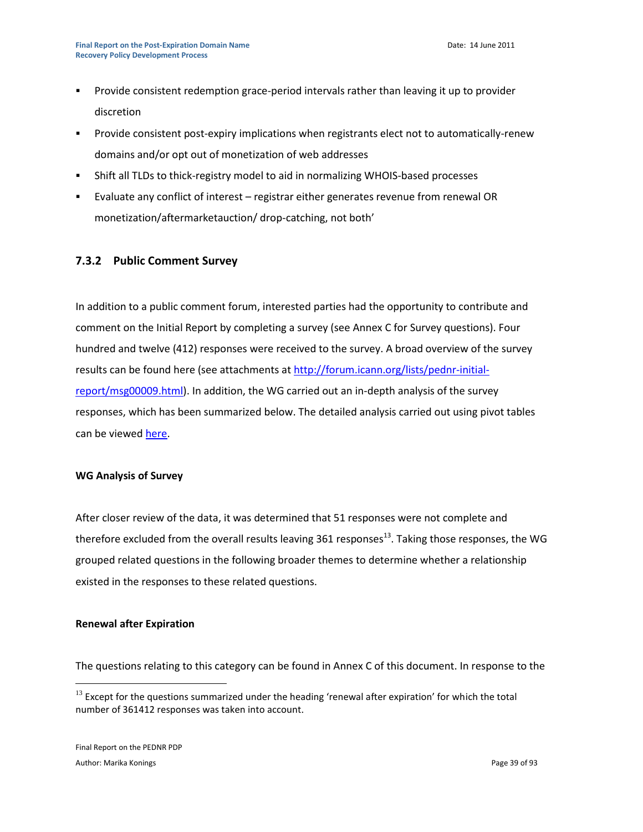- Provide consistent redemption grace-period intervals rather than leaving it up to provider discretion
- Provide consistent post-expiry implications when registrants elect not to automatically-renew domains and/or opt out of monetization of web addresses
- Shift all TLDs to thick-registry model to aid in normalizing WHOIS-based processes
- Evaluate any conflict of interest registrar either generates revenue from renewal OR monetization/aftermarketauction/ drop-catching, not both'

# **7.3.2 Public Comment Survey**

In addition to a public comment forum, interested parties had the opportunity to contribute and comment on the Initial Report by completing a survey (see Annex C for Survey questions). Four hundred and twelve (412) responses were received to the survey. A broad overview of the survey results can be found here (see attachments a[t http://forum.icann.org/lists/pednr-initial](http://forum.icann.org/lists/pednr-initial-report/msg00009.html)[report/msg00009.html\)](http://forum.icann.org/lists/pednr-initial-report/msg00009.html). In addition, the WG carried out an in-depth analysis of the survey responses, which has been summarized below. The detailed analysis carried out using pivot tables can be viewe[d here.](https://community.icann.org/download/attachments/13598786/PEDNR%20Public%20Comment%20Survey-Data%20Analysis-18Oct2010.xls?version=1&modificationDate=1302030076000)

#### **WG Analysis of Survey**

After closer review of the data, it was determined that 51 responses were not complete and therefore excluded from the overall results leaving  $361$  responses<sup>13</sup>. Taking those responses, the WG grouped related questions in the following broader themes to determine whether a relationship existed in the responses to these related questions.

#### **Renewal after Expiration**

The questions relating to this category can be found in Annex C of this document. In response to the

 $\overline{a}$ 

 $13$  Except for the questions summarized under the heading 'renewal after expiration' for which the total number of 361412 responses was taken into account.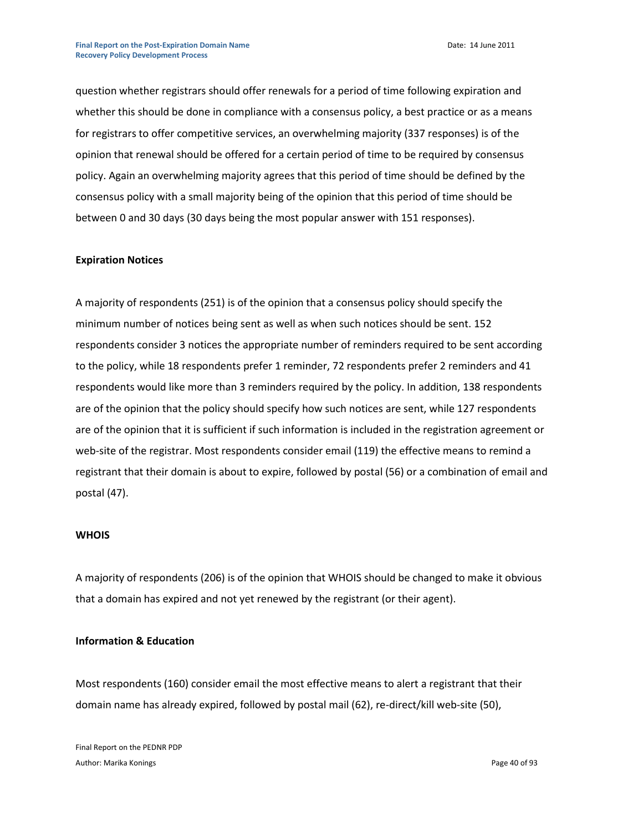question whether registrars should offer renewals for a period of time following expiration and whether this should be done in compliance with a consensus policy, a best practice or as a means for registrars to offer competitive services, an overwhelming majority (337 responses) is of the opinion that renewal should be offered for a certain period of time to be required by consensus policy. Again an overwhelming majority agrees that this period of time should be defined by the consensus policy with a small majority being of the opinion that this period of time should be between 0 and 30 days (30 days being the most popular answer with 151 responses).

#### **Expiration Notices**

A majority of respondents (251) is of the opinion that a consensus policy should specify the minimum number of notices being sent as well as when such notices should be sent. 152 respondents consider 3 notices the appropriate number of reminders required to be sent according to the policy, while 18 respondents prefer 1 reminder, 72 respondents prefer 2 reminders and 41 respondents would like more than 3 reminders required by the policy. In addition, 138 respondents are of the opinion that the policy should specify how such notices are sent, while 127 respondents are of the opinion that it is sufficient if such information is included in the registration agreement or web-site of the registrar. Most respondents consider email (119) the effective means to remind a registrant that their domain is about to expire, followed by postal (56) or a combination of email and postal (47).

#### **WHOIS**

A majority of respondents (206) is of the opinion that WHOIS should be changed to make it obvious that a domain has expired and not yet renewed by the registrant (or their agent).

#### **Information & Education**

Most respondents (160) consider email the most effective means to alert a registrant that their domain name has already expired, followed by postal mail (62), re-direct/kill web-site (50),

Final Report on the PEDNR PDP Author: Marika Konings **Page 40 of 93**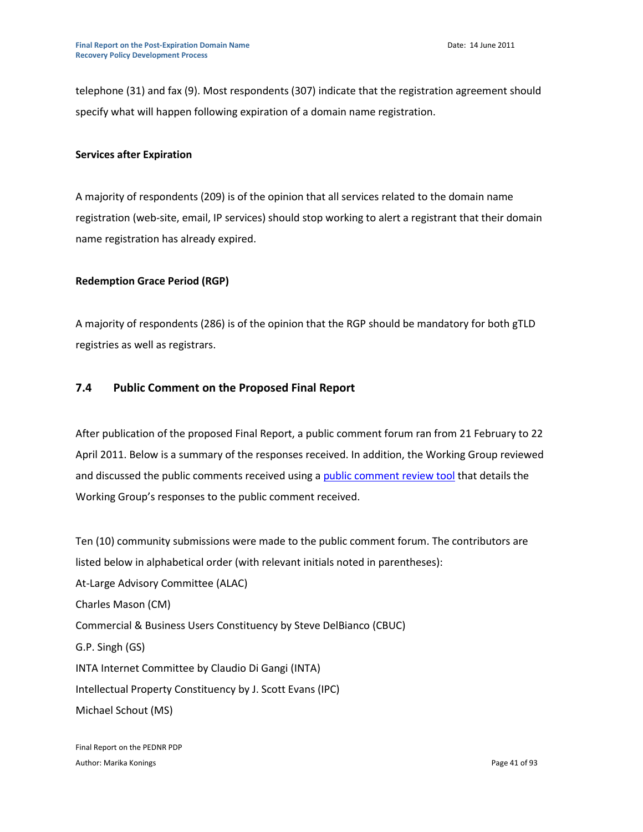telephone (31) and fax (9). Most respondents (307) indicate that the registration agreement should specify what will happen following expiration of a domain name registration.

## **Services after Expiration**

A majority of respondents (209) is of the opinion that all services related to the domain name registration (web-site, email, IP services) should stop working to alert a registrant that their domain name registration has already expired.

## **Redemption Grace Period (RGP)**

A majority of respondents (286) is of the opinion that the RGP should be mandatory for both gTLD registries as well as registrars.

## **7.4 Public Comment on the Proposed Final Report**

After publication of the proposed Final Report, a public comment forum ran from 21 February to 22 April 2011. Below is a summary of the responses received. In addition, the Working Group reviewed and discussed the public comments received using a [public comment review tool](https://community.icann.org/download/attachments/9405459/PEDNR+Public+comment+review+tool+-+Final+-+8+June+2011.pdf?version=1&modificationDate=1307530348742) that details the Working Group's responses to the public comment received.

Ten (10) community submissions were made to the public comment forum. The contributors are listed below in alphabetical order (with relevant initials noted in parentheses): At-Large Advisory Committee (ALAC) Charles Mason (CM) Commercial & Business Users Constituency by Steve DelBianco (CBUC) G.P. Singh (GS) INTA Internet Committee by Claudio Di Gangi (INTA) Intellectual Property Constituency by J. Scott Evans (IPC) Michael Schout (MS)

Final Report on the PEDNR PDP Author: Marika Konings **Page 41 of 93**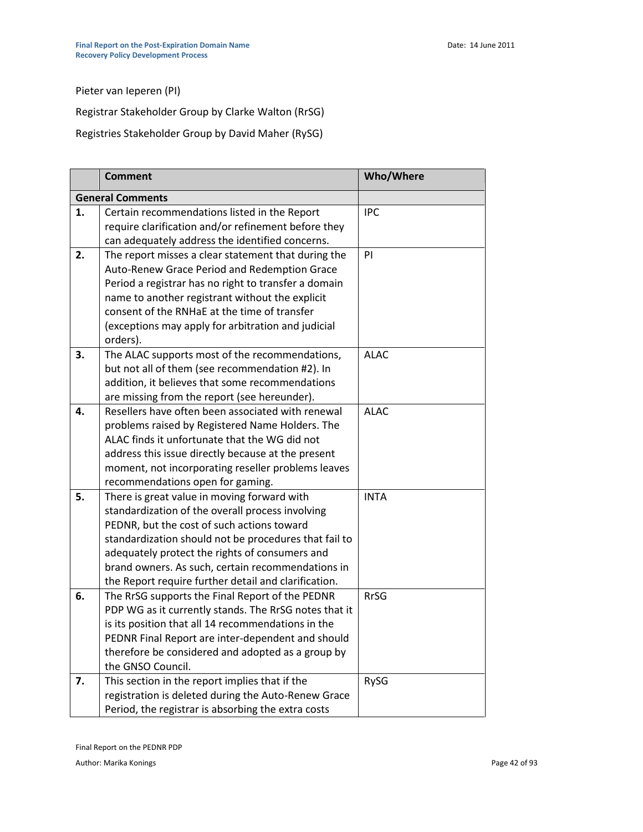Pieter van Ieperen (PI)

Registrar Stakeholder Group by Clarke Walton (RrSG)

Registries Stakeholder Group by David Maher (RySG)

|    | <b>Comment</b>                                        | <b>Who/Where</b> |
|----|-------------------------------------------------------|------------------|
|    | <b>General Comments</b>                               |                  |
| 1. | Certain recommendations listed in the Report          | <b>IPC</b>       |
|    | require clarification and/or refinement before they   |                  |
|    | can adequately address the identified concerns.       |                  |
| 2. | The report misses a clear statement that during the   | PI               |
|    | Auto-Renew Grace Period and Redemption Grace          |                  |
|    | Period a registrar has no right to transfer a domain  |                  |
|    | name to another registrant without the explicit       |                  |
|    | consent of the RNHaE at the time of transfer          |                  |
|    | (exceptions may apply for arbitration and judicial    |                  |
|    | orders).                                              |                  |
| 3. | The ALAC supports most of the recommendations,        | <b>ALAC</b>      |
|    | but not all of them (see recommendation #2). In       |                  |
|    | addition, it believes that some recommendations       |                  |
|    | are missing from the report (see hereunder).          |                  |
| 4. | Resellers have often been associated with renewal     | <b>ALAC</b>      |
|    | problems raised by Registered Name Holders. The       |                  |
|    | ALAC finds it unfortunate that the WG did not         |                  |
|    | address this issue directly because at the present    |                  |
|    | moment, not incorporating reseller problems leaves    |                  |
|    | recommendations open for gaming.                      |                  |
| 5. | There is great value in moving forward with           | <b>INTA</b>      |
|    | standardization of the overall process involving      |                  |
|    | PEDNR, but the cost of such actions toward            |                  |
|    | standardization should not be procedures that fail to |                  |
|    | adequately protect the rights of consumers and        |                  |
|    | brand owners. As such, certain recommendations in     |                  |
|    | the Report require further detail and clarification.  |                  |
| 6. | The RrSG supports the Final Report of the PEDNR       | <b>RrSG</b>      |
|    | PDP WG as it currently stands. The RrSG notes that it |                  |
|    | is its position that all 14 recommendations in the    |                  |
|    | PEDNR Final Report are inter-dependent and should     |                  |
|    | therefore be considered and adopted as a group by     |                  |
|    | the GNSO Council.                                     |                  |
| 7. | This section in the report implies that if the        | RySG             |
|    | registration is deleted during the Auto-Renew Grace   |                  |
|    | Period, the registrar is absorbing the extra costs    |                  |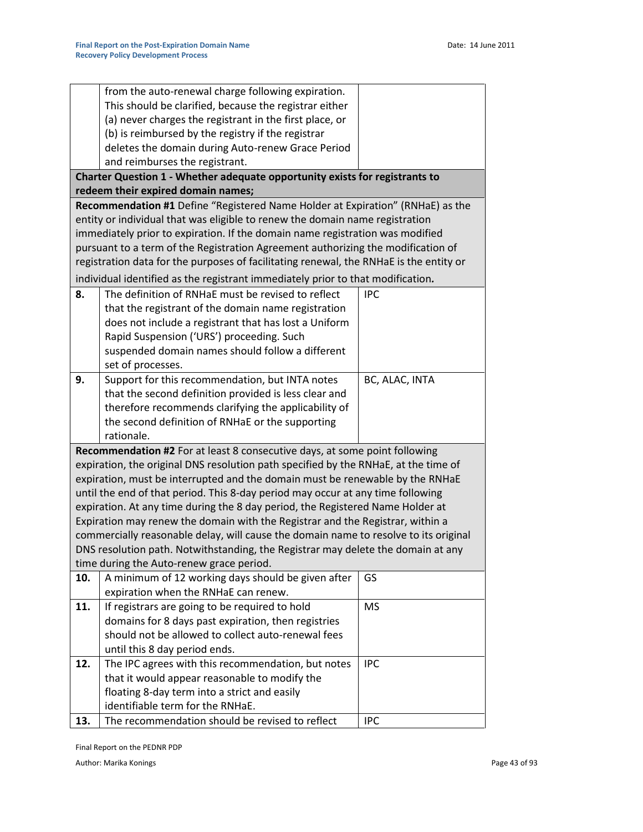|     | from the auto-renewal charge following expiration.                                                                                                            |                |
|-----|---------------------------------------------------------------------------------------------------------------------------------------------------------------|----------------|
|     | This should be clarified, because the registrar either                                                                                                        |                |
|     | (a) never charges the registrant in the first place, or                                                                                                       |                |
|     | (b) is reimbursed by the registry if the registrar                                                                                                            |                |
|     | deletes the domain during Auto-renew Grace Period                                                                                                             |                |
|     | and reimburses the registrant.                                                                                                                                |                |
|     | Charter Question 1 - Whether adequate opportunity exists for registrants to                                                                                   |                |
|     | redeem their expired domain names;                                                                                                                            |                |
|     | Recommendation #1 Define "Registered Name Holder at Expiration" (RNHaE) as the                                                                                |                |
|     | entity or individual that was eligible to renew the domain name registration<br>immediately prior to expiration. If the domain name registration was modified |                |
|     | pursuant to a term of the Registration Agreement authorizing the modification of                                                                              |                |
|     | registration data for the purposes of facilitating renewal, the RNHaE is the entity or                                                                        |                |
|     |                                                                                                                                                               |                |
|     | individual identified as the registrant immediately prior to that modification.                                                                               |                |
| 8.  | The definition of RNHaE must be revised to reflect                                                                                                            | <b>IPC</b>     |
|     | that the registrant of the domain name registration                                                                                                           |                |
|     | does not include a registrant that has lost a Uniform<br>Rapid Suspension ('URS') proceeding. Such                                                            |                |
|     | suspended domain names should follow a different                                                                                                              |                |
|     | set of processes.                                                                                                                                             |                |
| 9.  | Support for this recommendation, but INTA notes                                                                                                               | BC, ALAC, INTA |
|     | that the second definition provided is less clear and                                                                                                         |                |
|     | therefore recommends clarifying the applicability of                                                                                                          |                |
|     | the second definition of RNHaE or the supporting                                                                                                              |                |
|     | rationale.                                                                                                                                                    |                |
|     | Recommendation #2 For at least 8 consecutive days, at some point following                                                                                    |                |
|     | expiration, the original DNS resolution path specified by the RNHaE, at the time of                                                                           |                |
|     | expiration, must be interrupted and the domain must be renewable by the RNHaE                                                                                 |                |
|     | until the end of that period. This 8-day period may occur at any time following                                                                               |                |
|     | expiration. At any time during the 8 day period, the Registered Name Holder at                                                                                |                |
|     | Expiration may renew the domain with the Registrar and the Registrar, within a                                                                                |                |
|     | commercially reasonable delay, will cause the domain name to resolve to its original                                                                          |                |
|     | DNS resolution path. Notwithstanding, the Registrar may delete the domain at any                                                                              |                |
|     | time during the Auto-renew grace period.                                                                                                                      |                |
| 10. | A minimum of 12 working days should be given after                                                                                                            | GS             |
|     | expiration when the RNHaE can renew.                                                                                                                          |                |
| 11. | If registrars are going to be required to hold                                                                                                                | <b>MS</b>      |
|     | domains for 8 days past expiration, then registries                                                                                                           |                |
|     | should not be allowed to collect auto-renewal fees                                                                                                            |                |
|     | until this 8 day period ends.                                                                                                                                 |                |
| 12. | The IPC agrees with this recommendation, but notes                                                                                                            | <b>IPC</b>     |
|     | that it would appear reasonable to modify the<br>floating 8-day term into a strict and easily                                                                 |                |
|     | identifiable term for the RNHaE.                                                                                                                              |                |
| 13. | The recommendation should be revised to reflect                                                                                                               | <b>IPC</b>     |
|     |                                                                                                                                                               |                |

Final Report on the PEDNR PDP

Author: Marika Konings **Page 43 of 93**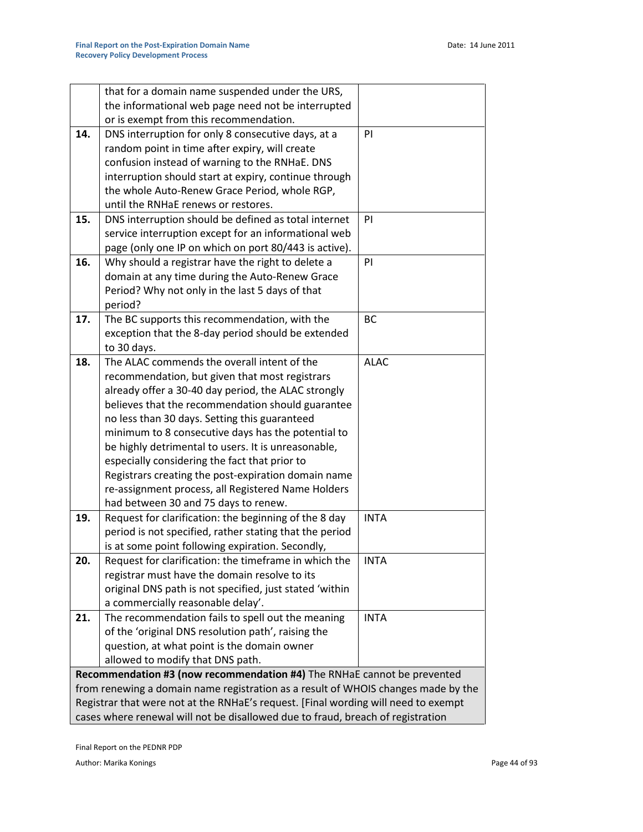|                                                                                                           | that for a domain name suspended under the URS,                                               |             |  |
|-----------------------------------------------------------------------------------------------------------|-----------------------------------------------------------------------------------------------|-------------|--|
|                                                                                                           | the informational web page need not be interrupted                                            |             |  |
|                                                                                                           | or is exempt from this recommendation.                                                        |             |  |
| 14.                                                                                                       | DNS interruption for only 8 consecutive days, at a                                            | PI          |  |
|                                                                                                           | random point in time after expiry, will create                                                |             |  |
|                                                                                                           | confusion instead of warning to the RNHaE. DNS                                                |             |  |
|                                                                                                           | interruption should start at expiry, continue through                                         |             |  |
|                                                                                                           | the whole Auto-Renew Grace Period, whole RGP,                                                 |             |  |
|                                                                                                           | until the RNHaE renews or restores.                                                           |             |  |
| 15.                                                                                                       | DNS interruption should be defined as total internet                                          | PI          |  |
|                                                                                                           | service interruption except for an informational web                                          |             |  |
|                                                                                                           | page (only one IP on which on port 80/443 is active).                                         |             |  |
| 16.                                                                                                       | Why should a registrar have the right to delete a                                             | PI          |  |
|                                                                                                           | domain at any time during the Auto-Renew Grace                                                |             |  |
|                                                                                                           | Period? Why not only in the last 5 days of that                                               |             |  |
|                                                                                                           | period?                                                                                       |             |  |
| 17.                                                                                                       | The BC supports this recommendation, with the                                                 | BC          |  |
|                                                                                                           | exception that the 8-day period should be extended                                            |             |  |
|                                                                                                           | to 30 days.                                                                                   |             |  |
| 18.                                                                                                       | The ALAC commends the overall intent of the                                                   | <b>ALAC</b> |  |
|                                                                                                           | recommendation, but given that most registrars                                                |             |  |
|                                                                                                           | already offer a 30-40 day period, the ALAC strongly                                           |             |  |
|                                                                                                           | believes that the recommendation should guarantee                                             |             |  |
|                                                                                                           | no less than 30 days. Setting this guaranteed                                                 |             |  |
|                                                                                                           | minimum to 8 consecutive days has the potential to                                            |             |  |
|                                                                                                           | be highly detrimental to users. It is unreasonable,                                           |             |  |
|                                                                                                           | especially considering the fact that prior to                                                 |             |  |
| Registrars creating the post-expiration domain name<br>re-assignment process, all Registered Name Holders |                                                                                               |             |  |
|                                                                                                           |                                                                                               |             |  |
| 19.                                                                                                       | had between 30 and 75 days to renew.<br>Request for clarification: the beginning of the 8 day | <b>INTA</b> |  |
|                                                                                                           | period is not specified, rather stating that the period                                       |             |  |
|                                                                                                           | is at some point following expiration. Secondly,                                              |             |  |
| 20.                                                                                                       | Request for clarification: the timeframe in which the                                         | <b>INTA</b> |  |
|                                                                                                           | registrar must have the domain resolve to its                                                 |             |  |
|                                                                                                           | original DNS path is not specified, just stated 'within                                       |             |  |
|                                                                                                           | a commercially reasonable delay'.                                                             |             |  |
| 21.                                                                                                       | The recommendation fails to spell out the meaning                                             | <b>INTA</b> |  |
|                                                                                                           | of the 'original DNS resolution path', raising the                                            |             |  |
|                                                                                                           | question, at what point is the domain owner                                                   |             |  |
|                                                                                                           | allowed to modify that DNS path.                                                              |             |  |
|                                                                                                           | Recommendation #3 (now recommendation #4) The RNHaE cannot be prevented                       |             |  |
|                                                                                                           | from renewing a domain name registration as a result of WHOIS changes made by the             |             |  |
| Registrar that were not at the RNHaE's request. [Final wording will need to exempt                        |                                                                                               |             |  |
|                                                                                                           | cases where renewal will not be disallowed due to fraud, breach of registration               |             |  |

Final Report on the PEDNR PDP

Author: Marika Konings **Page 44 of 93**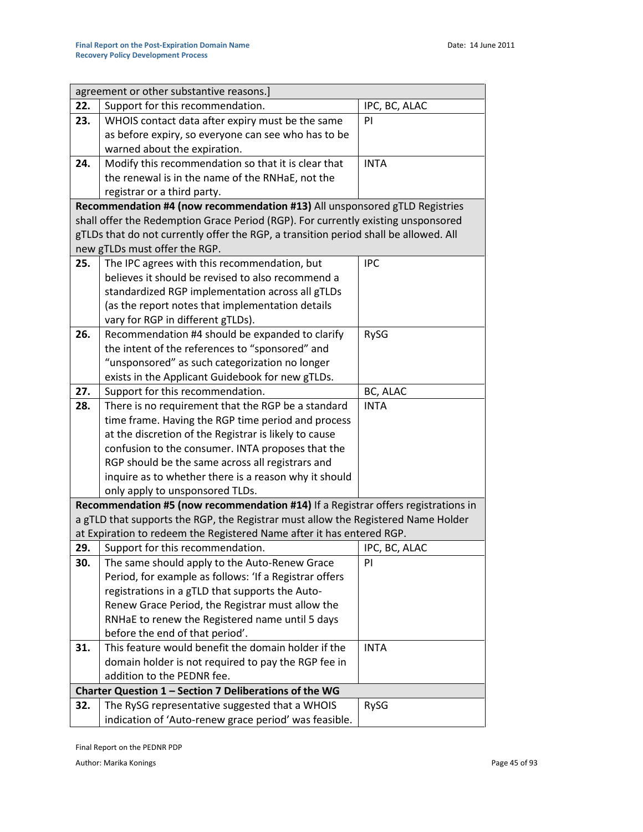|     | agreement or other substantive reasons.]                                                                |               |  |  |
|-----|---------------------------------------------------------------------------------------------------------|---------------|--|--|
| 22. | Support for this recommendation.                                                                        | IPC, BC, ALAC |  |  |
| 23. | WHOIS contact data after expiry must be the same                                                        | PI            |  |  |
|     | as before expiry, so everyone can see who has to be                                                     |               |  |  |
|     | warned about the expiration.                                                                            |               |  |  |
| 24. | Modify this recommendation so that it is clear that                                                     | <b>INTA</b>   |  |  |
|     | the renewal is in the name of the RNHaE, not the                                                        |               |  |  |
|     | registrar or a third party.                                                                             |               |  |  |
|     | Recommendation #4 (now recommendation #13) All unsponsored gTLD Registries                              |               |  |  |
|     | shall offer the Redemption Grace Period (RGP). For currently existing unsponsored                       |               |  |  |
|     | gTLDs that do not currently offer the RGP, a transition period shall be allowed. All                    |               |  |  |
|     | new gTLDs must offer the RGP.                                                                           |               |  |  |
| 25. | The IPC agrees with this recommendation, but                                                            | <b>IPC</b>    |  |  |
|     | believes it should be revised to also recommend a                                                       |               |  |  |
|     | standardized RGP implementation across all gTLDs                                                        |               |  |  |
|     | (as the report notes that implementation details                                                        |               |  |  |
|     | vary for RGP in different gTLDs).                                                                       |               |  |  |
| 26. | Recommendation #4 should be expanded to clarify                                                         | RySG          |  |  |
|     | the intent of the references to "sponsored" and                                                         |               |  |  |
|     | "unsponsored" as such categorization no longer                                                          |               |  |  |
|     | exists in the Applicant Guidebook for new gTLDs.                                                        |               |  |  |
| 27. | Support for this recommendation.                                                                        | BC, ALAC      |  |  |
| 28. | There is no requirement that the RGP be a standard                                                      | <b>INTA</b>   |  |  |
|     | time frame. Having the RGP time period and process                                                      |               |  |  |
|     | at the discretion of the Registrar is likely to cause                                                   |               |  |  |
|     | confusion to the consumer. INTA proposes that the                                                       |               |  |  |
|     | RGP should be the same across all registrars and                                                        |               |  |  |
|     | inquire as to whether there is a reason why it should                                                   |               |  |  |
|     | only apply to unsponsored TLDs.                                                                         |               |  |  |
|     | Recommendation #5 (now recommendation #14) If a Registrar offers registrations in                       |               |  |  |
|     | a gTLD that supports the RGP, the Registrar must allow the Registered Name Holder                       |               |  |  |
| 29. | at Expiration to redeem the Registered Name after it has entered RGP.                                   | IPC, BC, ALAC |  |  |
| 30. | Support for this recommendation.                                                                        | PI            |  |  |
|     | The same should apply to the Auto-Renew Grace<br>Period, for example as follows: 'If a Registrar offers |               |  |  |
|     | registrations in a gTLD that supports the Auto-                                                         |               |  |  |
|     | Renew Grace Period, the Registrar must allow the                                                        |               |  |  |
|     | RNHaE to renew the Registered name until 5 days                                                         |               |  |  |
|     | before the end of that period'.                                                                         |               |  |  |
| 31. | This feature would benefit the domain holder if the                                                     | <b>INTA</b>   |  |  |
|     | domain holder is not required to pay the RGP fee in                                                     |               |  |  |
|     | addition to the PEDNR fee.                                                                              |               |  |  |
|     | Charter Question 1 - Section 7 Deliberations of the WG                                                  |               |  |  |
| 32. | The RySG representative suggested that a WHOIS                                                          | RySG          |  |  |
|     | indication of 'Auto-renew grace period' was feasible.                                                   |               |  |  |

Final Report on the PEDNR PDP

Author: Marika Konings **Page 45 of 93**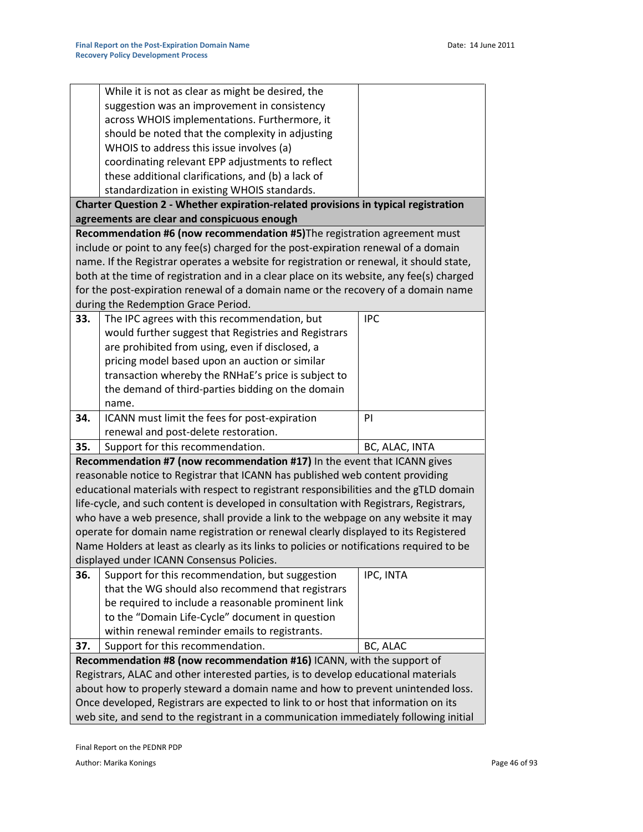|     | While it is not as clear as might be desired, the                                         |                |
|-----|-------------------------------------------------------------------------------------------|----------------|
|     | suggestion was an improvement in consistency                                              |                |
|     | across WHOIS implementations. Furthermore, it                                             |                |
|     | should be noted that the complexity in adjusting                                          |                |
|     | WHOIS to address this issue involves (a)                                                  |                |
|     | coordinating relevant EPP adjustments to reflect                                          |                |
|     | these additional clarifications, and (b) a lack of                                        |                |
|     | standardization in existing WHOIS standards.                                              |                |
|     | Charter Question 2 - Whether expiration-related provisions in typical registration        |                |
|     | agreements are clear and conspicuous enough                                               |                |
|     | Recommendation #6 (now recommendation #5) The registration agreement must                 |                |
|     | include or point to any fee(s) charged for the post-expiration renewal of a domain        |                |
|     | name. If the Registrar operates a website for registration or renewal, it should state,   |                |
|     | both at the time of registration and in a clear place on its website, any fee(s) charged  |                |
|     | for the post-expiration renewal of a domain name or the recovery of a domain name         |                |
|     | during the Redemption Grace Period.                                                       |                |
| 33. | The IPC agrees with this recommendation, but                                              | <b>IPC</b>     |
|     | would further suggest that Registries and Registrars                                      |                |
|     | are prohibited from using, even if disclosed, a                                           |                |
|     | pricing model based upon an auction or similar                                            |                |
|     | transaction whereby the RNHaE's price is subject to                                       |                |
|     | the demand of third-parties bidding on the domain                                         |                |
|     | name.                                                                                     |                |
| 34. | ICANN must limit the fees for post-expiration                                             | PI             |
|     | renewal and post-delete restoration.                                                      |                |
| 35. | Support for this recommendation.                                                          | BC, ALAC, INTA |
|     | Recommendation #7 (now recommendation #17) In the event that ICANN gives                  |                |
|     | reasonable notice to Registrar that ICANN has published web content providing             |                |
|     | educational materials with respect to registrant responsibilities and the gTLD domain     |                |
|     | life-cycle, and such content is developed in consultation with Registrars, Registrars,    |                |
|     | who have a web presence, shall provide a link to the webpage on any website it may        |                |
|     | operate for domain name registration or renewal clearly displayed to its Registered       |                |
|     | Name Holders at least as clearly as its links to policies or notifications required to be |                |
|     | displayed under ICANN Consensus Policies.                                                 |                |
| 36. | Support for this recommendation, but suggestion                                           | IPC, INTA      |
|     | that the WG should also recommend that registrars                                         |                |
|     | be required to include a reasonable prominent link                                        |                |
|     | to the "Domain Life-Cycle" document in question                                           |                |
|     | within renewal reminder emails to registrants.                                            |                |
| 37. | Support for this recommendation.                                                          | BC, ALAC       |
|     | Recommendation #8 (now recommendation #16) ICANN, with the support of                     |                |
|     | Registrars, ALAC and other interested parties, is to develop educational materials        |                |
|     | about how to properly steward a domain name and how to prevent unintended loss.           |                |
|     | Once developed, Registrars are expected to link to or host that information on its        |                |
|     | web site, and send to the registrant in a communication immediately following initial     |                |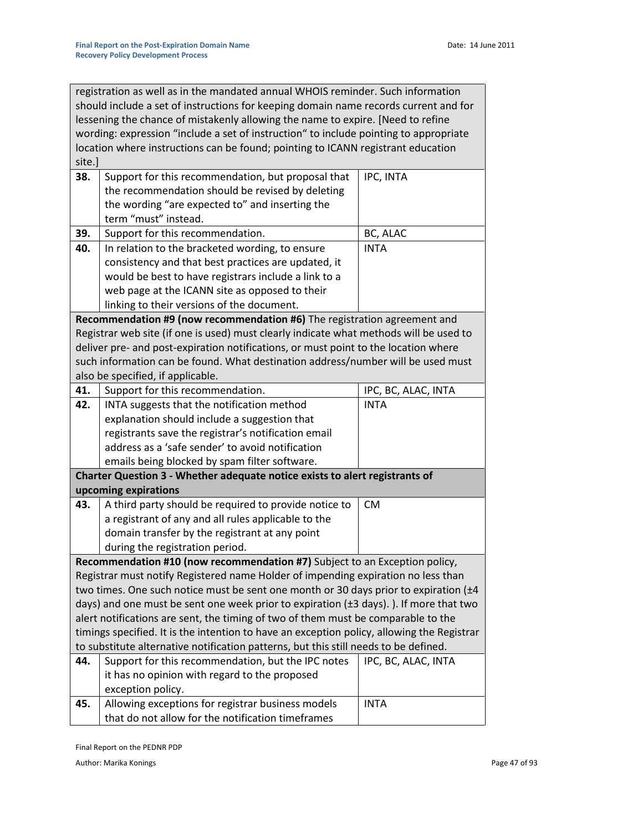registration as well as in the mandated annual WHOIS reminder. Such information should include a set of instructions for keeping domain name records current and for lessening the chance of mistakenly allowing the name to expire. [Need to refine wording: expression "include a set of instruction" to include pointing to appropriate location where instructions can be found; pointing to ICANN registrant education site.]

| 38. | Support for this recommendation, but proposal that                                                   | IPC, INTA           |
|-----|------------------------------------------------------------------------------------------------------|---------------------|
|     | the recommendation should be revised by deleting                                                     |                     |
|     | the wording "are expected to" and inserting the                                                      |                     |
|     | term "must" instead.                                                                                 |                     |
| 39. | Support for this recommendation.                                                                     | BC, ALAC            |
| 40. | In relation to the bracketed wording, to ensure                                                      | <b>INTA</b>         |
|     | consistency and that best practices are updated, it                                                  |                     |
|     | would be best to have registrars include a link to a                                                 |                     |
|     | web page at the ICANN site as opposed to their                                                       |                     |
|     | linking to their versions of the document.                                                           |                     |
|     | Recommendation #9 (now recommendation #6) The registration agreement and                             |                     |
|     | Registrar web site (if one is used) must clearly indicate what methods will be used to               |                     |
|     | deliver pre- and post-expiration notifications, or must point to the location where                  |                     |
|     | such information can be found. What destination address/number will be used must                     |                     |
|     | also be specified, if applicable.                                                                    |                     |
| 41. | Support for this recommendation.                                                                     | IPC, BC, ALAC, INTA |
| 42. | INTA suggests that the notification method                                                           | <b>INTA</b>         |
|     | explanation should include a suggestion that                                                         |                     |
|     | registrants save the registrar's notification email                                                  |                     |
|     | address as a 'safe sender' to avoid notification                                                     |                     |
|     | emails being blocked by spam filter software.                                                        |                     |
|     | Charter Question 3 - Whether adequate notice exists to alert registrants of                          |                     |
|     | upcoming expirations                                                                                 |                     |
| 43. | A third party should be required to provide notice to                                                | <b>CM</b>           |
|     | a registrant of any and all rules applicable to the                                                  |                     |
|     | domain transfer by the registrant at any point                                                       |                     |
|     | during the registration period.                                                                      |                     |
|     | Recommendation #10 (now recommendation #7) Subject to an Exception policy,                           |                     |
|     | Registrar must notify Registered name Holder of impending expiration no less than                    |                     |
|     | two times. One such notice must be sent one month or 30 days prior to expiration $(\pm 4)$           |                     |
|     | days) and one must be sent one week prior to expiration $(\pm 3 \text{ days})$ . ). If more that two |                     |
|     | alert notifications are sent, the timing of two of them must be comparable to the                    |                     |
|     | timings specified. It is the intention to have an exception policy, allowing the Registrar           |                     |
|     | to substitute alternative notification patterns, but this still needs to be defined.                 |                     |
| 44. | Support for this recommendation, but the IPC notes                                                   | IPC, BC, ALAC, INTA |
|     | it has no opinion with regard to the proposed                                                        |                     |
|     | exception policy.                                                                                    |                     |
| 45. | Allowing exceptions for registrar business models                                                    | <b>INTA</b>         |
|     | that do not allow for the notification timeframes                                                    |                     |

Final Report on the PEDNR PDP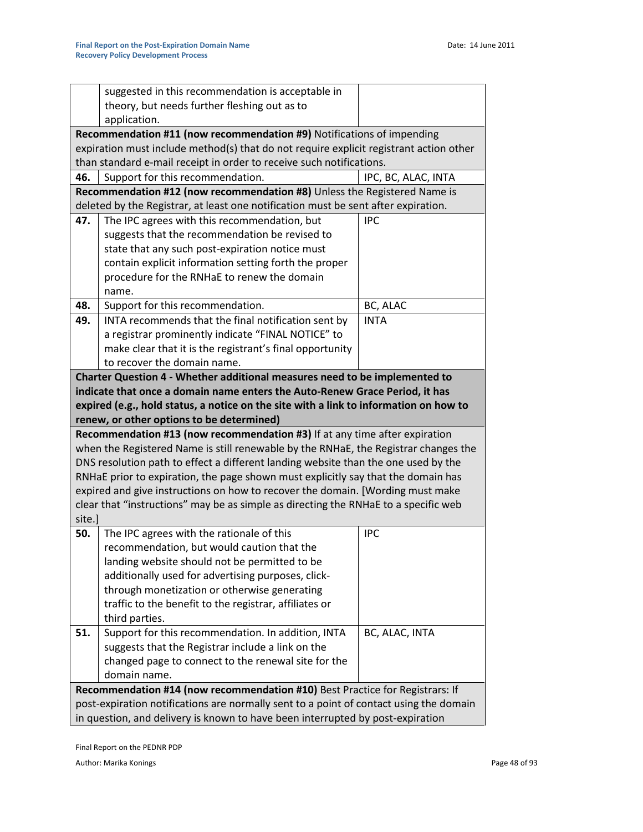|                                                                                        | suggested in this recommendation is acceptable in                                       |                     |  |
|----------------------------------------------------------------------------------------|-----------------------------------------------------------------------------------------|---------------------|--|
|                                                                                        | theory, but needs further fleshing out as to                                            |                     |  |
|                                                                                        | application.                                                                            |                     |  |
|                                                                                        | Recommendation #11 (now recommendation #9) Notifications of impending                   |                     |  |
|                                                                                        | expiration must include method(s) that do not require explicit registrant action other  |                     |  |
|                                                                                        | than standard e-mail receipt in order to receive such notifications.                    |                     |  |
| 46.                                                                                    | Support for this recommendation.                                                        | IPC, BC, ALAC, INTA |  |
|                                                                                        | Recommendation #12 (now recommendation #8) Unless the Registered Name is                |                     |  |
|                                                                                        | deleted by the Registrar, at least one notification must be sent after expiration.      |                     |  |
| 47.                                                                                    | The IPC agrees with this recommendation, but                                            | <b>IPC</b>          |  |
|                                                                                        | suggests that the recommendation be revised to                                          |                     |  |
|                                                                                        | state that any such post-expiration notice must                                         |                     |  |
|                                                                                        | contain explicit information setting forth the proper                                   |                     |  |
|                                                                                        | procedure for the RNHaE to renew the domain                                             |                     |  |
|                                                                                        | name.                                                                                   |                     |  |
| 48.                                                                                    | Support for this recommendation.                                                        | BC, ALAC            |  |
| 49.                                                                                    | INTA recommends that the final notification sent by                                     | <b>INTA</b>         |  |
|                                                                                        | a registrar prominently indicate "FINAL NOTICE" to                                      |                     |  |
|                                                                                        | make clear that it is the registrant's final opportunity<br>to recover the domain name. |                     |  |
|                                                                                        | Charter Question 4 - Whether additional measures need to be implemented to              |                     |  |
|                                                                                        | indicate that once a domain name enters the Auto-Renew Grace Period, it has             |                     |  |
|                                                                                        | expired (e.g., hold status, a notice on the site with a link to information on how to   |                     |  |
|                                                                                        | renew, or other options to be determined)                                               |                     |  |
|                                                                                        | Recommendation #13 (now recommendation #3) If at any time after expiration              |                     |  |
|                                                                                        | when the Registered Name is still renewable by the RNHaE, the Registrar changes the     |                     |  |
|                                                                                        | DNS resolution path to effect a different landing website than the one used by the      |                     |  |
|                                                                                        | RNHaE prior to expiration, the page shown must explicitly say that the domain has       |                     |  |
|                                                                                        | expired and give instructions on how to recover the domain. [Wording must make          |                     |  |
|                                                                                        | clear that "instructions" may be as simple as directing the RNHaE to a specific web     |                     |  |
| site.]                                                                                 |                                                                                         |                     |  |
| 50.                                                                                    | The IPC agrees with the rationale of this                                               | <b>IPC</b>          |  |
|                                                                                        | recommendation, but would caution that the                                              |                     |  |
|                                                                                        | landing website should not be permitted to be                                           |                     |  |
|                                                                                        | additionally used for advertising purposes, click-                                      |                     |  |
|                                                                                        | through monetization or otherwise generating                                            |                     |  |
|                                                                                        | traffic to the benefit to the registrar, affiliates or                                  |                     |  |
|                                                                                        | third parties.                                                                          |                     |  |
| 51.                                                                                    | Support for this recommendation. In addition, INTA                                      | BC, ALAC, INTA      |  |
|                                                                                        | suggests that the Registrar include a link on the                                       |                     |  |
|                                                                                        | changed page to connect to the renewal site for the                                     |                     |  |
|                                                                                        | domain name.                                                                            |                     |  |
| Recommendation #14 (now recommendation #10) Best Practice for Registrars: If           |                                                                                         |                     |  |
| post-expiration notifications are normally sent to a point of contact using the domain |                                                                                         |                     |  |
| in question, and delivery is known to have been interrupted by post-expiration         |                                                                                         |                     |  |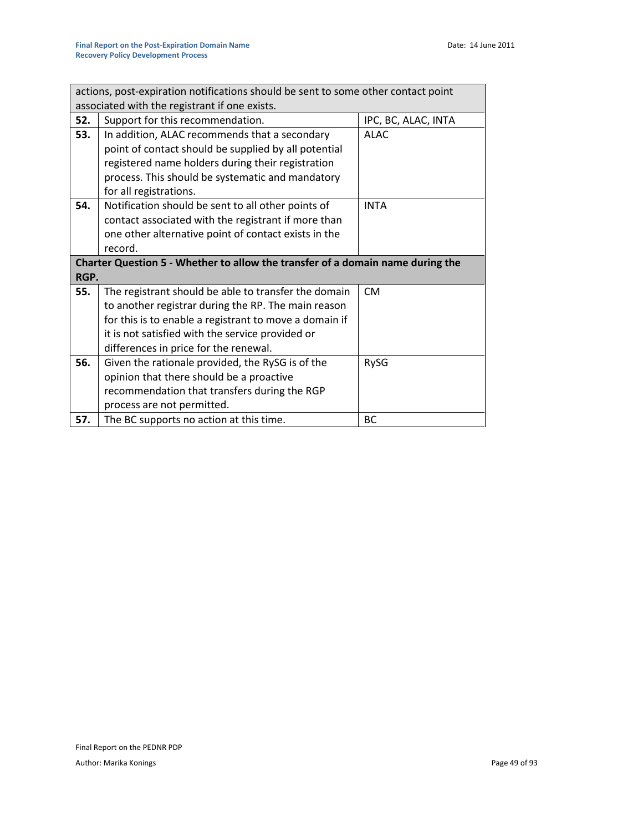| actions, post-expiration notifications should be sent to some other contact point |                                                                                |                     |  |  |
|-----------------------------------------------------------------------------------|--------------------------------------------------------------------------------|---------------------|--|--|
|                                                                                   | associated with the registrant if one exists.                                  |                     |  |  |
| 52.                                                                               | Support for this recommendation.                                               | IPC, BC, ALAC, INTA |  |  |
| 53.                                                                               | In addition, ALAC recommends that a secondary                                  | <b>ALAC</b>         |  |  |
|                                                                                   | point of contact should be supplied by all potential                           |                     |  |  |
|                                                                                   | registered name holders during their registration                              |                     |  |  |
|                                                                                   | process. This should be systematic and mandatory                               |                     |  |  |
|                                                                                   | for all registrations.                                                         |                     |  |  |
| 54.                                                                               | Notification should be sent to all other points of                             | <b>INTA</b>         |  |  |
|                                                                                   | contact associated with the registrant if more than                            |                     |  |  |
|                                                                                   | one other alternative point of contact exists in the                           |                     |  |  |
|                                                                                   | record.                                                                        |                     |  |  |
|                                                                                   |                                                                                |                     |  |  |
|                                                                                   | Charter Question 5 - Whether to allow the transfer of a domain name during the |                     |  |  |
| RGP.                                                                              |                                                                                |                     |  |  |
| 55.                                                                               | The registrant should be able to transfer the domain                           | <b>CM</b>           |  |  |
|                                                                                   | to another registrar during the RP. The main reason                            |                     |  |  |
|                                                                                   | for this is to enable a registrant to move a domain if                         |                     |  |  |
|                                                                                   | it is not satisfied with the service provided or                               |                     |  |  |
|                                                                                   | differences in price for the renewal.                                          |                     |  |  |
| 56.                                                                               | Given the rationale provided, the RySG is of the                               | RySG                |  |  |
|                                                                                   | opinion that there should be a proactive                                       |                     |  |  |
|                                                                                   | recommendation that transfers during the RGP                                   |                     |  |  |
|                                                                                   | process are not permitted.                                                     |                     |  |  |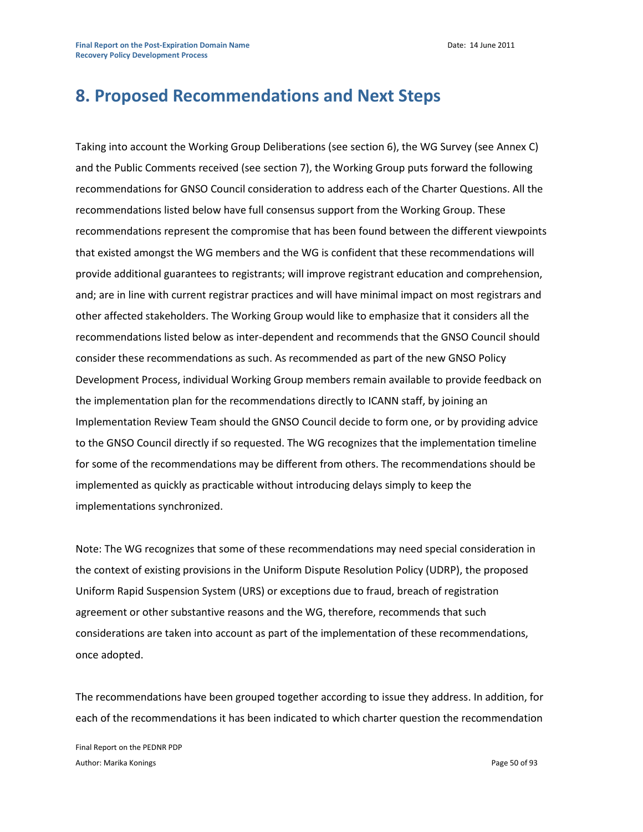# **8. Proposed Recommendations and Next Steps**

Taking into account the Working Group Deliberations (see section 6), the WG Survey (see Annex C) and the Public Comments received (see section 7), the Working Group puts forward the following recommendations for GNSO Council consideration to address each of the Charter Questions. All the recommendations listed below have full consensus support from the Working Group. These recommendations represent the compromise that has been found between the different viewpoints that existed amongst the WG members and the WG is confident that these recommendations will provide additional guarantees to registrants; will improve registrant education and comprehension, and; are in line with current registrar practices and will have minimal impact on most registrars and other affected stakeholders. The Working Group would like to emphasize that it considers all the recommendations listed below as inter-dependent and recommends that the GNSO Council should consider these recommendations as such. As recommended as part of the new GNSO Policy Development Process, individual Working Group members remain available to provide feedback on the implementation plan for the recommendations directly to ICANN staff, by joining an Implementation Review Team should the GNSO Council decide to form one, or by providing advice to the GNSO Council directly if so requested. The WG recognizes that the implementation timeline for some of the recommendations may be different from others. The recommendations should be implemented as quickly as practicable without introducing delays simply to keep the implementations synchronized.

Note: The WG recognizes that some of these recommendations may need special consideration in the context of existing provisions in the Uniform Dispute Resolution Policy (UDRP), the proposed Uniform Rapid Suspension System (URS) or exceptions due to fraud, breach of registration agreement or other substantive reasons and the WG, therefore, recommends that such considerations are taken into account as part of the implementation of these recommendations, once adopted.

The recommendations have been grouped together according to issue they address. In addition, for each of the recommendations it has been indicated to which charter question the recommendation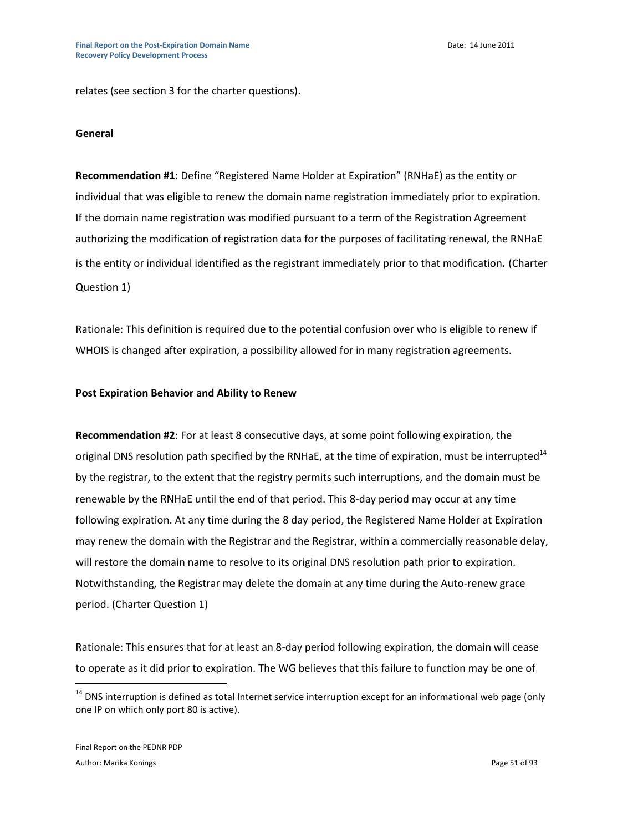relates (see section 3 for the charter questions).

#### **General**

**Recommendation #1**: Define "Registered Name Holder at Expiration" (RNHaE) as the entity or individual that was eligible to renew the domain name registration immediately prior to expiration. If the domain name registration was modified pursuant to a term of the Registration Agreement authorizing the modification of registration data for the purposes of facilitating renewal, the RNHaE is the entity or individual identified as the registrant immediately prior to that modification*.* (Charter Question 1)

Rationale: This definition is required due to the potential confusion over who is eligible to renew if WHOIS is changed after expiration, a possibility allowed for in many registration agreements.

#### **Post Expiration Behavior and Ability to Renew**

**Recommendation #2**: For at least 8 consecutive days, at some point following expiration, the original DNS resolution path specified by the RNHaE, at the time of expiration, must be interrupted<sup>14</sup> by the registrar, to the extent that the registry permits such interruptions, and the domain must be renewable by the RNHaE until the end of that period. This 8-day period may occur at any time following expiration. At any time during the 8 day period, the Registered Name Holder at Expiration may renew the domain with the Registrar and the Registrar, within a commercially reasonable delay, will restore the domain name to resolve to its original DNS resolution path prior to expiration. Notwithstanding, the Registrar may delete the domain at any time during the Auto-renew grace period. (Charter Question 1)

Rationale: This ensures that for at least an 8-day period following expiration, the domain will cease to operate as it did prior to expiration. The WG believes that this failure to function may be one of

 $\overline{a}$ 

 $14$  DNS interruption is defined as total Internet service interruption except for an informational web page (only one IP on which only port 80 is active).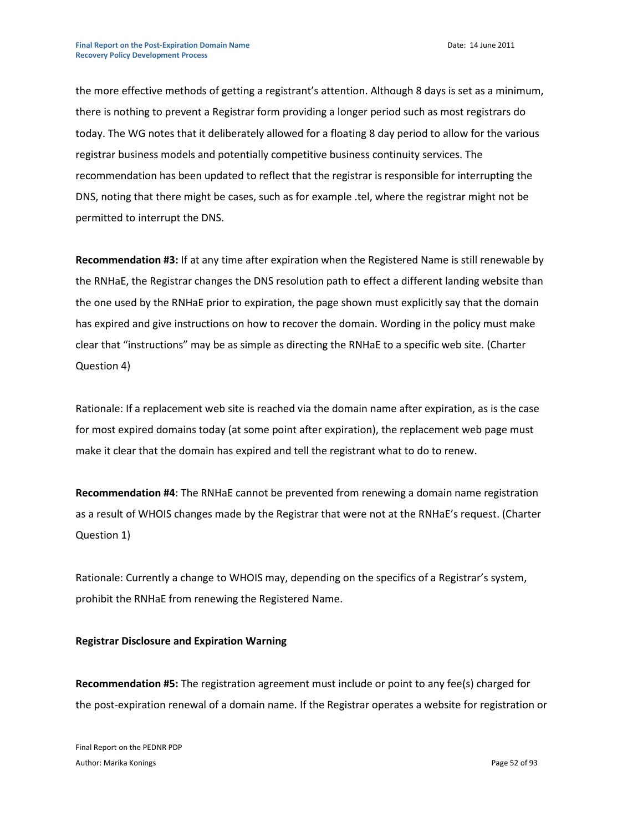the more effective methods of getting a registrant's attention. Although 8 days is set as a minimum, there is nothing to prevent a Registrar form providing a longer period such as most registrars do today. The WG notes that it deliberately allowed for a floating 8 day period to allow for the various registrar business models and potentially competitive business continuity services. The recommendation has been updated to reflect that the registrar is responsible for interrupting the DNS, noting that there might be cases, such as for example .tel, where the registrar might not be permitted to interrupt the DNS.

**Recommendation #3:** If at any time after expiration when the Registered Name is still renewable by the RNHaE, the Registrar changes the DNS resolution path to effect a different landing website than the one used by the RNHaE prior to expiration, the page shown must explicitly say that the domain has expired and give instructions on how to recover the domain. Wording in the policy must make clear that "instructions" may be as simple as directing the RNHaE to a specific web site. (Charter Question 4)

Rationale: If a replacement web site is reached via the domain name after expiration, as is the case for most expired domains today (at some point after expiration), the replacement web page must make it clear that the domain has expired and tell the registrant what to do to renew.

**Recommendation #4**: The RNHaE cannot be prevented from renewing a domain name registration as a result of WHOIS changes made by the Registrar that were not at the RNHaE's request. (Charter Question 1)

Rationale: Currently a change to WHOIS may, depending on the specifics of a Registrar's system, prohibit the RNHaE from renewing the Registered Name.

#### **Registrar Disclosure and Expiration Warning**

**Recommendation #5:** The registration agreement must include or point to any fee(s) charged for the post-expiration renewal of a domain name. If the Registrar operates a website for registration or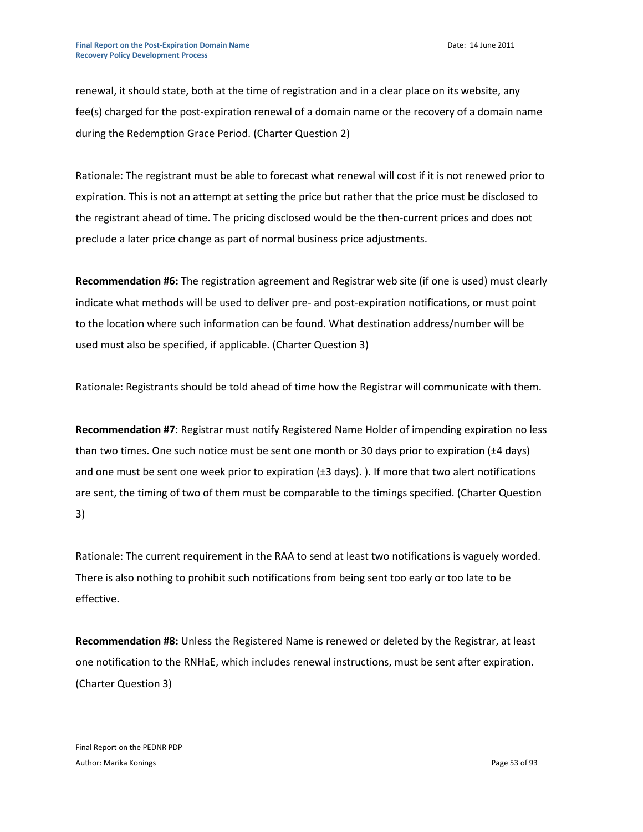renewal, it should state, both at the time of registration and in a clear place on its website, any fee(s) charged for the post-expiration renewal of a domain name or the recovery of a domain name during the Redemption Grace Period. (Charter Question 2)

Rationale: The registrant must be able to forecast what renewal will cost if it is not renewed prior to expiration. This is not an attempt at setting the price but rather that the price must be disclosed to the registrant ahead of time. The pricing disclosed would be the then-current prices and does not preclude a later price change as part of normal business price adjustments.

**Recommendation #6:** The registration agreement and Registrar web site (if one is used) must clearly indicate what methods will be used to deliver pre- and post-expiration notifications, or must point to the location where such information can be found. What destination address/number will be used must also be specified, if applicable. (Charter Question 3)

Rationale: Registrants should be told ahead of time how the Registrar will communicate with them.

**Recommendation #7**: Registrar must notify Registered Name Holder of impending expiration no less than two times. One such notice must be sent one month or 30 days prior to expiration (±4 days) and one must be sent one week prior to expiration (±3 days).). If more that two alert notifications are sent, the timing of two of them must be comparable to the timings specified. (Charter Question 3)

Rationale: The current requirement in the RAA to send at least two notifications is vaguely worded. There is also nothing to prohibit such notifications from being sent too early or too late to be effective.

**Recommendation #8:** Unless the Registered Name is renewed or deleted by the Registrar, at least one notification to the RNHaE, which includes renewal instructions, must be sent after expiration. (Charter Question 3)

Final Report on the PEDNR PDP Author: Marika Konings **Page 53** of 93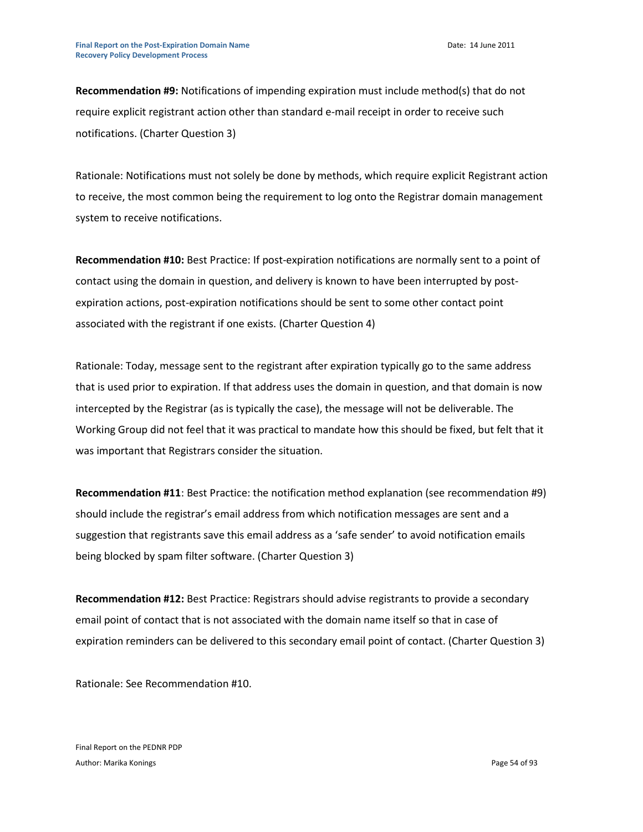**Recommendation #9:** Notifications of impending expiration must include method(s) that do not require explicit registrant action other than standard e-mail receipt in order to receive such notifications. (Charter Question 3)

Rationale: Notifications must not solely be done by methods, which require explicit Registrant action to receive, the most common being the requirement to log onto the Registrar domain management system to receive notifications.

**Recommendation #10:** Best Practice: If post-expiration notifications are normally sent to a point of contact using the domain in question, and delivery is known to have been interrupted by postexpiration actions, post-expiration notifications should be sent to some other contact point associated with the registrant if one exists. (Charter Question 4)

Rationale: Today, message sent to the registrant after expiration typically go to the same address that is used prior to expiration. If that address uses the domain in question, and that domain is now intercepted by the Registrar (as is typically the case), the message will not be deliverable. The Working Group did not feel that it was practical to mandate how this should be fixed, but felt that it was important that Registrars consider the situation.

**Recommendation #11**: Best Practice: the notification method explanation (see recommendation #9) should include the registrar's email address from which notification messages are sent and a suggestion that registrants save this email address as a 'safe sender' to avoid notification emails being blocked by spam filter software. (Charter Question 3)

**Recommendation #12:** Best Practice: Registrars should advise registrants to provide a secondary email point of contact that is not associated with the domain name itself so that in case of expiration reminders can be delivered to this secondary email point of contact. (Charter Question 3)

Rationale: See Recommendation #10.

Final Report on the PEDNR PDP Author: Marika Konings **Page 54 of 93** Author: Marika Konings **Page 54 of 93**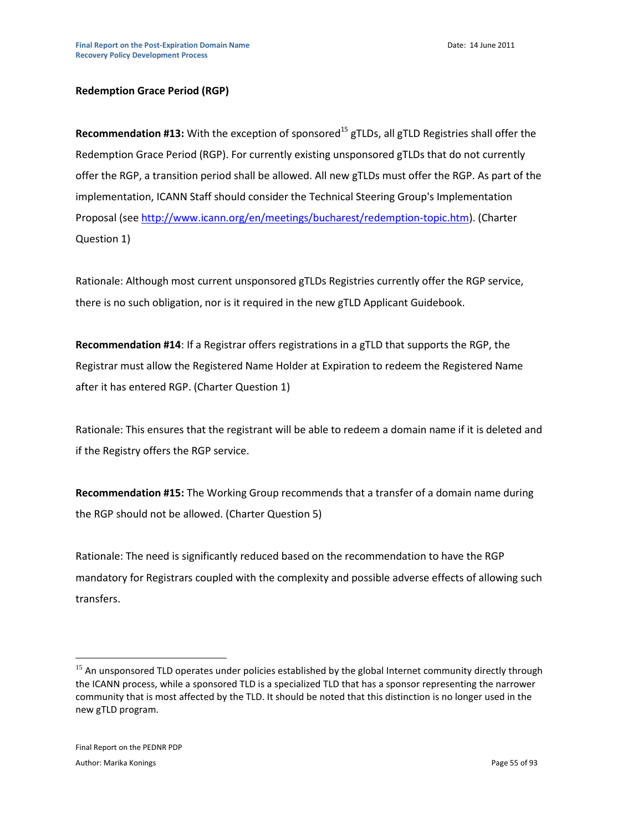# **Redemption Grace Period (RGP)**

**Recommendation #13:** With the exception of sponsored<sup>15</sup> gTLDs, all gTLD Registries shall offer the Redemption Grace Period (RGP). For currently existing unsponsored gTLDs that do not currently offer the RGP, a transition period shall be allowed. All new gTLDs must offer the RGP. As part of the implementation, ICANN Staff should consider the Technical Steering Group's Implementation Proposal (se[e http://www.icann.org/en/meetings/bucharest/redemption-topic.htm\)](http://www.icann.org/en/meetings/bucharest/redemption-topic.htm). (Charter Question 1)

Rationale: Although most current unsponsored gTLDs Registries currently offer the RGP service, there is no such obligation, nor is it required in the new gTLD Applicant Guidebook.

**Recommendation #14**: If a Registrar offers registrations in a gTLD that supports the RGP, the Registrar must allow the Registered Name Holder at Expiration to redeem the Registered Name after it has entered RGP. (Charter Question 1)

Rationale: This ensures that the registrant will be able to redeem a domain name if it is deleted and if the Registry offers the RGP service.

**Recommendation #15:** The Working Group recommends that a transfer of a domain name during the RGP should not be allowed. (Charter Question 5)

Rationale: The need is significantly reduced based on the recommendation to have the RGP mandatory for Registrars coupled with the complexity and possible adverse effects of allowing such transfers.

 $\overline{a}$ 

<sup>&</sup>lt;sup>15</sup> An unsponsored TLD operates under policies established by the global Internet community directly through the ICANN process, while a sponsored TLD is a specialized TLD that has a sponsor representing the narrower community that is most affected by the TLD. It should be noted that this distinction is no longer used in the new gTLD program.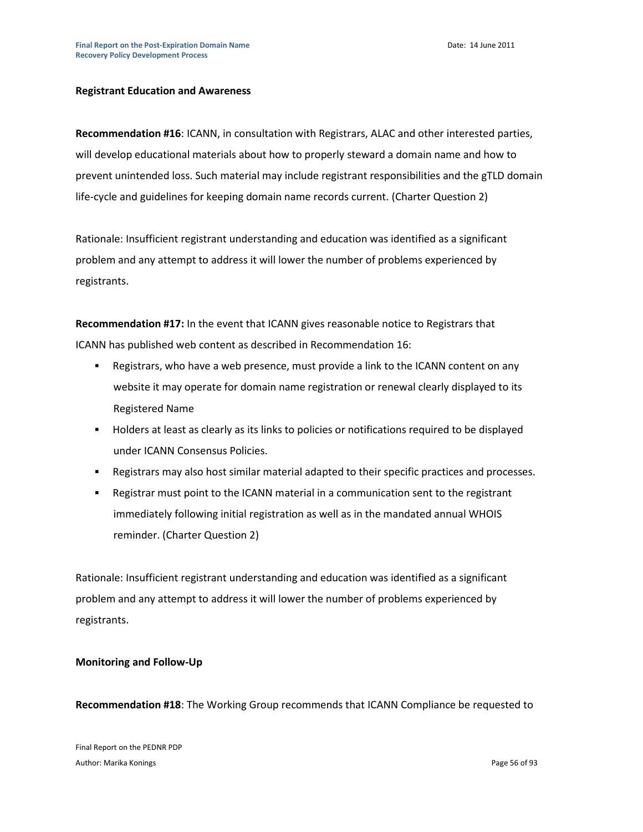#### **Registrant Education and Awareness**

**Recommendation #16**: ICANN, in consultation with Registrars, ALAC and other interested parties, will develop educational materials about how to properly steward a domain name and how to prevent unintended loss. Such material may include registrant responsibilities and the gTLD domain life-cycle and guidelines for keeping domain name records current. (Charter Question 2)

Rationale: Insufficient registrant understanding and education was identified as a significant problem and any attempt to address it will lower the number of problems experienced by registrants.

**Recommendation #17:** In the event that ICANN gives reasonable notice to Registrars that ICANN has published web content as described in Recommendation 16:

- Registrars, who have a web presence, must provide a link to the ICANN content on any website it may operate for domain name registration or renewal clearly displayed to its Registered Name
- Holders at least as clearly as its links to policies or notifications required to be displayed under ICANN Consensus Policies.
- Registrars may also host similar material adapted to their specific practices and processes.
- Registrar must point to the ICANN material in a communication sent to the registrant immediately following initial registration as well as in the mandated annual WHOIS reminder. (Charter Question 2)

Rationale: Insufficient registrant understanding and education was identified as a significant problem and any attempt to address it will lower the number of problems experienced by registrants.

#### **Monitoring and Follow-Up**

**Recommendation #18**: The Working Group recommends that ICANN Compliance be requested to

Final Report on the PEDNR PDP Author: Marika Konings **Page 56** of 93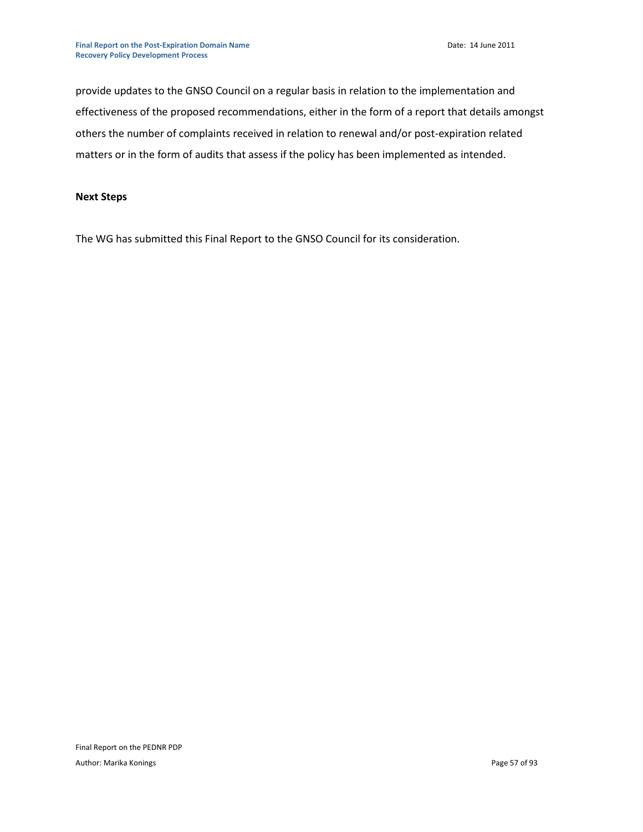provide updates to the GNSO Council on a regular basis in relation to the implementation and effectiveness of the proposed recommendations, either in the form of a report that details amongst others the number of complaints received in relation to renewal and/or post-expiration related matters or in the form of audits that assess if the policy has been implemented as intended.

# **Next Steps**

The WG has submitted this Final Report to the GNSO Council for its consideration.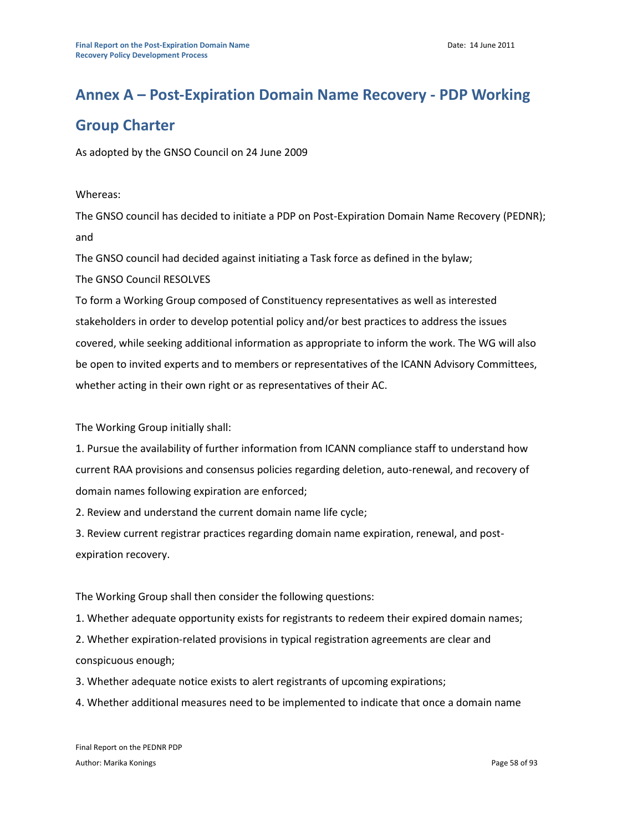# **Annex A – Post-Expiration Domain Name Recovery - PDP Working**

# **Group Charter**

As adopted by the GNSO Council on 24 June 2009

# Whereas:

The GNSO council has decided to initiate a PDP on Post-Expiration Domain Name Recovery (PEDNR); and

The GNSO council had decided against initiating a Task force as defined in the bylaw;

The GNSO Council RESOLVES

To form a Working Group composed of Constituency representatives as well as interested stakeholders in order to develop potential policy and/or best practices to address the issues covered, while seeking additional information as appropriate to inform the work. The WG will also be open to invited experts and to members or representatives of the ICANN Advisory Committees, whether acting in their own right or as representatives of their AC.

The Working Group initially shall:

1. Pursue the availability of further information from ICANN compliance staff to understand how current RAA provisions and consensus policies regarding deletion, auto-renewal, and recovery of domain names following expiration are enforced;

2. Review and understand the current domain name life cycle;

3. Review current registrar practices regarding domain name expiration, renewal, and postexpiration recovery.

The Working Group shall then consider the following questions:

1. Whether adequate opportunity exists for registrants to redeem their expired domain names;

2. Whether expiration-related provisions in typical registration agreements are clear and conspicuous enough;

3. Whether adequate notice exists to alert registrants of upcoming expirations;

4. Whether additional measures need to be implemented to indicate that once a domain name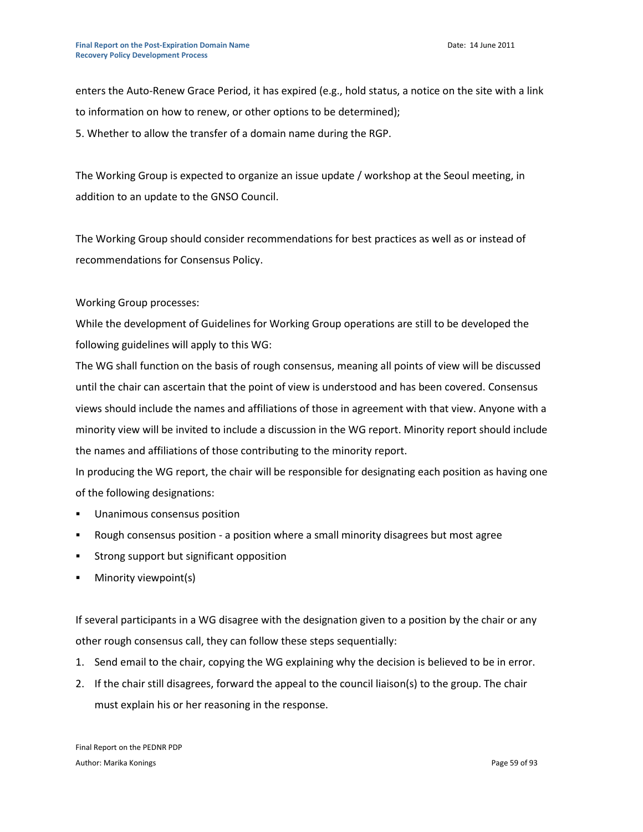enters the Auto-Renew Grace Period, it has expired (e.g., hold status, a notice on the site with a link to information on how to renew, or other options to be determined);

5. Whether to allow the transfer of a domain name during the RGP.

The Working Group is expected to organize an issue update / workshop at the Seoul meeting, in addition to an update to the GNSO Council.

The Working Group should consider recommendations for best practices as well as or instead of recommendations for Consensus Policy.

# Working Group processes:

While the development of Guidelines for Working Group operations are still to be developed the following guidelines will apply to this WG:

The WG shall function on the basis of rough consensus, meaning all points of view will be discussed until the chair can ascertain that the point of view is understood and has been covered. Consensus views should include the names and affiliations of those in agreement with that view. Anyone with a minority view will be invited to include a discussion in the WG report. Minority report should include the names and affiliations of those contributing to the minority report.

In producing the WG report, the chair will be responsible for designating each position as having one of the following designations:

- Unanimous consensus position
- Rough consensus position a position where a small minority disagrees but most agree
- **Strong support but significant opposition**
- Minority viewpoint(s)

If several participants in a WG disagree with the designation given to a position by the chair or any other rough consensus call, they can follow these steps sequentially:

- 1. Send email to the chair, copying the WG explaining why the decision is believed to be in error.
- 2. If the chair still disagrees, forward the appeal to the council liaison(s) to the group. The chair must explain his or her reasoning in the response.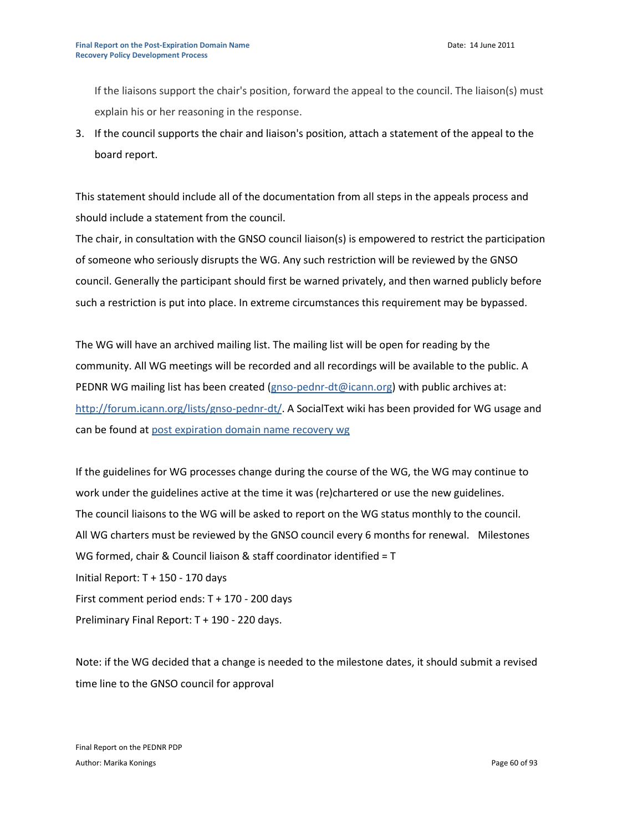If the liaisons support the chair's position, forward the appeal to the council. The liaison(s) must explain his or her reasoning in the response.

3. If the council supports the chair and liaison's position, attach a statement of the appeal to the board report.

This statement should include all of the documentation from all steps in the appeals process and should include a statement from the council.

The chair, in consultation with the GNSO council liaison(s) is empowered to restrict the participation of someone who seriously disrupts the WG. Any such restriction will be reviewed by the GNSO council. Generally the participant should first be warned privately, and then warned publicly before such a restriction is put into place. In extreme circumstances this requirement may be bypassed.

The WG will have an archived mailing list. The mailing list will be open for reading by the community. All WG meetings will be recorded and all recordings will be available to the public. A PEDNR WG mailing list has been created [\(gnso-pednr-dt@icann.org\)](mailto:gnso-pednr-dt@icann.org) with public archives at: [http://forum.icann.org/lists/gnso-pednr-dt/.](http://forum.icann.org/lists/gnso-pednr-dt/) A SocialText wiki has been provided for WG usage and can be found at [post expiration domain name recovery wg](https://st.icann.org/post-expiration-dn-recovery-wg/index.cgi?post_expiration_domain_name_recovery_wg)

If the guidelines for WG processes change during the course of the WG, the WG may continue to work under the guidelines active at the time it was (re)chartered or use the new guidelines. The council liaisons to the WG will be asked to report on the WG status monthly to the council. All WG charters must be reviewed by the GNSO council every 6 months for renewal. Milestones WG formed, chair & Council liaison & staff coordinator identified = T Initial Report: T + 150 - 170 days First comment period ends: T + 170 - 200 days Preliminary Final Report: T + 190 - 220 days.

Note: if the WG decided that a change is needed to the milestone dates, it should submit a revised time line to the GNSO council for approval

Final Report on the PEDNR PDP Author: Marika Konings **Page 60** of 93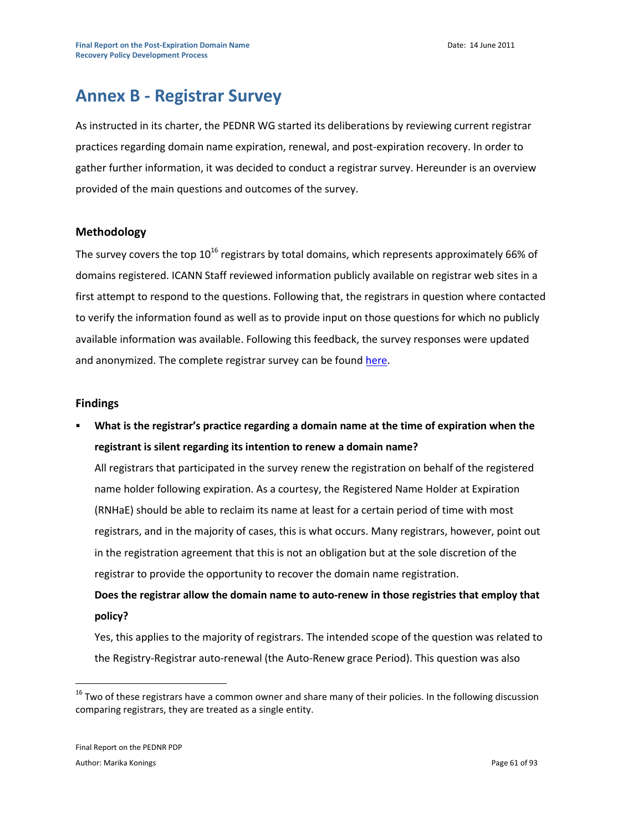# **Annex B - Registrar Survey**

As instructed in its charter, the PEDNR WG started its deliberations by reviewing current registrar practices regarding domain name expiration, renewal, and post-expiration recovery. In order to gather further information, it was decided to conduct a registrar survey. Hereunder is an overview provided of the main questions and outcomes of the survey.

# **Methodology**

The survey covers the top  $10^{16}$  registrars by total domains, which represents approximately 66% of domains registered. ICANN Staff reviewed information publicly available on registrar web sites in a first attempt to respond to the questions. Following that, the registrars in question where contacted to verify the information found as well as to provide input on those questions for which no publicly available information was available. Following this feedback, the survey responses were updated and anonymized. The complete registrar survey can be found [here.](https://st.icann.org/data/workspaces/post-expiration-dn-recovery-wg/attachments/post_expiration_domain_name_recovery_wg:20100510083035-0-12090/original/PEDNR%20Registrar%20Survey%20-%20Final%20Updated%2016%20March.xls)

## **Findings**

 **What is the registrar's practice regarding a domain name at the time of expiration when the registrant is silent regarding its intention to renew a domain name?**

All registrars that participated in the survey renew the registration on behalf of the registered name holder following expiration. As a courtesy, the Registered Name Holder at Expiration (RNHaE) should be able to reclaim its name at least for a certain period of time with most registrars, and in the majority of cases, this is what occurs. Many registrars, however, point out in the registration agreement that this is not an obligation but at the sole discretion of the registrar to provide the opportunity to recover the domain name registration.

**Does the registrar allow the domain name to auto-renew in those registries that employ that policy?**

Yes, this applies to the majority of registrars. The intended scope of the question was related to the Registry-Registrar auto-renewal (the Auto-Renew grace Period). This question was also

 $\overline{a}$ 

<sup>&</sup>lt;sup>16</sup> Two of these registrars have a common owner and share many of their policies. In the following discussion comparing registrars, they are treated as a single entity.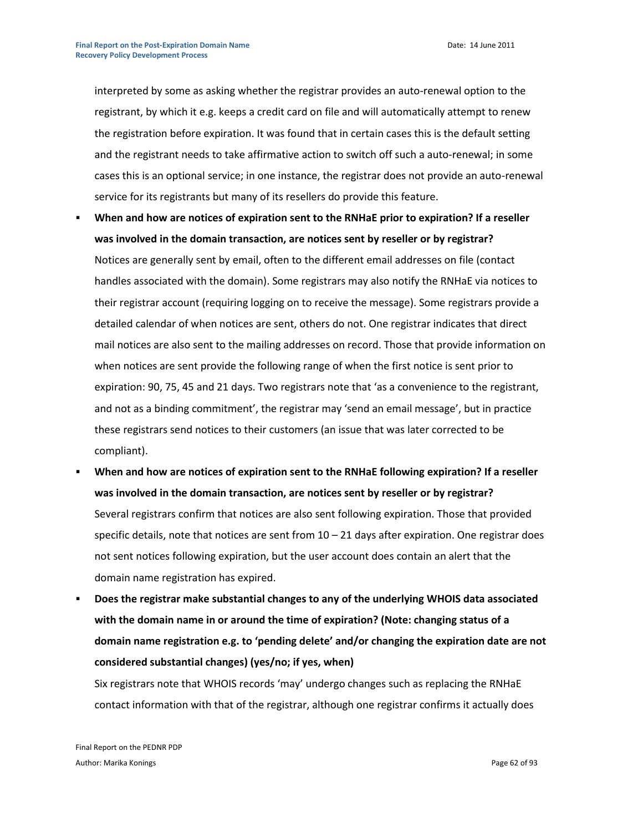interpreted by some as asking whether the registrar provides an auto-renewal option to the registrant, by which it e.g. keeps a credit card on file and will automatically attempt to renew the registration before expiration. It was found that in certain cases this is the default setting and the registrant needs to take affirmative action to switch off such a auto-renewal; in some cases this is an optional service; in one instance, the registrar does not provide an auto-renewal service for its registrants but many of its resellers do provide this feature.

- **When and how are notices of expiration sent to the RNHaE prior to expiration? If a reseller was involved in the domain transaction, are notices sent by reseller or by registrar?** Notices are generally sent by email, often to the different email addresses on file (contact handles associated with the domain). Some registrars may also notify the RNHaE via notices to their registrar account (requiring logging on to receive the message). Some registrars provide a detailed calendar of when notices are sent, others do not. One registrar indicates that direct mail notices are also sent to the mailing addresses on record. Those that provide information on when notices are sent provide the following range of when the first notice is sent prior to expiration: 90, 75, 45 and 21 days. Two registrars note that 'as a convenience to the registrant, and not as a binding commitment', the registrar may 'send an email message', but in practice these registrars send notices to their customers (an issue that was later corrected to be compliant).
- **When and how are notices of expiration sent to the RNHaE following expiration? If a reseller was involved in the domain transaction, are notices sent by reseller or by registrar?** Several registrars confirm that notices are also sent following expiration. Those that provided specific details, note that notices are sent from  $10 - 21$  days after expiration. One registrar does not sent notices following expiration, but the user account does contain an alert that the domain name registration has expired.
- **Does the registrar make substantial changes to any of the underlying WHOIS data associated with the domain name in or around the time of expiration? (Note: changing status of a domain name registration e.g. to 'pending delete' and/or changing the expiration date are not considered substantial changes) (yes/no; if yes, when)**

Six registrars note that WHOIS records 'may' undergo changes such as replacing the RNHaE contact information with that of the registrar, although one registrar confirms it actually does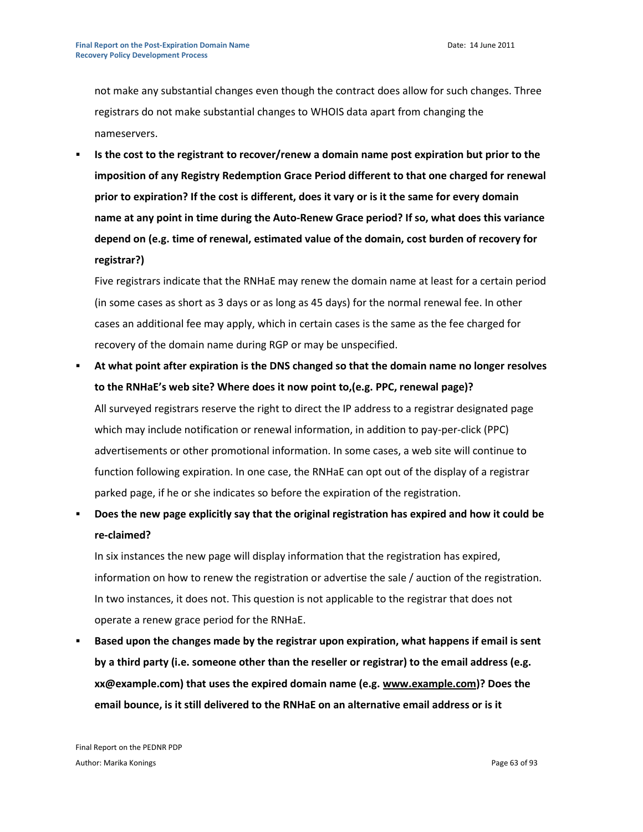not make any substantial changes even though the contract does allow for such changes. Three registrars do not make substantial changes to WHOIS data apart from changing the nameservers.

 **Is the cost to the registrant to recover/renew a domain name post expiration but prior to the imposition of any Registry Redemption Grace Period different to that one charged for renewal prior to expiration? If the cost is different, does it vary or is it the same for every domain name at any point in time during the Auto-Renew Grace period? If so, what does this variance depend on (e.g. time of renewal, estimated value of the domain, cost burden of recovery for registrar?)**

Five registrars indicate that the RNHaE may renew the domain name at least for a certain period (in some cases as short as 3 days or as long as 45 days) for the normal renewal fee. In other cases an additional fee may apply, which in certain cases is the same as the fee charged for recovery of the domain name during RGP or may be unspecified.

- **At what point after expiration is the DNS changed so that the domain name no longer resolves to the RNHaE's web site? Where does it now point to,(e.g. PPC, renewal page)?** All surveyed registrars reserve the right to direct the IP address to a registrar designated page which may include notification or renewal information, in addition to pay-per-click (PPC) advertisements or other promotional information. In some cases, a web site will continue to function following expiration. In one case, the RNHaE can opt out of the display of a registrar parked page, if he or she indicates so before the expiration of the registration.
- **Does the new page explicitly say that the original registration has expired and how it could be re-claimed?**

In six instances the new page will display information that the registration has expired, information on how to renew the registration or advertise the sale / auction of the registration. In two instances, it does not. This question is not applicable to the registrar that does not operate a renew grace period for the RNHaE.

 **Based upon the changes made by the registrar upon expiration, what happens if email is sent by a third party (i.e. someone other than the reseller or registrar) to the email address (e.g. xx@example.com) that uses the expired domain name (e.g[. www.example.com\)](http://www.example.com/)? Does the email bounce, is it still delivered to the RNHaE on an alternative email address or is it**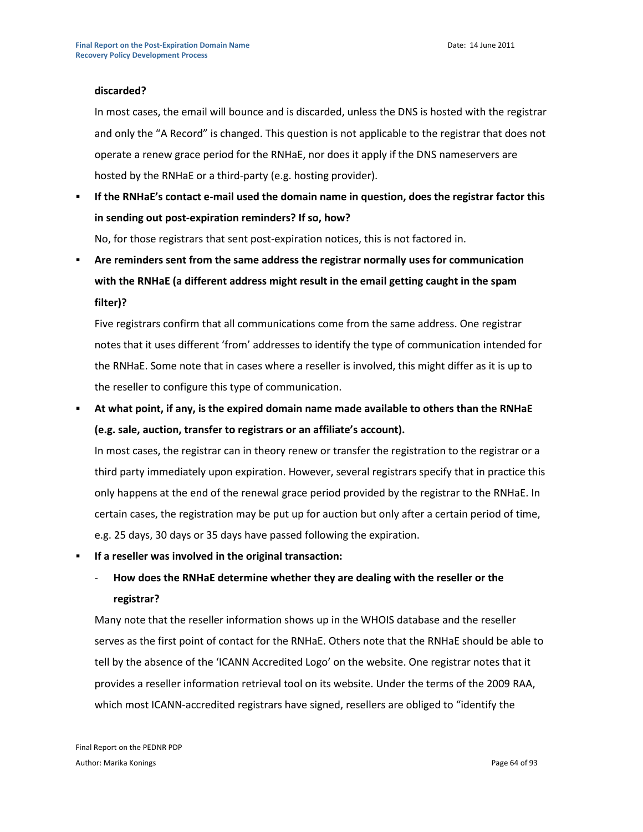#### **discarded?**

In most cases, the email will bounce and is discarded, unless the DNS is hosted with the registrar and only the "A Record" is changed. This question is not applicable to the registrar that does not operate a renew grace period for the RNHaE, nor does it apply if the DNS nameservers are hosted by the RNHaE or a third-party (e.g. hosting provider).

 **If the RNHaE's contact e-mail used the domain name in question, does the registrar factor this in sending out post-expiration reminders? If so, how?**

No, for those registrars that sent post-expiration notices, this is not factored in.

 **Are reminders sent from the same address the registrar normally uses for communication with the RNHaE (a different address might result in the email getting caught in the spam filter)?**

Five registrars confirm that all communications come from the same address. One registrar notes that it uses different 'from' addresses to identify the type of communication intended for the RNHaE. Some note that in cases where a reseller is involved, this might differ as it is up to the reseller to configure this type of communication.

 **At what point, if any, is the expired domain name made available to others than the RNHaE (e.g. sale, auction, transfer to registrars or an affiliate's account).**

In most cases, the registrar can in theory renew or transfer the registration to the registrar or a third party immediately upon expiration. However, several registrars specify that in practice this only happens at the end of the renewal grace period provided by the registrar to the RNHaE. In certain cases, the registration may be put up for auction but only after a certain period of time, e.g. 25 days, 30 days or 35 days have passed following the expiration.

**If a reseller was involved in the original transaction:**

# - **How does the RNHaE determine whether they are dealing with the reseller or the registrar?**

Many note that the reseller information shows up in the WHOIS database and the reseller serves as the first point of contact for the RNHaE. Others note that the RNHaE should be able to tell by the absence of the 'ICANN Accredited Logo' on the website. One registrar notes that it provides a reseller information retrieval tool on its website. Under the terms of the 2009 RAA, which most ICANN-accredited registrars have signed, resellers are obliged to "identify the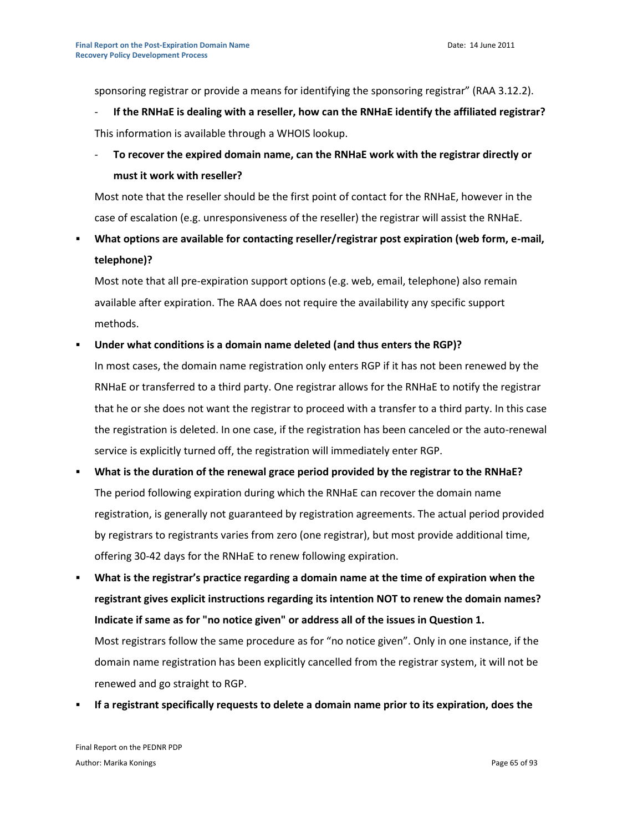sponsoring registrar or provide a means for identifying the sponsoring registrar" (RAA 3.12.2).

- **If the RNHaE is dealing with a reseller, how can the RNHaE identify the affiliated registrar?** This information is available through a WHOIS lookup.
- **To recover the expired domain name, can the RNHaE work with the registrar directly or must it work with reseller?**

Most note that the reseller should be the first point of contact for the RNHaE, however in the case of escalation (e.g. unresponsiveness of the reseller) the registrar will assist the RNHaE.

 **What options are available for contacting reseller/registrar post expiration (web form, e-mail, telephone)?**

Most note that all pre-expiration support options (e.g. web, email, telephone) also remain available after expiration. The RAA does not require the availability any specific support methods.

# **Under what conditions is a domain name deleted (and thus enters the RGP)?**

In most cases, the domain name registration only enters RGP if it has not been renewed by the RNHaE or transferred to a third party. One registrar allows for the RNHaE to notify the registrar that he or she does not want the registrar to proceed with a transfer to a third party. In this case the registration is deleted. In one case, if the registration has been canceled or the auto-renewal service is explicitly turned off, the registration will immediately enter RGP.

- **What is the duration of the renewal grace period provided by the registrar to the RNHaE?** The period following expiration during which the RNHaE can recover the domain name registration, is generally not guaranteed by registration agreements. The actual period provided by registrars to registrants varies from zero (one registrar), but most provide additional time, offering 30-42 days for the RNHaE to renew following expiration.
- **What is the registrar's practice regarding a domain name at the time of expiration when the registrant gives explicit instructions regarding its intention NOT to renew the domain names? Indicate if same as for "no notice given" or address all of the issues in Question 1.**  Most registrars follow the same procedure as for "no notice given". Only in one instance, if the domain name registration has been explicitly cancelled from the registrar system, it will not be renewed and go straight to RGP.
- **If a registrant specifically requests to delete a domain name prior to its expiration, does the**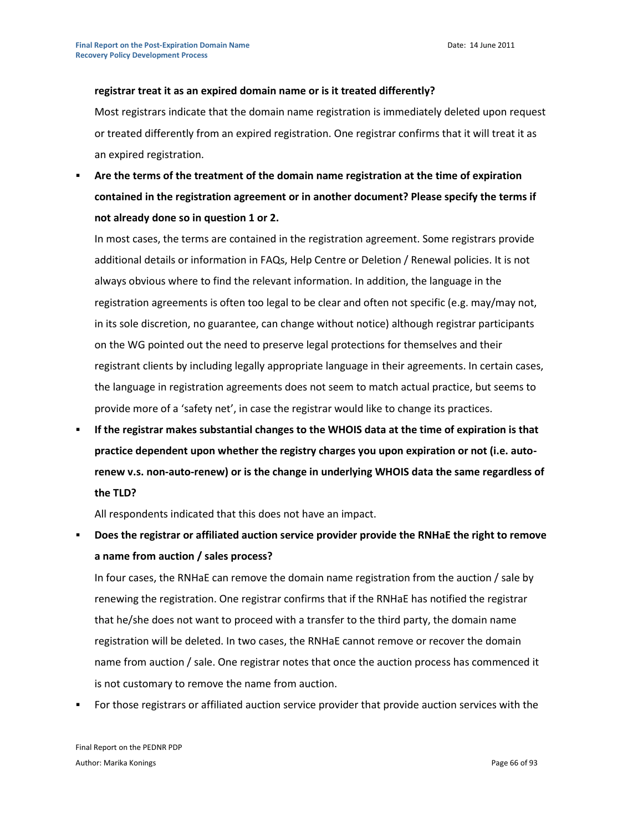#### **registrar treat it as an expired domain name or is it treated differently?**

Most registrars indicate that the domain name registration is immediately deleted upon request or treated differently from an expired registration. One registrar confirms that it will treat it as an expired registration.

 **Are the terms of the treatment of the domain name registration at the time of expiration contained in the registration agreement or in another document? Please specify the terms if not already done so in question 1 or 2.** 

In most cases, the terms are contained in the registration agreement. Some registrars provide additional details or information in FAQs, Help Centre or Deletion / Renewal policies. It is not always obvious where to find the relevant information. In addition, the language in the registration agreements is often too legal to be clear and often not specific (e.g. may/may not, in its sole discretion, no guarantee, can change without notice) although registrar participants on the WG pointed out the need to preserve legal protections for themselves and their registrant clients by including legally appropriate language in their agreements. In certain cases, the language in registration agreements does not seem to match actual practice, but seems to provide more of a 'safety net', in case the registrar would like to change its practices.

 **If the registrar makes substantial changes to the WHOIS data at the time of expiration is that practice dependent upon whether the registry charges you upon expiration or not (i.e. autorenew v.s. non-auto-renew) or is the change in underlying WHOIS data the same regardless of the TLD?**

All respondents indicated that this does not have an impact.

 **Does the registrar or affiliated auction service provider provide the RNHaE the right to remove a name from auction / sales process?**

In four cases, the RNHaE can remove the domain name registration from the auction / sale by renewing the registration. One registrar confirms that if the RNHaE has notified the registrar that he/she does not want to proceed with a transfer to the third party, the domain name registration will be deleted. In two cases, the RNHaE cannot remove or recover the domain name from auction / sale. One registrar notes that once the auction process has commenced it is not customary to remove the name from auction.

For those registrars or affiliated auction service provider that provide auction services with the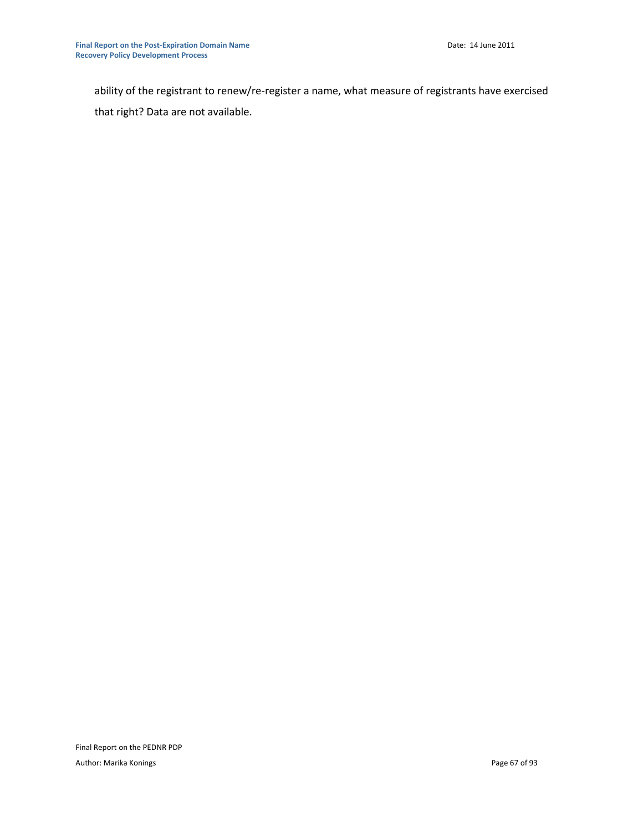ability of the registrant to renew/re-register a name, what measure of registrants have exercised that right? Data are not available.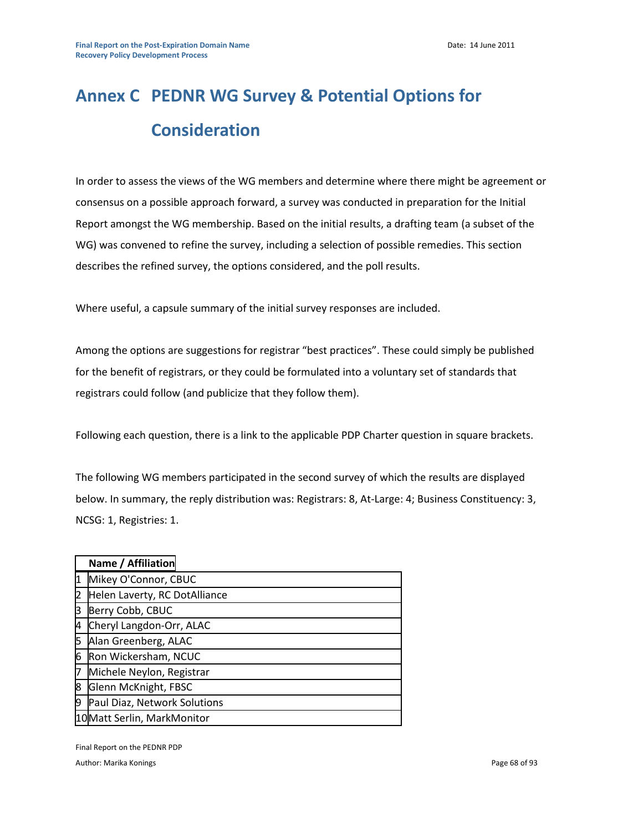# **Annex C PEDNR WG Survey & Potential Options for Consideration**

In order to assess the views of the WG members and determine where there might be agreement or consensus on a possible approach forward, a survey was conducted in preparation for the Initial Report amongst the WG membership. Based on the initial results, a drafting team (a subset of the WG) was convened to refine the survey, including a selection of possible remedies. This section describes the refined survey, the options considered, and the poll results.

Where useful, a capsule summary of the initial survey responses are included.

Among the options are suggestions for registrar "best practices". These could simply be published for the benefit of registrars, or they could be formulated into a voluntary set of standards that registrars could follow (and publicize that they follow them).

Following each question, there is a link to the applicable PDP Charter question in square brackets.

The following WG members participated in the second survey of which the results are displayed below. In summary, the reply distribution was: Registrars: 8, At-Large: 4; Business Constituency: 3, NCSG: 1, Registries: 1.

|    | Name / Affiliation            |
|----|-------------------------------|
|    | Mikey O'Connor, CBUC          |
| 2  | Helen Laverty, RC DotAlliance |
| 3  | Berry Cobb, CBUC              |
| 4  | Cheryl Langdon-Orr, ALAC      |
| 5  | Alan Greenberg, ALAC          |
| 6  | Ron Wickersham, NCUC          |
| 7  | Michele Neylon, Registrar     |
| 8  | Glenn McKnight, FBSC          |
| 19 | Paul Diaz, Network Solutions  |
|    | 10 Matt Serlin, MarkMonitor   |

Final Report on the PEDNR PDP

Author: Marika Konings **Page 68 of 93** Author: Marika Konings **Page 68 of 93**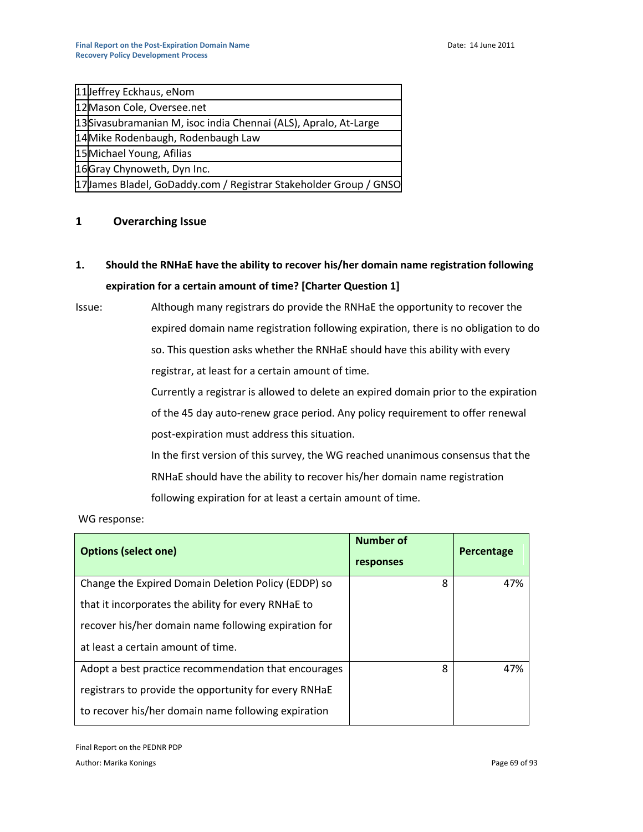| 11 Jeffrey Eckhaus, eNom                                          |
|-------------------------------------------------------------------|
| 12 Mason Cole, Oversee.net                                        |
| 13 Sivasubramanian M, isoc india Chennai (ALS), Apralo, At-Large  |
| 14 Mike Rodenbaugh, Rodenbaugh Law                                |
| 15 Michael Young, Afilias                                         |
| 16 Gray Chynoweth, Dyn Inc.                                       |
| 17 James Bladel, GoDaddy.com / Registrar Stakeholder Group / GNSO |

# **1 Overarching Issue**

**1. Should the RNHaE have the ability to recover his/her domain name registration following expiration for a certain amount of time? [Charter Question 1]**

Issue: Although many registrars do provide the RNHaE the opportunity to recover the expired domain name registration following expiration, there is no obligation to do so. This question asks whether the RNHaE should have this ability with every registrar, at least for a certain amount of time.

> Currently a registrar is allowed to delete an expired domain prior to the expiration of the 45 day auto-renew grace period. Any policy requirement to offer renewal post-expiration must address this situation.

In the first version of this survey, the WG reached unanimous consensus that the RNHaE should have the ability to recover his/her domain name registration following expiration for at least a certain amount of time.

WG response:

| <b>Options (select one)</b>                           | Number of<br>responses | Percentage |
|-------------------------------------------------------|------------------------|------------|
| Change the Expired Domain Deletion Policy (EDDP) so   | 8                      | 47%        |
| that it incorporates the ability for every RNHaE to   |                        |            |
| recover his/her domain name following expiration for  |                        |            |
| at least a certain amount of time.                    |                        |            |
| Adopt a best practice recommendation that encourages  | 8                      | 47%        |
| registrars to provide the opportunity for every RNHaE |                        |            |
| to recover his/her domain name following expiration   |                        |            |

Final Report on the PEDNR PDP Author: Marika Konings Page 69 of 93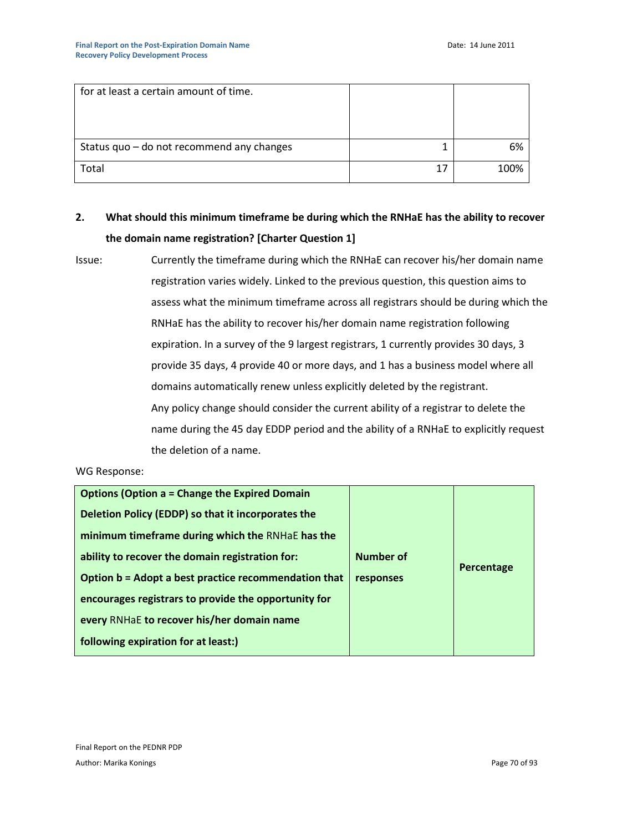| for at least a certain amount of time.    |    |      |
|-------------------------------------------|----|------|
|                                           |    |      |
|                                           |    |      |
|                                           |    |      |
| Status quo - do not recommend any changes |    | 6%   |
| Total                                     | 17 | 100% |
|                                           |    |      |

# **2. What should this minimum timeframe be during which the RNHaE has the ability to recover the domain name registration? [Charter Question 1]**

```
Issue: Currently the timeframe during which the RNHaE can recover his/her domain name 
    registration varies widely. Linked to the previous question, this question aims to 
    assess what the minimum timeframe across all registrars should be during which the 
    RNHaE has the ability to recover his/her domain name registration following 
    expiration. In a survey of the 9 largest registrars, 1 currently provides 30 days, 3 
    provide 35 days, 4 provide 40 or more days, and 1 has a business model where all 
    domains automatically renew unless explicitly deleted by the registrant.
    Any policy change should consider the current ability of a registrar to delete the 
    name during the 45 day EDDP period and the ability of a RNHaE to explicitly request 
   the deletion of a name.
```
## WG Response:

| <b>Options (Option a = Change the Expired Domain</b> |           |            |
|------------------------------------------------------|-----------|------------|
| Deletion Policy (EDDP) so that it incorporates the   |           |            |
| minimum timeframe during which the RNHaE has the     |           |            |
| ability to recover the domain registration for:      | Number of | Percentage |
| Option b = Adopt a best practice recommendation that | responses |            |
| encourages registrars to provide the opportunity for |           |            |
| every RNHaE to recover his/her domain name           |           |            |
| following expiration for at least:)                  |           |            |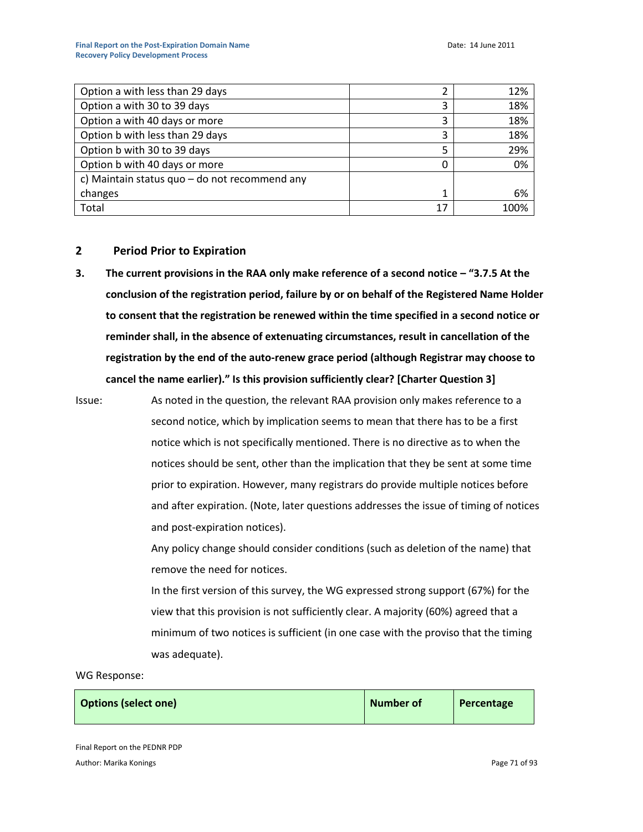| Option a with less than 29 days                 | 2  | 12%  |
|-------------------------------------------------|----|------|
| Option a with 30 to 39 days                     | 3  | 18%  |
| Option a with 40 days or more                   | 3  | 18%  |
| Option b with less than 29 days                 | 3  | 18%  |
| Option b with 30 to 39 days                     | 5  | 29%  |
| Option b with 40 days or more                   | 0  | 0%   |
| c) Maintain status quo $-$ do not recommend any |    |      |
| changes                                         | 1  | 6%   |
| Total                                           | 17 | 100% |

## **2 Period Prior to Expiration**

**3. The current provisions in the RAA only make reference of a second notice – "3.7.5 At the conclusion of the registration period, failure by or on behalf of the Registered Name Holder to consent that the registration be renewed within the time specified in a second notice or reminder shall, in the absence of extenuating circumstances, result in cancellation of the registration by the end of the auto-renew grace period (although Registrar may choose to**  cancel the name earlier)." Is this provision sufficiently clear? [Charter Question 3]

Issue: As noted in the question, the relevant RAA provision only makes reference to a second notice, which by implication seems to mean that there has to be a first notice which is not specifically mentioned. There is no directive as to when the notices should be sent, other than the implication that they be sent at some time prior to expiration. However, many registrars do provide multiple notices before and after expiration. (Note, later questions addresses the issue of timing of notices and post-expiration notices).

> Any policy change should consider conditions (such as deletion of the name) that remove the need for notices.

> In the first version of this survey, the WG expressed strong support (67%) for the view that this provision is not sufficiently clear. A majority (60%) agreed that a minimum of two notices is sufficient (in one case with the proviso that the timing was adequate).

#### WG Response:

| <b>Options (select one)</b> | Number of | Percentage |
|-----------------------------|-----------|------------|
|-----------------------------|-----------|------------|

Final Report on the PEDNR PDP Author: Marika Konings **Page 71** of 93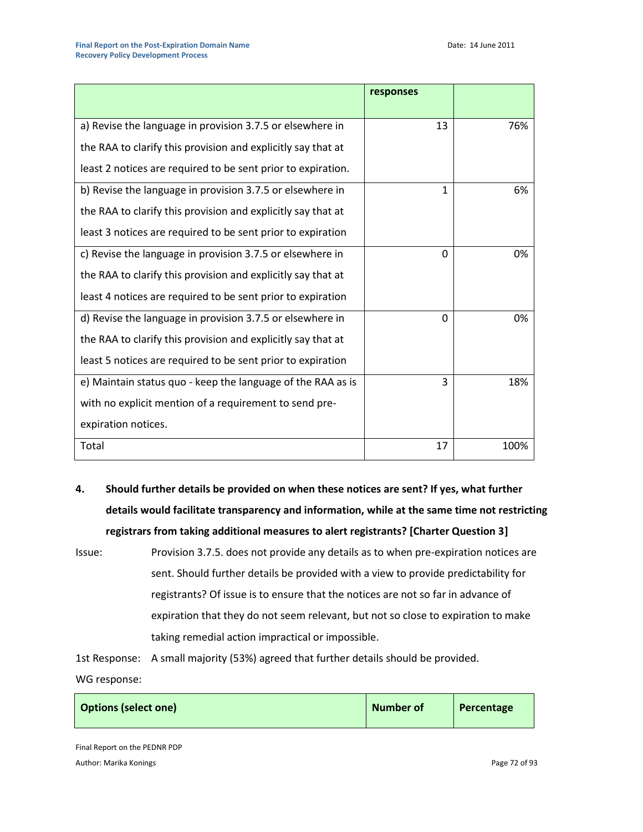|                                                              | responses |      |
|--------------------------------------------------------------|-----------|------|
| a) Revise the language in provision 3.7.5 or elsewhere in    | 13        | 76%  |
| the RAA to clarify this provision and explicitly say that at |           |      |
| least 2 notices are required to be sent prior to expiration. |           |      |
| b) Revise the language in provision 3.7.5 or elsewhere in    | 1         | 6%   |
| the RAA to clarify this provision and explicitly say that at |           |      |
| least 3 notices are required to be sent prior to expiration  |           |      |
| c) Revise the language in provision 3.7.5 or elsewhere in    | 0         | 0%   |
| the RAA to clarify this provision and explicitly say that at |           |      |
| least 4 notices are required to be sent prior to expiration  |           |      |
| d) Revise the language in provision 3.7.5 or elsewhere in    | 0         | 0%   |
| the RAA to clarify this provision and explicitly say that at |           |      |
| least 5 notices are required to be sent prior to expiration  |           |      |
| e) Maintain status quo - keep the language of the RAA as is  | 3         | 18%  |
| with no explicit mention of a requirement to send pre-       |           |      |
| expiration notices.                                          |           |      |
| Total                                                        | 17        | 100% |

- **4. Should further details be provided on when these notices are sent? If yes, what further details would facilitate transparency and information, while at the same time not restricting registrars from taking additional measures to alert registrants? [Charter Question 3]**
- Issue: Provision 3.7.5. does not provide any details as to when pre-expiration notices are sent. Should further details be provided with a view to provide predictability for registrants? Of issue is to ensure that the notices are not so far in advance of expiration that they do not seem relevant, but not so close to expiration to make taking remedial action impractical or impossible.

1st Response: A small majority (53%) agreed that further details should be provided.

WG response:

| <b>Options (select one)</b> | Number of | Percentage |
|-----------------------------|-----------|------------|
|                             |           |            |

Final Report on the PEDNR PDP Author: Marika Konings **Page 72 of 93** Author: Marika Konings **Page 72 of 93** Author: Marika Konings **Page 72 of 93**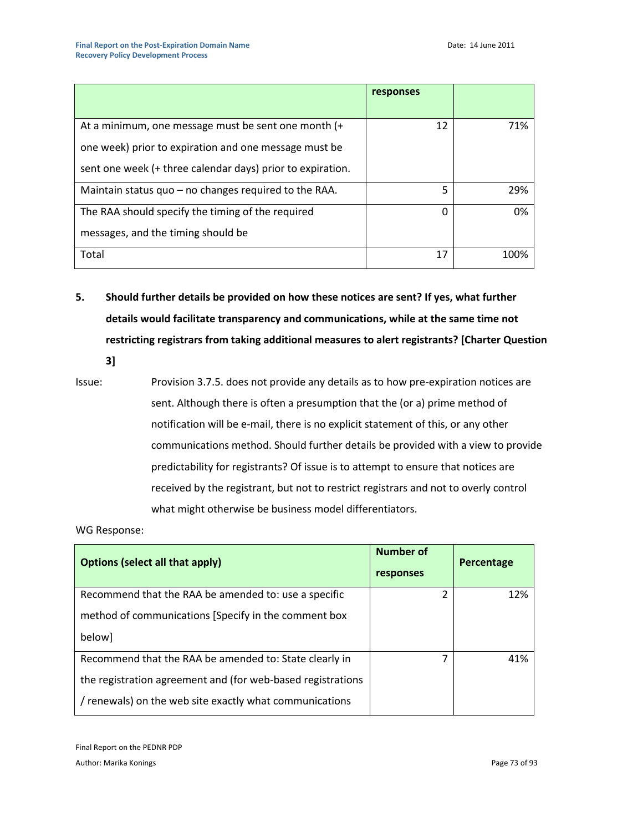|                                                            | responses |      |
|------------------------------------------------------------|-----------|------|
|                                                            |           |      |
| At a minimum, one message must be sent one month (+        | 12        | 71%  |
| one week) prior to expiration and one message must be      |           |      |
| sent one week (+ three calendar days) prior to expiration. |           |      |
| Maintain status $quo - no$ changes required to the RAA.    | 5         | 29%  |
| The RAA should specify the timing of the required          | 0         | 0%   |
| messages, and the timing should be                         |           |      |
| Total                                                      | 17        | 100% |

**5. Should further details be provided on how these notices are sent? If yes, what further details would facilitate transparency and communications, while at the same time not restricting registrars from taking additional measures to alert registrants? [Charter Question** 

**3]**

Issue: Provision 3.7.5. does not provide any details as to how pre-expiration notices are sent. Although there is often a presumption that the (or a) prime method of notification will be e-mail, there is no explicit statement of this, or any other communications method. Should further details be provided with a view to provide predictability for registrants? Of issue is to attempt to ensure that notices are received by the registrant, but not to restrict registrars and not to overly control what might otherwise be business model differentiators.

| <b>Options (select all that apply)</b>                      | Number of<br>responses | Percentage |
|-------------------------------------------------------------|------------------------|------------|
| Recommend that the RAA be amended to: use a specific        | 2                      | 12%        |
| method of communications [Specify in the comment box        |                        |            |
| below]                                                      |                        |            |
| Recommend that the RAA be amended to: State clearly in      |                        | 41%        |
| the registration agreement and (for web-based registrations |                        |            |
| / renewals) on the web site exactly what communications     |                        |            |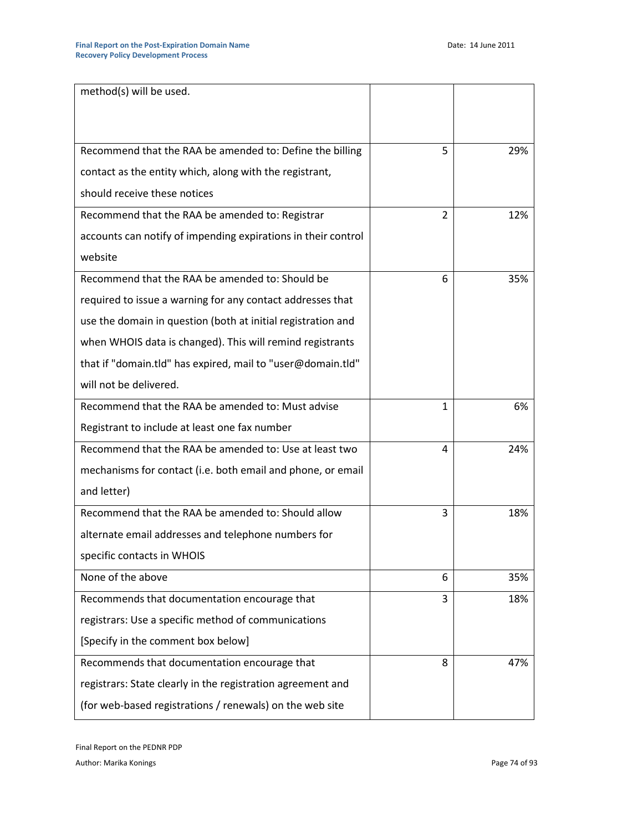| method(s) will be used.                                       |                |     |
|---------------------------------------------------------------|----------------|-----|
|                                                               |                |     |
|                                                               |                |     |
| Recommend that the RAA be amended to: Define the billing      | 5              | 29% |
| contact as the entity which, along with the registrant,       |                |     |
| should receive these notices                                  |                |     |
| Recommend that the RAA be amended to: Registrar               | $\overline{2}$ | 12% |
| accounts can notify of impending expirations in their control |                |     |
| website                                                       |                |     |
| Recommend that the RAA be amended to: Should be               | 6              | 35% |
| required to issue a warning for any contact addresses that    |                |     |
| use the domain in question (both at initial registration and  |                |     |
| when WHOIS data is changed). This will remind registrants     |                |     |
| that if "domain.tld" has expired, mail to "user@domain.tld"   |                |     |
| will not be delivered.                                        |                |     |
| Recommend that the RAA be amended to: Must advise             | 1              | 6%  |
| Registrant to include at least one fax number                 |                |     |
| Recommend that the RAA be amended to: Use at least two        | 4              | 24% |
| mechanisms for contact (i.e. both email and phone, or email   |                |     |
| and letter)                                                   |                |     |
| Recommend that the RAA be amended to: Should allow            | 3              | 18% |
| alternate email addresses and telephone numbers for           |                |     |
| specific contacts in WHOIS                                    |                |     |
| None of the above                                             | 6              | 35% |
| Recommends that documentation encourage that                  | 3              | 18% |
| registrars: Use a specific method of communications           |                |     |
| [Specify in the comment box below]                            |                |     |
| Recommends that documentation encourage that                  | 8              | 47% |
| registrars: State clearly in the registration agreement and   |                |     |
| (for web-based registrations / renewals) on the web site      |                |     |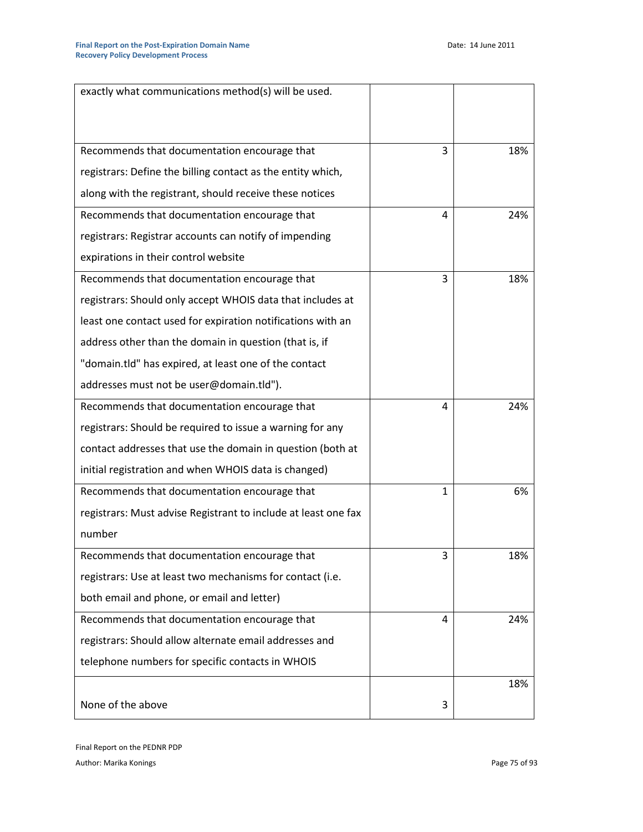| exactly what communications method(s) will be used.            |   |     |
|----------------------------------------------------------------|---|-----|
|                                                                |   |     |
| Recommends that documentation encourage that                   | 3 | 18% |
| registrars: Define the billing contact as the entity which,    |   |     |
| along with the registrant, should receive these notices        |   |     |
| Recommends that documentation encourage that                   | 4 | 24% |
| registrars: Registrar accounts can notify of impending         |   |     |
| expirations in their control website                           |   |     |
| Recommends that documentation encourage that                   | 3 | 18% |
| registrars: Should only accept WHOIS data that includes at     |   |     |
| least one contact used for expiration notifications with an    |   |     |
| address other than the domain in question (that is, if         |   |     |
| "domain.tld" has expired, at least one of the contact          |   |     |
| addresses must not be user@domain.tld").                       |   |     |
| Recommends that documentation encourage that                   | 4 | 24% |
| registrars: Should be required to issue a warning for any      |   |     |
| contact addresses that use the domain in question (both at     |   |     |
| initial registration and when WHOIS data is changed)           |   |     |
| Recommends that documentation encourage that                   | 1 | 6%  |
| registrars: Must advise Registrant to include at least one fax |   |     |
| number                                                         |   |     |
| Recommends that documentation encourage that                   | 3 | 18% |
| registrars: Use at least two mechanisms for contact (i.e.      |   |     |
| both email and phone, or email and letter)                     |   |     |
| Recommends that documentation encourage that                   | 4 | 24% |
| registrars: Should allow alternate email addresses and         |   |     |
| telephone numbers for specific contacts in WHOIS               |   |     |
|                                                                |   | 18% |
| None of the above                                              | 3 |     |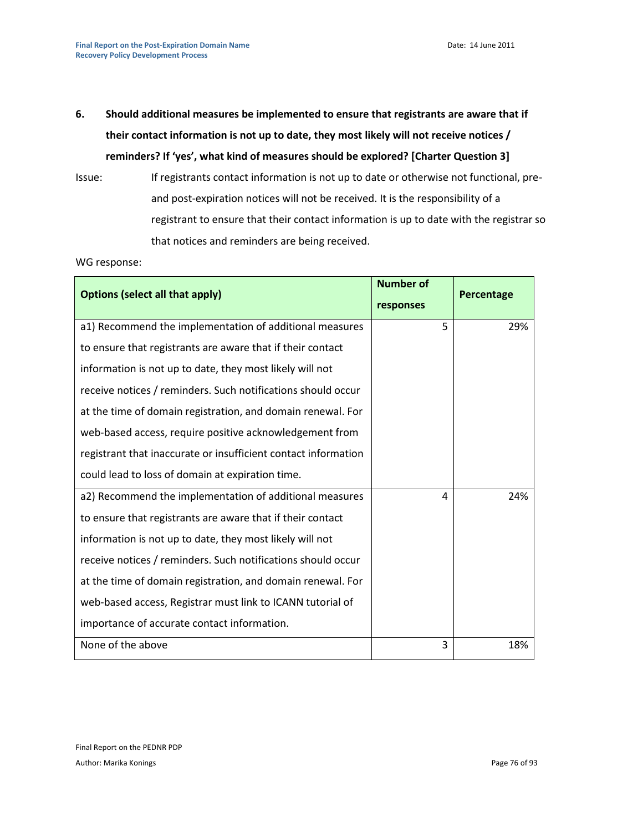**6. Should additional measures be implemented to ensure that registrants are aware that if their contact information is not up to date, they most likely will not receive notices /**  reminders? If 'yes', what kind of measures should be explored? [Charter Question 3]

Issue: If registrants contact information is not up to date or otherwise not functional, preand post-expiration notices will not be received. It is the responsibility of a registrant to ensure that their contact information is up to date with the registrar so that notices and reminders are being received.

| <b>Options (select all that apply)</b>                         | <b>Number of</b><br>responses | Percentage |
|----------------------------------------------------------------|-------------------------------|------------|
| a1) Recommend the implementation of additional measures        | 5                             | 29%        |
| to ensure that registrants are aware that if their contact     |                               |            |
| information is not up to date, they most likely will not       |                               |            |
| receive notices / reminders. Such notifications should occur   |                               |            |
| at the time of domain registration, and domain renewal. For    |                               |            |
| web-based access, require positive acknowledgement from        |                               |            |
| registrant that inaccurate or insufficient contact information |                               |            |
| could lead to loss of domain at expiration time.               |                               |            |
| a2) Recommend the implementation of additional measures        | 4                             | 24%        |
| to ensure that registrants are aware that if their contact     |                               |            |
| information is not up to date, they most likely will not       |                               |            |
| receive notices / reminders. Such notifications should occur   |                               |            |
| at the time of domain registration, and domain renewal. For    |                               |            |
| web-based access, Registrar must link to ICANN tutorial of     |                               |            |
| importance of accurate contact information.                    |                               |            |
| None of the above                                              | 3                             | 18%        |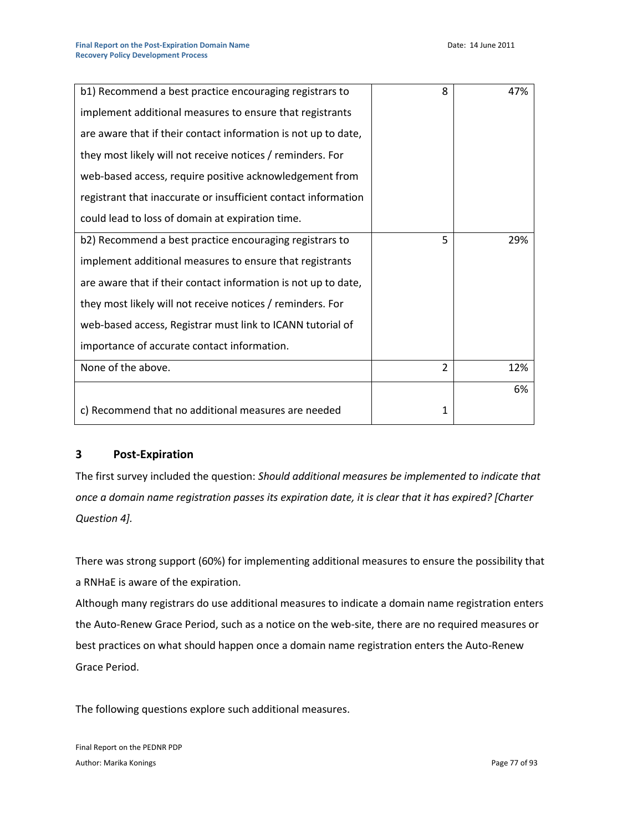| b1) Recommend a best practice encouraging registrars to        | 8 | 47% |
|----------------------------------------------------------------|---|-----|
| implement additional measures to ensure that registrants       |   |     |
| are aware that if their contact information is not up to date, |   |     |
| they most likely will not receive notices / reminders. For     |   |     |
| web-based access, require positive acknowledgement from        |   |     |
| registrant that inaccurate or insufficient contact information |   |     |
| could lead to loss of domain at expiration time.               |   |     |
| b2) Recommend a best practice encouraging registrars to        | 5 | 29% |
| implement additional measures to ensure that registrants       |   |     |
| are aware that if their contact information is not up to date, |   |     |
| they most likely will not receive notices / reminders. For     |   |     |
| web-based access, Registrar must link to ICANN tutorial of     |   |     |
| importance of accurate contact information.                    |   |     |
| None of the above.                                             | 2 | 12% |
|                                                                |   | 6%  |
| c) Recommend that no additional measures are needed            | 1 |     |

# **3 Post-Expiration**

The first survey included the question: *Should additional measures be implemented to indicate that once a domain name registration passes its expiration date, it is clear that it has expired? [Charter Question 4].* 

There was strong support (60%) for implementing additional measures to ensure the possibility that a RNHaE is aware of the expiration.

Although many registrars do use additional measures to indicate a domain name registration enters the Auto-Renew Grace Period, such as a notice on the web-site, there are no required measures or best practices on what should happen once a domain name registration enters the Auto-Renew Grace Period.

The following questions explore such additional measures.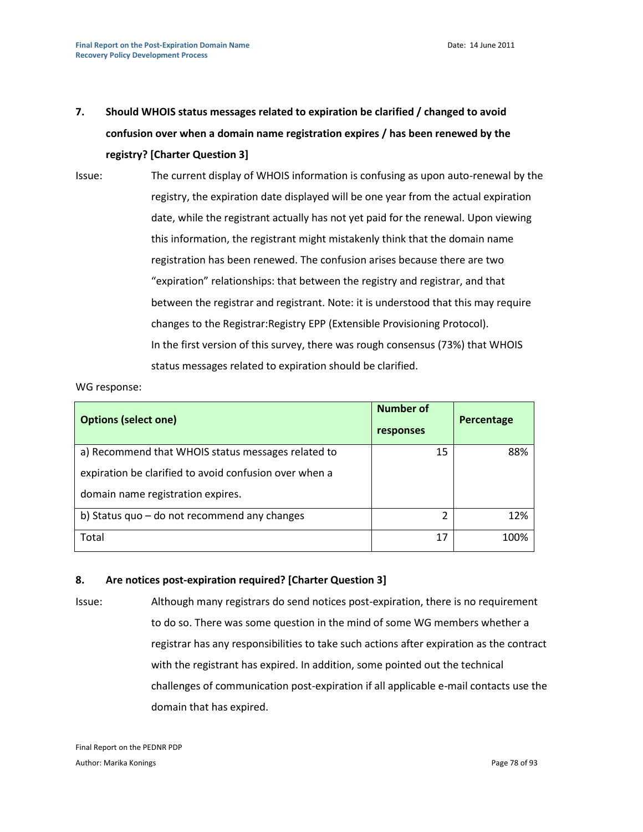**7. Should WHOIS status messages related to expiration be clarified / changed to avoid confusion over when a domain name registration expires / has been renewed by the registry? [Charter Question 3]**

Issue: The current display of WHOIS information is confusing as upon auto-renewal by the registry, the expiration date displayed will be one year from the actual expiration date, while the registrant actually has not yet paid for the renewal. Upon viewing this information, the registrant might mistakenly think that the domain name registration has been renewed. The confusion arises because there are two "expiration" relationships: that between the registry and registrar, and that between the registrar and registrant. Note: it is understood that this may require changes to the Registrar:Registry EPP (Extensible Provisioning Protocol). In the first version of this survey, there was rough consensus (73%) that WHOIS status messages related to expiration should be clarified.

### WG response:

| <b>Options (select one)</b>                            | Number of<br>responses | Percentage |
|--------------------------------------------------------|------------------------|------------|
| a) Recommend that WHOIS status messages related to     | 15                     | 88%        |
| expiration be clarified to avoid confusion over when a |                        |            |
| domain name registration expires.                      |                        |            |
| b) Status quo $-$ do not recommend any changes         | 2                      | 12%        |
| Total                                                  | 17                     | 100%       |

## **8. Are notices post-expiration required? [Charter Question 3]**

Issue: Although many registrars do send notices post-expiration, there is no requirement to do so. There was some question in the mind of some WG members whether a registrar has any responsibilities to take such actions after expiration as the contract with the registrant has expired. In addition, some pointed out the technical challenges of communication post-expiration if all applicable e-mail contacts use the domain that has expired.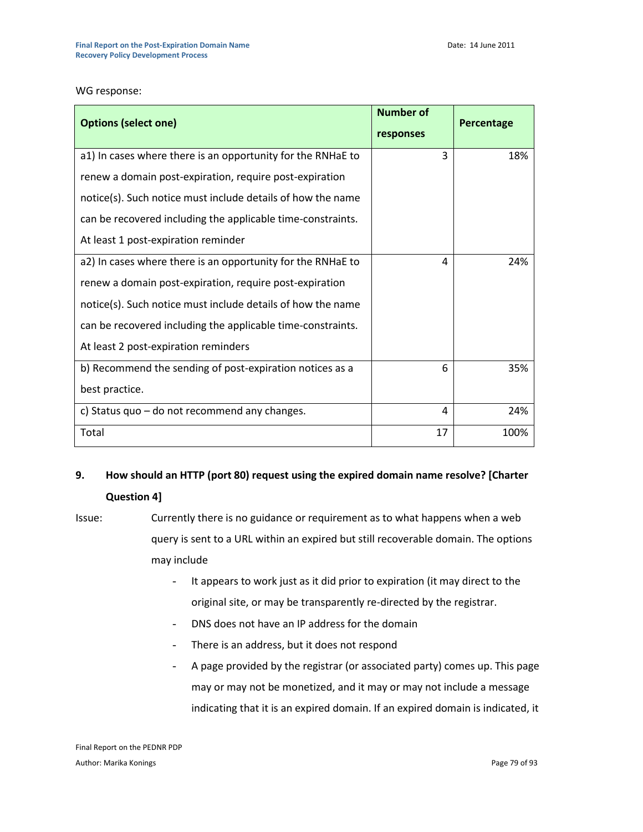WG response:

| <b>Options (select one)</b>                                 | <b>Number of</b><br>responses | Percentage |
|-------------------------------------------------------------|-------------------------------|------------|
| a1) In cases where there is an opportunity for the RNHaE to | 3                             | 18%        |
| renew a domain post-expiration, require post-expiration     |                               |            |
| notice(s). Such notice must include details of how the name |                               |            |
| can be recovered including the applicable time-constraints. |                               |            |
| At least 1 post-expiration reminder                         |                               |            |
| a2) In cases where there is an opportunity for the RNHaE to | 4                             | 24%        |
| renew a domain post-expiration, require post-expiration     |                               |            |
| notice(s). Such notice must include details of how the name |                               |            |
| can be recovered including the applicable time-constraints. |                               |            |
| At least 2 post-expiration reminders                        |                               |            |
| b) Recommend the sending of post-expiration notices as a    | 6                             | 35%        |
| best practice.                                              |                               |            |
| c) Status quo - do not recommend any changes.               | 4                             | 24%        |
| Total                                                       | 17                            | 100%       |

# **9. How should an HTTP (port 80) request using the expired domain name resolve? [Charter Question 4]**

- Issue: Currently there is no guidance or requirement as to what happens when a web query is sent to a URL within an expired but still recoverable domain. The options may include
	- It appears to work just as it did prior to expiration (it may direct to the original site, or may be transparently re-directed by the registrar.
	- DNS does not have an IP address for the domain
	- There is an address, but it does not respond
	- A page provided by the registrar (or associated party) comes up. This page may or may not be monetized, and it may or may not include a message indicating that it is an expired domain. If an expired domain is indicated, it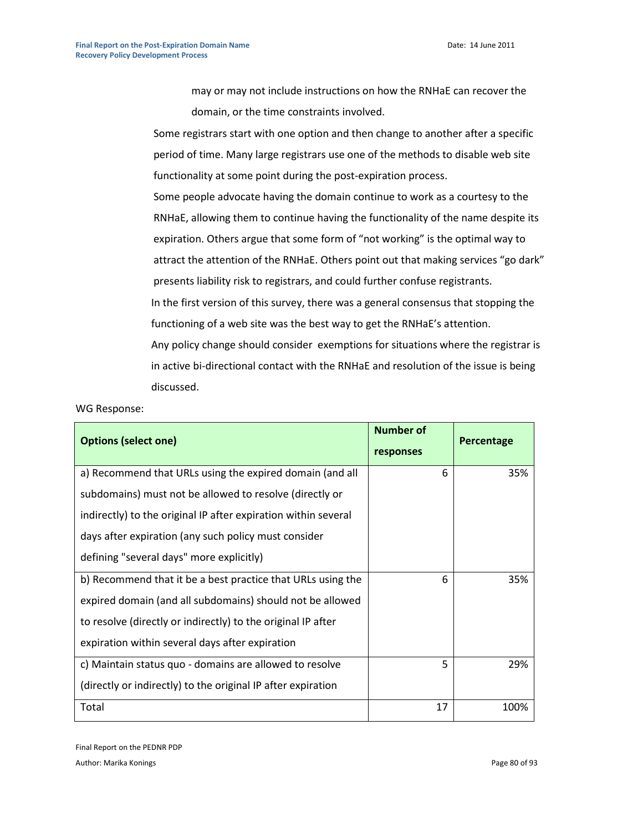may or may not include instructions on how the RNHaE can recover the domain, or the time constraints involved.

Some registrars start with one option and then change to another after a specific period of time. Many large registrars use one of the methods to disable web site functionality at some point during the post-expiration process.

Some people advocate having the domain continue to work as a courtesy to the RNHaE, allowing them to continue having the functionality of the name despite its expiration. Others argue that some form of "not working" is the optimal way to attract the attention of the RNHaE. Others point out that making services "go dark" presents liability risk to registrars, and could further confuse registrants. In the first version of this survey, there was a general consensus that stopping the functioning of a web site was the best way to get the RNHaE's attention. Any policy change should consider exemptions for situations where the registrar is in active bi-directional contact with the RNHaE and resolution of the issue is being discussed.

| <b>Options (select one)</b>                                    | <b>Number of</b><br>responses | Percentage |
|----------------------------------------------------------------|-------------------------------|------------|
| a) Recommend that URLs using the expired domain (and all       | 6                             | 35%        |
| subdomains) must not be allowed to resolve (directly or        |                               |            |
| indirectly) to the original IP after expiration within several |                               |            |
| days after expiration (any such policy must consider           |                               |            |
| defining "several days" more explicitly)                       |                               |            |
| b) Recommend that it be a best practice that URLs using the    | 6                             | 35%        |
| expired domain (and all subdomains) should not be allowed      |                               |            |
| to resolve (directly or indirectly) to the original IP after   |                               |            |
| expiration within several days after expiration                |                               |            |
| c) Maintain status quo - domains are allowed to resolve        | 5                             | 29%        |
| (directly or indirectly) to the original IP after expiration   |                               |            |
| Total                                                          | 17                            | 100%       |

WG Response:

Final Report on the PEDNR PDP Author: Marika Konings Page 80 of 93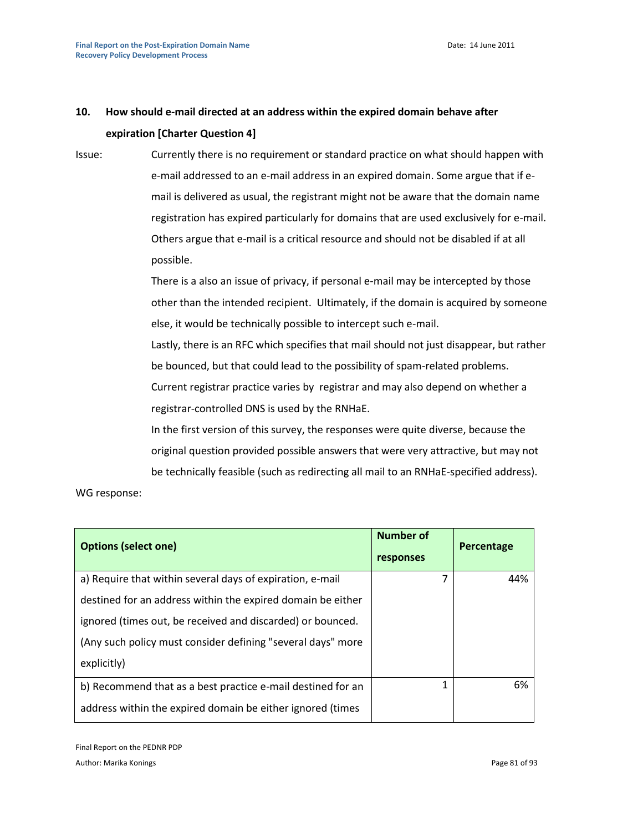# **10. How should e-mail directed at an address within the expired domain behave after expiration [Charter Question 4]**

Issue: Currently there is no requirement or standard practice on what should happen with e-mail addressed to an e-mail address in an expired domain. Some argue that if email is delivered as usual, the registrant might not be aware that the domain name registration has expired particularly for domains that are used exclusively for e-mail. Others argue that e-mail is a critical resource and should not be disabled if at all possible.

> There is a also an issue of privacy, if personal e-mail may be intercepted by those other than the intended recipient. Ultimately, if the domain is acquired by someone else, it would be technically possible to intercept such e-mail.

> Lastly, there is an RFC which specifies that mail should not just disappear, but rather be bounced, but that could lead to the possibility of spam-related problems. Current registrar practice varies by registrar and may also depend on whether a registrar-controlled DNS is used by the RNHaE.

In the first version of this survey, the responses were quite diverse, because the original question provided possible answers that were very attractive, but may not be technically feasible (such as redirecting all mail to an RNHaE-specified address).

| <b>Options (select one)</b>                                 | Number of<br>responses | Percentage |
|-------------------------------------------------------------|------------------------|------------|
| a) Require that within several days of expiration, e-mail   | 7                      | 44%        |
| destined for an address within the expired domain be either |                        |            |
| ignored (times out, be received and discarded) or bounced.  |                        |            |
| (Any such policy must consider defining "several days" more |                        |            |
| explicitly)                                                 |                        |            |
| b) Recommend that as a best practice e-mail destined for an | 1                      | 6%         |
| address within the expired domain be either ignored (times  |                        |            |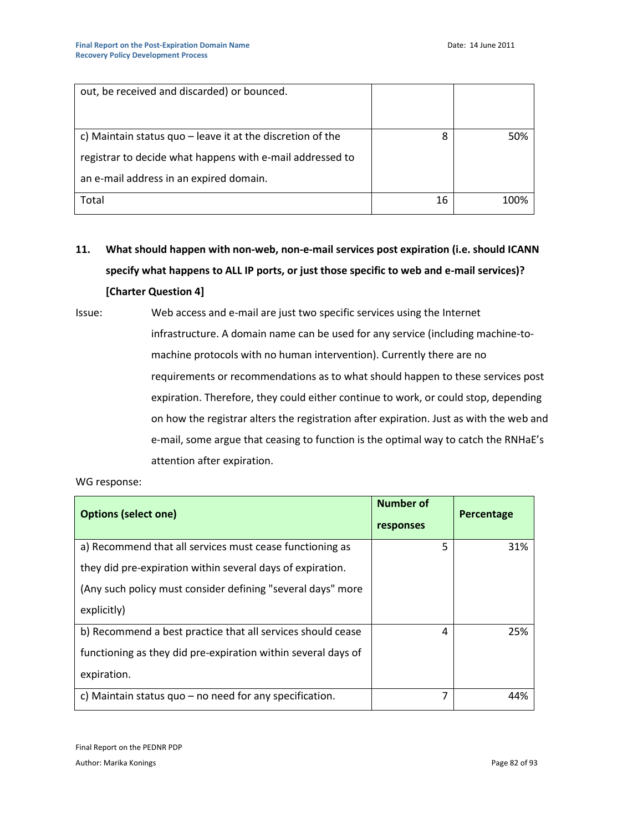| out, be received and discarded) or bounced.                  |    |      |
|--------------------------------------------------------------|----|------|
| c) Maintain status quo $-$ leave it at the discretion of the | 8  | 50%  |
| registrar to decide what happens with e-mail addressed to    |    |      |
| an e-mail address in an expired domain.                      |    |      |
| Total                                                        | 16 | 100% |

**11. What should happen with non-web, non-e-mail services post expiration (i.e. should ICANN specify what happens to ALL IP ports, or just those specific to web and e-mail services)? [Charter Question 4]**

Issue: Web access and e-mail are just two specific services using the Internet infrastructure. A domain name can be used for any service (including machine-tomachine protocols with no human intervention). Currently there are no requirements or recommendations as to what should happen to these services post expiration. Therefore, they could either continue to work, or could stop, depending on how the registrar alters the registration after expiration. Just as with the web and e-mail, some argue that ceasing to function is the optimal way to catch the RNHaE's attention after expiration.

| <b>Options (select one)</b>                                   | <b>Number of</b><br>responses | Percentage |
|---------------------------------------------------------------|-------------------------------|------------|
| a) Recommend that all services must cease functioning as      | 5                             | 31%        |
| they did pre-expiration within several days of expiration.    |                               |            |
| (Any such policy must consider defining "several days" more   |                               |            |
| explicitly)                                                   |                               |            |
| b) Recommend a best practice that all services should cease   | 4                             | 25%        |
| functioning as they did pre-expiration within several days of |                               |            |
| expiration.                                                   |                               |            |
| c) Maintain status quo $-$ no need for any specification.     | 7                             | 44%        |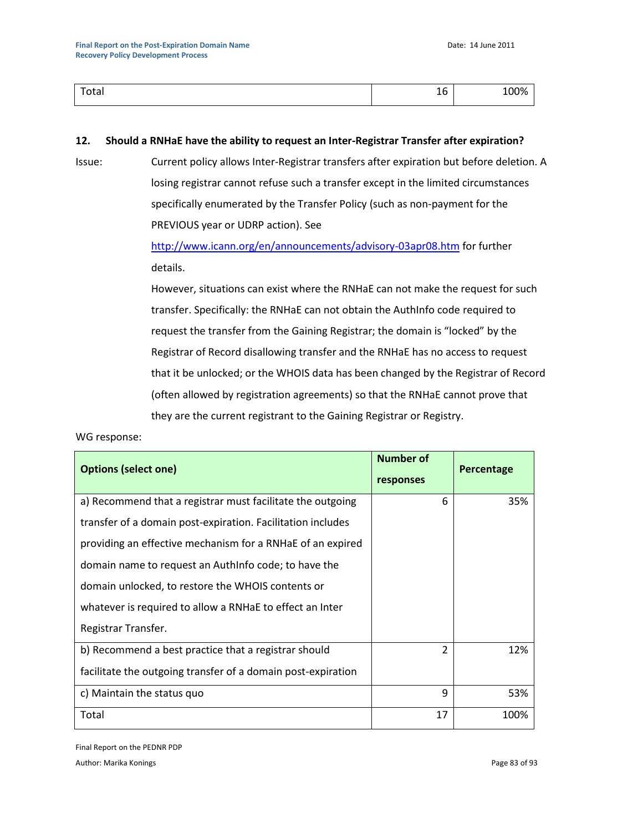| Otdi | - |
|------|---|
|      | ᅩ |

### **12. Should a RNHaE have the ability to request an Inter-Registrar Transfer after expiration?**

Issue: Current policy allows Inter-Registrar transfers after expiration but before deletion. A losing registrar cannot refuse such a transfer except in the limited circumstances specifically enumerated by the Transfer Policy (such as non-payment for the PREVIOUS year or UDRP action). See

> <http://www.icann.org/en/announcements/advisory-03apr08.htm> for further details.

However, situations can exist where the RNHaE can not make the request for such transfer. Specifically: the RNHaE can not obtain the AuthInfo code required to request the transfer from the Gaining Registrar; the domain is "locked" by the Registrar of Record disallowing transfer and the RNHaE has no access to request that it be unlocked; or the WHOIS data has been changed by the Registrar of Record (often allowed by registration agreements) so that the RNHaE cannot prove that they are the current registrant to the Gaining Registrar or Registry.

### WG response:

| <b>Options (select one)</b>                                  | <b>Number of</b><br>responses | Percentage |
|--------------------------------------------------------------|-------------------------------|------------|
| a) Recommend that a registrar must facilitate the outgoing   | 6                             | 35%        |
| transfer of a domain post-expiration. Facilitation includes  |                               |            |
| providing an effective mechanism for a RNHaE of an expired   |                               |            |
| domain name to request an Authinfo code; to have the         |                               |            |
| domain unlocked, to restore the WHOIS contents or            |                               |            |
| whatever is required to allow a RNHaE to effect an Inter     |                               |            |
| Registrar Transfer.                                          |                               |            |
| b) Recommend a best practice that a registrar should         | 2                             | 12%        |
| facilitate the outgoing transfer of a domain post-expiration |                               |            |
| c) Maintain the status quo                                   | 9                             | 53%        |
| Total                                                        | 17                            | 100%       |

Final Report on the PEDNR PDP

Author: Marika Konings Page 83 of 93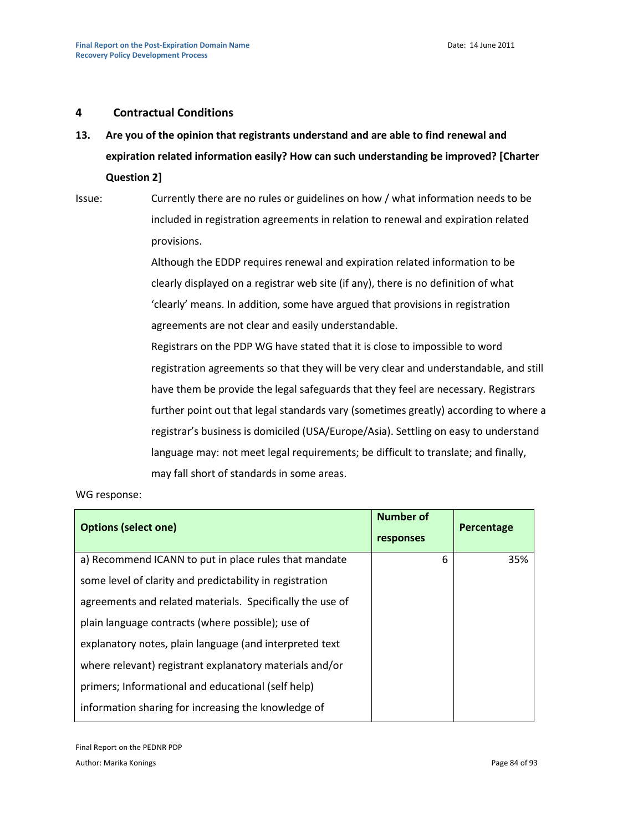## **4 Contractual Conditions**

**13. Are you of the opinion that registrants understand and are able to find renewal and expiration related information easily? How can such understanding be improved? [Charter Question 2]**

Issue: Currently there are no rules or guidelines on how / what information needs to be included in registration agreements in relation to renewal and expiration related provisions.

> Although the EDDP requires renewal and expiration related information to be clearly displayed on a registrar web site (if any), there is no definition of what 'clearly' means. In addition, some have argued that provisions in registration agreements are not clear and easily understandable.

Registrars on the PDP WG have stated that it is close to impossible to word registration agreements so that they will be very clear and understandable, and still have them be provide the legal safeguards that they feel are necessary. Registrars further point out that legal standards vary (sometimes greatly) according to where a registrar's business is domiciled (USA/Europe/Asia). Settling on easy to understand language may: not meet legal requirements; be difficult to translate; and finally, may fall short of standards in some areas.

| <b>Options (select one)</b>                               | Number of<br>responses | Percentage |
|-----------------------------------------------------------|------------------------|------------|
| a) Recommend ICANN to put in place rules that mandate     | 6                      | 35%        |
| some level of clarity and predictability in registration  |                        |            |
| agreements and related materials. Specifically the use of |                        |            |
| plain language contracts (where possible); use of         |                        |            |
| explanatory notes, plain language (and interpreted text   |                        |            |
| where relevant) registrant explanatory materials and/or   |                        |            |
| primers; Informational and educational (self help)        |                        |            |
| information sharing for increasing the knowledge of       |                        |            |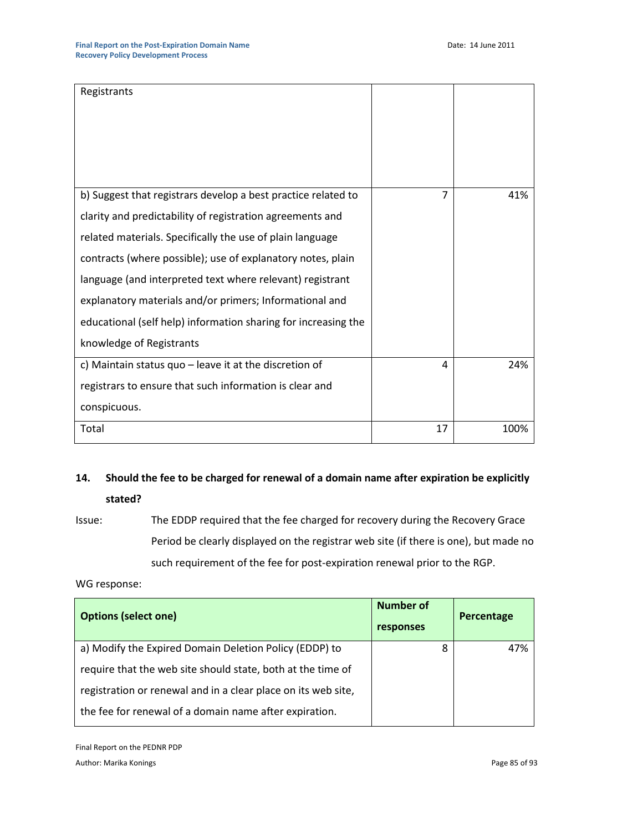| Registrants                                                                                                                                                                                                                                                                                                                                                                                                                                                                  |                |      |
|------------------------------------------------------------------------------------------------------------------------------------------------------------------------------------------------------------------------------------------------------------------------------------------------------------------------------------------------------------------------------------------------------------------------------------------------------------------------------|----------------|------|
| b) Suggest that registrars develop a best practice related to<br>clarity and predictability of registration agreements and<br>related materials. Specifically the use of plain language<br>contracts (where possible); use of explanatory notes, plain<br>language (and interpreted text where relevant) registrant<br>explanatory materials and/or primers; Informational and<br>educational (self help) information sharing for increasing the<br>knowledge of Registrants | $\overline{7}$ | 41%  |
| c) Maintain status quo $-$ leave it at the discretion of<br>registrars to ensure that such information is clear and<br>conspicuous.                                                                                                                                                                                                                                                                                                                                          | 4              | 24%  |
| Total                                                                                                                                                                                                                                                                                                                                                                                                                                                                        | 17             | 100% |

# **14. Should the fee to be charged for renewal of a domain name after expiration be explicitly stated?**

Issue: The EDDP required that the fee charged for recovery during the Recovery Grace Period be clearly displayed on the registrar web site (if there is one), but made no such requirement of the fee for post-expiration renewal prior to the RGP.

WG response:

| <b>Options (select one)</b>                                   | <b>Number of</b><br>responses | Percentage |
|---------------------------------------------------------------|-------------------------------|------------|
| a) Modify the Expired Domain Deletion Policy (EDDP) to        | 8                             | 47%        |
| require that the web site should state, both at the time of   |                               |            |
| registration or renewal and in a clear place on its web site, |                               |            |
| the fee for renewal of a domain name after expiration.        |                               |            |

Final Report on the PEDNR PDP Author: Marika Konings **Page 85** of 93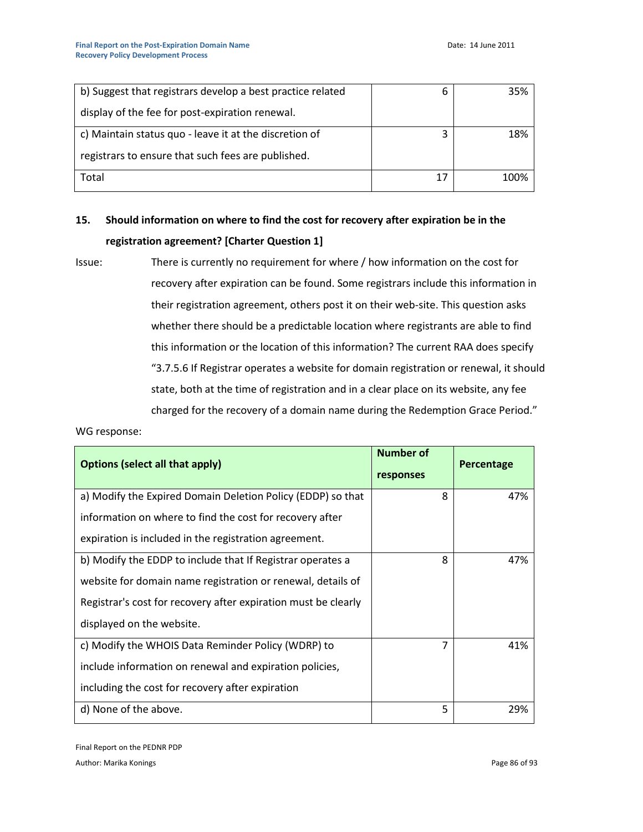| b) Suggest that registrars develop a best practice related | 6  | 35%  |
|------------------------------------------------------------|----|------|
| display of the fee for post-expiration renewal.            |    |      |
| c) Maintain status quo - leave it at the discretion of     | 3  | 18%  |
| registrars to ensure that such fees are published.         |    |      |
| Total                                                      | 17 | 100% |

# **15. Should information on where to find the cost for recovery after expiration be in the registration agreement? [Charter Question 1]**

Issue: There is currently no requirement for where / how information on the cost for recovery after expiration can be found. Some registrars include this information in their registration agreement, others post it on their web-site. This question asks whether there should be a predictable location where registrants are able to find this information or the location of this information? The current RAA does specify "3.7.5.6 If Registrar operates a website for domain registration or renewal, it should state, both at the time of registration and in a clear place on its website, any fee charged for the recovery of a domain name during the Redemption Grace Period."

| <b>Options (select all that apply)</b>                         | <b>Number of</b><br>responses | <b>Percentage</b> |
|----------------------------------------------------------------|-------------------------------|-------------------|
| a) Modify the Expired Domain Deletion Policy (EDDP) so that    | 8                             | 47%               |
| information on where to find the cost for recovery after       |                               |                   |
| expiration is included in the registration agreement.          |                               |                   |
| b) Modify the EDDP to include that If Registrar operates a     | 8                             | 47%               |
| website for domain name registration or renewal, details of    |                               |                   |
| Registrar's cost for recovery after expiration must be clearly |                               |                   |
| displayed on the website.                                      |                               |                   |
| c) Modify the WHOIS Data Reminder Policy (WDRP) to             | $\overline{7}$                | 41%               |
| include information on renewal and expiration policies,        |                               |                   |
| including the cost for recovery after expiration               |                               |                   |
| d) None of the above.                                          | 5                             | 29%               |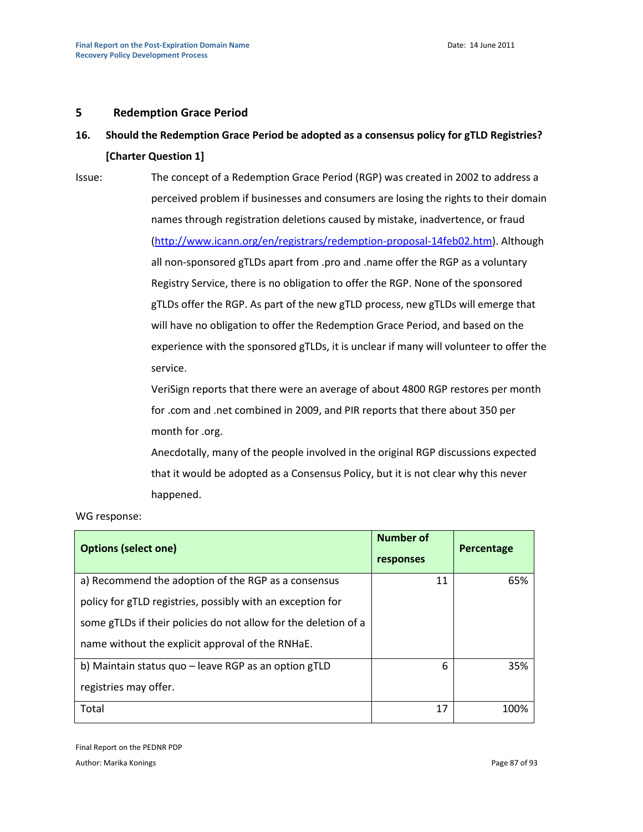### **5 Redemption Grace Period**

# **16. Should the Redemption Grace Period be adopted as a consensus policy for gTLD Registries? [Charter Question 1]**

Issue: The concept of a Redemption Grace Period (RGP) was created in 2002 to address a perceived problem if businesses and consumers are losing the rights to their domain names through registration deletions caused by mistake, inadvertence, or fraud [\(http://www.icann.org/en/registrars/redemption-proposal-14feb02.htm\)](http://www.icann.org/en/registrars/redemption-proposal-14feb02.htm). Although all non-sponsored gTLDs apart from .pro and .name offer the RGP as a voluntary Registry Service, there is no obligation to offer the RGP. None of the sponsored gTLDs offer the RGP. As part of the new gTLD process, new gTLDs will emerge that will have no obligation to offer the Redemption Grace Period, and based on the experience with the sponsored gTLDs, it is unclear if many will volunteer to offer the service.

> VeriSign reports that there were an average of about 4800 RGP restores per month for .com and .net combined in 2009, and PIR reports that there about 350 per month for .org.

Anecdotally, many of the people involved in the original RGP discussions expected that it would be adopted as a Consensus Policy, but it is not clear why this never happened.

#### WG response:

| <b>Options (select one)</b>                                     | <b>Number of</b><br>responses | Percentage |
|-----------------------------------------------------------------|-------------------------------|------------|
| a) Recommend the adoption of the RGP as a consensus             | 11                            | 65%        |
| policy for gTLD registries, possibly with an exception for      |                               |            |
| some gTLDs if their policies do not allow for the deletion of a |                               |            |
| name without the explicit approval of the RNHaE.                |                               |            |
| b) Maintain status quo – leave RGP as an option gTLD            | 6                             | 35%        |
| registries may offer.                                           |                               |            |
| Total                                                           | 17                            | 100%       |

Final Report on the PEDNR PDP Author: Marika Konings Page 87 of 93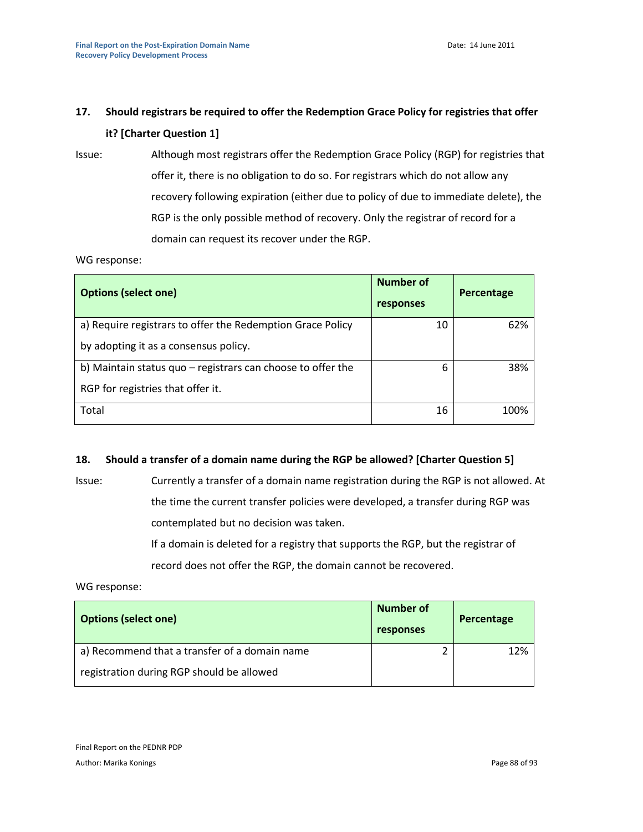# **17. Should registrars be required to offer the Redemption Grace Policy for registries that offer it? [Charter Question 1]**

Issue: Although most registrars offer the Redemption Grace Policy (RGP) for registries that offer it, there is no obligation to do so. For registrars which do not allow any recovery following expiration (either due to policy of due to immediate delete), the RGP is the only possible method of recovery. Only the registrar of record for a domain can request its recover under the RGP.

WG response:

| <b>Options (select one)</b>                                                                         | Number of<br>responses | Percentage |
|-----------------------------------------------------------------------------------------------------|------------------------|------------|
| a) Require registrars to offer the Redemption Grace Policy<br>by adopting it as a consensus policy. | 10                     | 62%        |
| b) Maintain status quo - registrars can choose to offer the<br>RGP for registries that offer it.    | 6                      | 38%        |
| Total                                                                                               | 16                     | 100%       |

# **18. Should a transfer of a domain name during the RGP be allowed? [Charter Question 5]**

Issue: Currently a transfer of a domain name registration during the RGP is not allowed. At the time the current transfer policies were developed, a transfer during RGP was contemplated but no decision was taken. If a domain is deleted for a registry that supports the RGP, but the registrar of record does not offer the RGP, the domain cannot be recovered.

| <b>Options (select one)</b>                   | Number of<br>responses | Percentage |
|-----------------------------------------------|------------------------|------------|
| a) Recommend that a transfer of a domain name |                        | 12%        |
| registration during RGP should be allowed     |                        |            |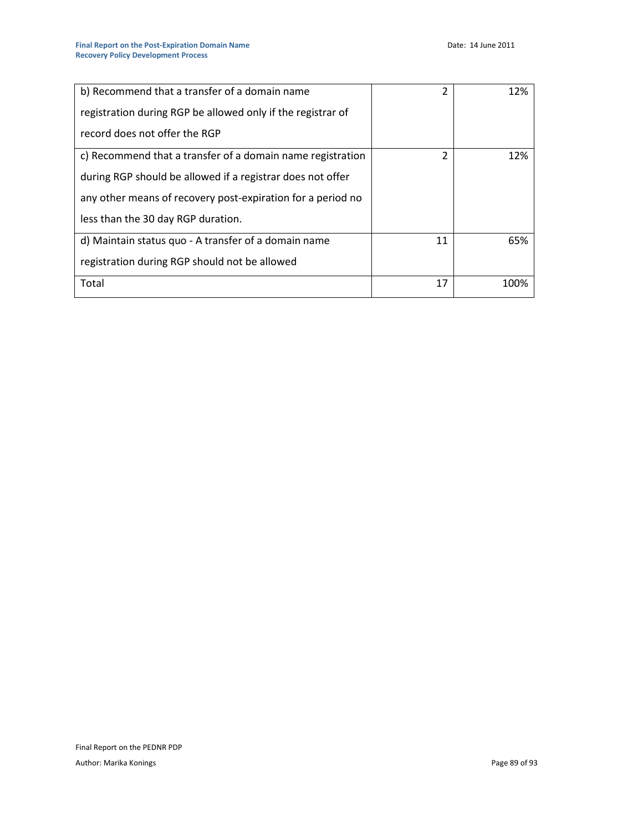| b) Recommend that a transfer of a domain name               | 2  | 12%  |
|-------------------------------------------------------------|----|------|
| registration during RGP be allowed only if the registrar of |    |      |
| record does not offer the RGP                               |    |      |
| c) Recommend that a transfer of a domain name registration  | 2  | 12%  |
| during RGP should be allowed if a registrar does not offer  |    |      |
| any other means of recovery post-expiration for a period no |    |      |
| less than the 30 day RGP duration.                          |    |      |
| d) Maintain status quo - A transfer of a domain name        | 11 | 65%  |
| registration during RGP should not be allowed               |    |      |
| Total                                                       | 17 | 100% |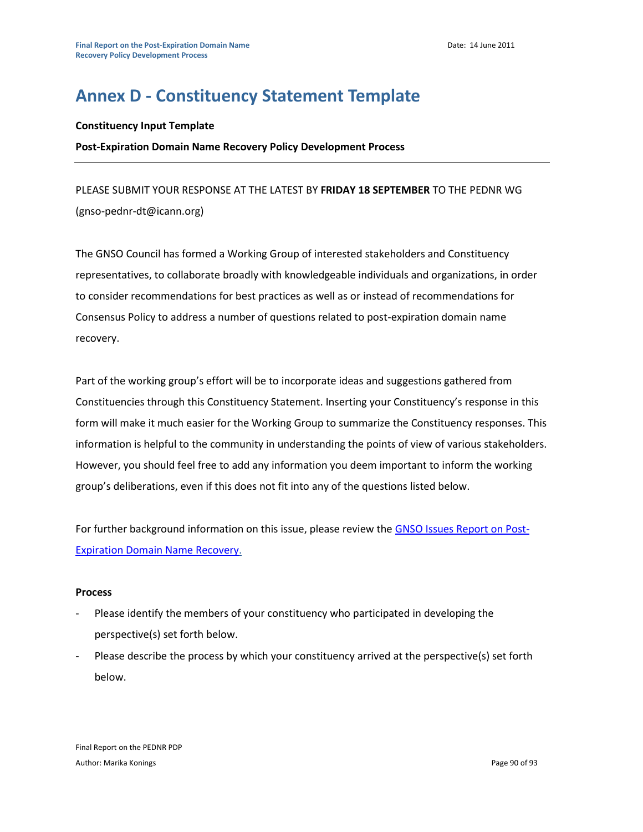# **Annex D - Constituency Statement Template**

### **Constituency Input Template**

### **Post-Expiration Domain Name Recovery Policy Development Process**

PLEASE SUBMIT YOUR RESPONSE AT THE LATEST BY **FRIDAY 18 SEPTEMBER** TO THE PEDNR WG (gnso-pednr-dt@icann.org)

The GNSO Council has formed a Working Group of interested stakeholders and Constituency representatives, to collaborate broadly with knowledgeable individuals and organizations, in order to consider recommendations for best practices as well as or instead of recommendations for Consensus Policy to address a number of questions related to post-expiration domain name recovery.

Part of the working group's effort will be to incorporate ideas and suggestions gathered from Constituencies through this Constituency Statement. Inserting your Constituency's response in this form will make it much easier for the Working Group to summarize the Constituency responses. This information is helpful to the community in understanding the points of view of various stakeholders. However, you should feel free to add any information you deem important to inform the working group's deliberations, even if this does not fit into any of the questions listed below.

For further background information on this issue, please review the [GNSO Issues Report on Post-](http://gnso.icann.org/issues/post-expiration-recovery/report-05dec08.pdf)[Expiration Domain Name Recovery.](http://gnso.icann.org/issues/post-expiration-recovery/report-05dec08.pdf)

### **Process**

- Please identify the members of your constituency who participated in developing the perspective(s) set forth below.
- Please describe the process by which your constituency arrived at the perspective(s) set forth below.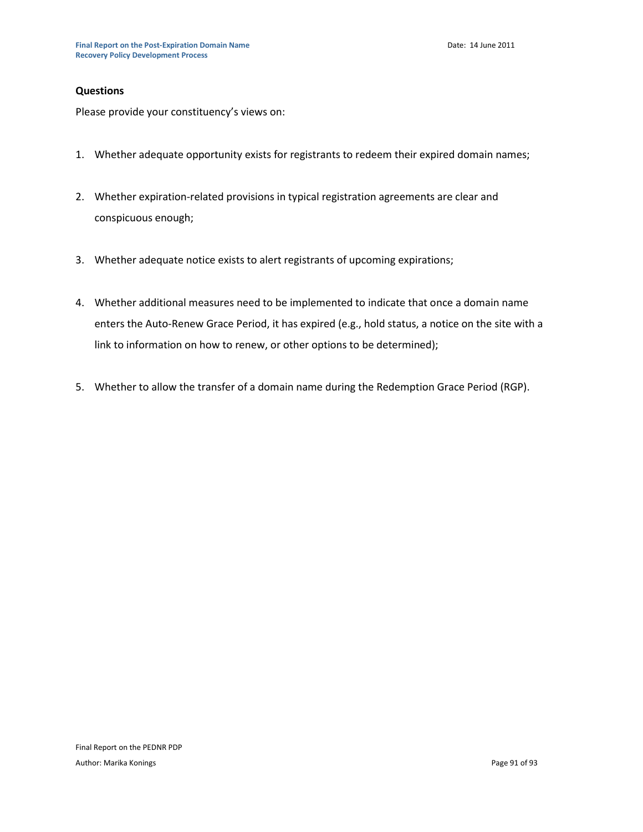### **Questions**

Please provide your constituency's views on:

- 1. Whether adequate opportunity exists for registrants to redeem their expired domain names;
- 2. Whether expiration-related provisions in typical registration agreements are clear and conspicuous enough;
- 3. Whether adequate notice exists to alert registrants of upcoming expirations;
- 4. Whether additional measures need to be implemented to indicate that once a domain name enters the Auto-Renew Grace Period, it has expired (e.g., hold status, a notice on the site with a link to information on how to renew, or other options to be determined);
- 5. Whether to allow the transfer of a domain name during the Redemption Grace Period (RGP).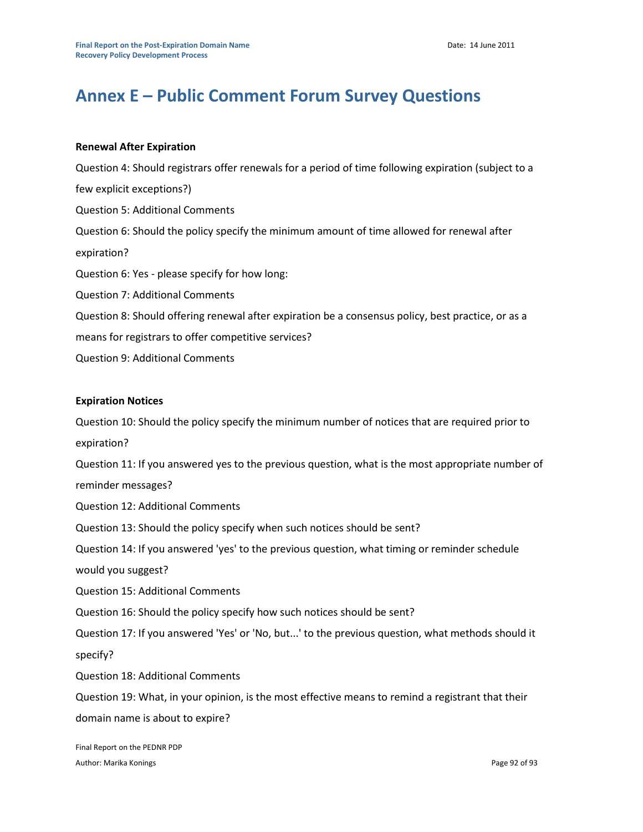# **Annex E – Public Comment Forum Survey Questions**

## **Renewal After Expiration**

Question 4: Should registrars offer renewals for a period of time following expiration (subject to a few explicit exceptions?) Question 5: Additional Comments Question 6: Should the policy specify the minimum amount of time allowed for renewal after expiration? Question 6: Yes - please specify for how long: Question 7: Additional Comments Question 8: Should offering renewal after expiration be a consensus policy, best practice, or as a means for registrars to offer competitive services? Question 9: Additional Comments

### **Expiration Notices**

Question 10: Should the policy specify the minimum number of notices that are required prior to expiration? Question 11: If you answered yes to the previous question, what is the most appropriate number of reminder messages? Question 12: Additional Comments Question 13: Should the policy specify when such notices should be sent? Question 14: If you answered 'yes' to the previous question, what timing or reminder schedule would you suggest? Question 15: Additional Comments Question 16: Should the policy specify how such notices should be sent? Question 17: If you answered 'Yes' or 'No, but...' to the previous question, what methods should it specify? Question 18: Additional Comments Question 19: What, in your opinion, is the most effective means to remind a registrant that their domain name is about to expire?